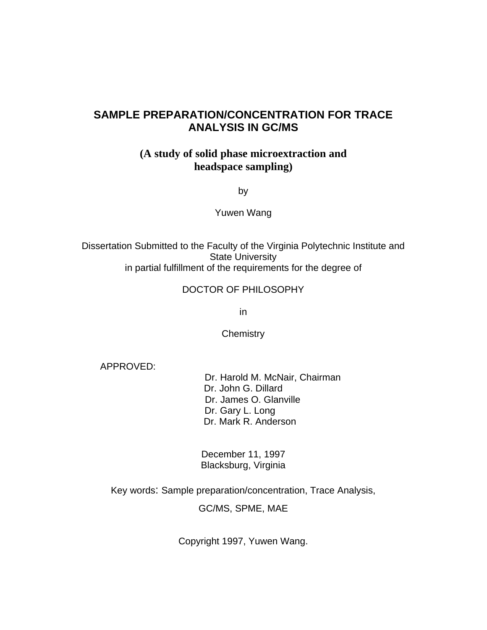## **SAMPLE PREPARATION/CONCENTRATION FOR TRACE ANALYSIS IN GC/MS**

## **(A study of solid phase microextraction and headspace sampling)**

by

Yuwen Wang

Dissertation Submitted to the Faculty of the Virginia Polytechnic Institute and State University in partial fulfillment of the requirements for the degree of

#### DOCTOR OF PHILOSOPHY

in

**Chemistry** 

APPROVED:

 Dr. Harold M. McNair, Chairman Dr. John G. Dillard Dr. James O. Glanville Dr. Gary L. Long Dr. Mark R. Anderson

December 11, 1997 Blacksburg, Virginia

Key words: Sample preparation/concentration, Trace Analysis,

GC/MS, SPME, MAE

Copyright 1997, Yuwen Wang.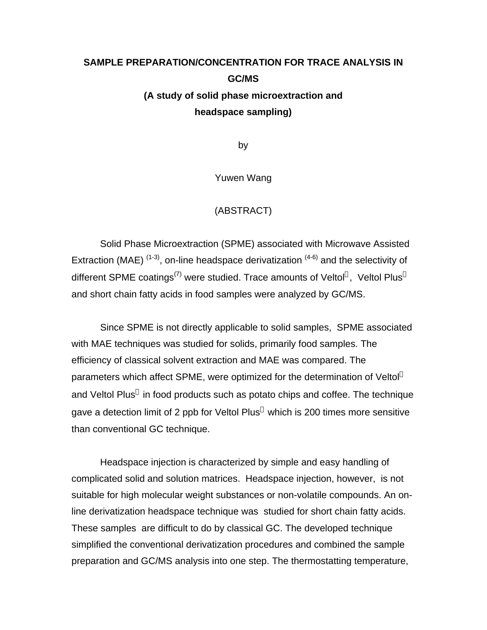# **SAMPLE PREPARATION/CONCENTRATION FOR TRACE ANALYSIS IN GC/MS (A study of solid phase microextraction and headspace sampling)**

by

Yuwen Wang

#### (ABSTRACT)

Solid Phase Microextraction (SPME) associated with Microwave Assisted Extraction (MAE)  $(1-3)$ , on-line headspace derivatization  $(4-6)$  and the selectivity of different SPME coatings<sup>(7)</sup> were studied. Trace amounts of Veltol®, Veltol Plus® and short chain fatty acids in food samples were analyzed by GC/MS.

Since SPME is not directly applicable to solid samples, SPME associated with MAE techniques was studied for solids, primarily food samples. The efficiency of classical solvent extraction and MAE was compared. The parameters which affect SPME, were optimized for the determination of Veltol<sup>®</sup> and Veltol Plus® in food products such as potato chips and coffee. The technique gave a detection limit of 2 ppb for Veltol Plus® which is 200 times more sensitive than conventional GC technique.

Headspace injection is characterized by simple and easy handling of complicated solid and solution matrices. Headspace injection, however, is not suitable for high molecular weight substances or non-volatile compounds. An online derivatization headspace technique was studied for short chain fatty acids. These samples are difficult to do by classical GC. The developed technique simplified the conventional derivatization procedures and combined the sample preparation and GC/MS analysis into one step. The thermostatting temperature,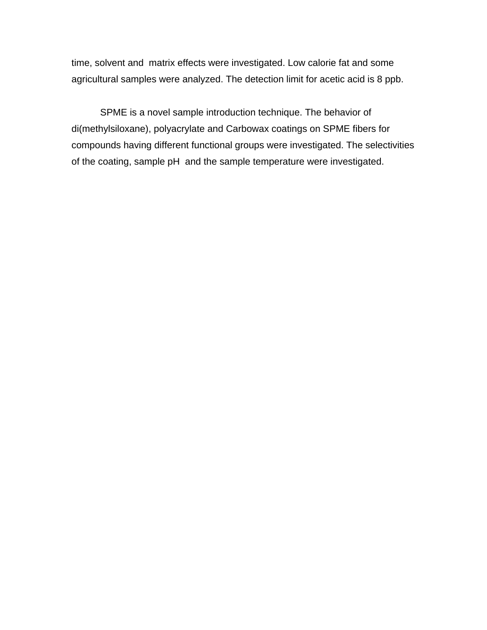time, solvent and matrix effects were investigated. Low calorie fat and some agricultural samples were analyzed. The detection limit for acetic acid is 8 ppb.

SPME is a novel sample introduction technique. The behavior of di(methylsiloxane), polyacrylate and Carbowax coatings on SPME fibers for compounds having different functional groups were investigated. The selectivities of the coating, sample pH and the sample temperature were investigated.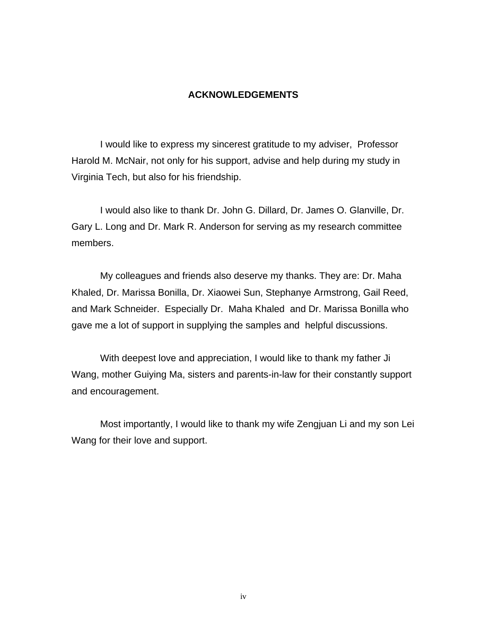#### **ACKNOWLEDGEMENTS**

I would like to express my sincerest gratitude to my adviser, Professor Harold M. McNair, not only for his support, advise and help during my study in Virginia Tech, but also for his friendship.

I would also like to thank Dr. John G. Dillard, Dr. James O. Glanville, Dr. Gary L. Long and Dr. Mark R. Anderson for serving as my research committee members.

My colleagues and friends also deserve my thanks. They are: Dr. Maha Khaled, Dr. Marissa Bonilla, Dr. Xiaowei Sun, Stephanye Armstrong, Gail Reed, and Mark Schneider. Especially Dr. Maha Khaled and Dr. Marissa Bonilla who gave me a lot of support in supplying the samples and helpful discussions.

With deepest love and appreciation, I would like to thank my father Ji Wang, mother Guiying Ma, sisters and parents-in-law for their constantly support and encouragement.

Most importantly, I would like to thank my wife Zengjuan Li and my son Lei Wang for their love and support.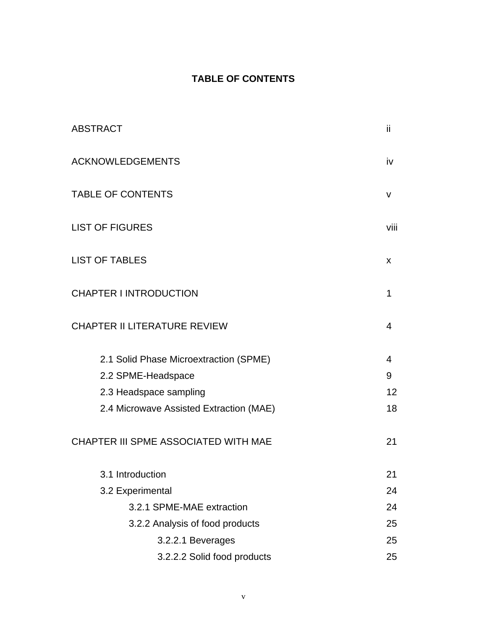# **TABLE OF CONTENTS**

| <b>ABSTRACT</b>                         | ii.            |
|-----------------------------------------|----------------|
| <b>ACKNOWLEDGEMENTS</b>                 | iv             |
| <b>TABLE OF CONTENTS</b>                | V              |
| <b>LIST OF FIGURES</b>                  | viii           |
| <b>LIST OF TABLES</b>                   | X              |
| <b>CHAPTER I INTRODUCTION</b>           | 1              |
| <b>CHAPTER II LITERATURE REVIEW</b>     | 4              |
| 2.1 Solid Phase Microextraction (SPME)  | $\overline{4}$ |
| 2.2 SPME-Headspace                      | 9              |
| 2.3 Headspace sampling                  | 12             |
| 2.4 Microwave Assisted Extraction (MAE) | 18             |
| CHAPTER III SPME ASSOCIATED WITH MAE    | 21             |
| 3.1 Introduction                        | 21             |
| 3.2 Experimental                        | 24             |
| 3.2.1 SPME-MAE extraction               | 24             |
| 3.2.2 Analysis of food products         | 25             |
| 3.2.2.1 Beverages                       | 25             |
| 3.2.2.2 Solid food products             | 25             |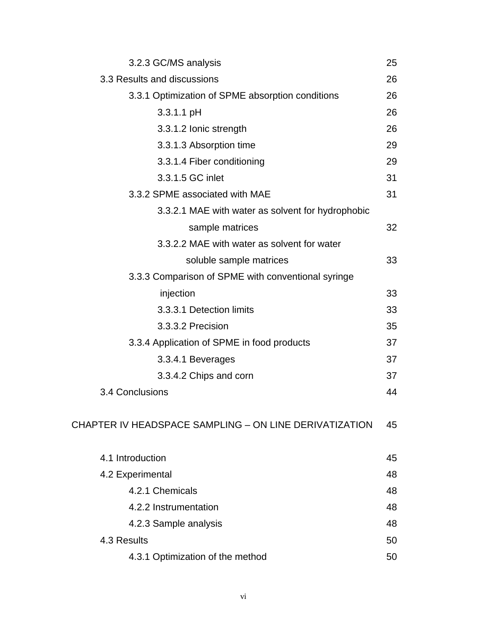| 3.2.3 GC/MS analysis                                   | 25 |
|--------------------------------------------------------|----|
| 3.3 Results and discussions                            | 26 |
| 3.3.1 Optimization of SPME absorption conditions       | 26 |
| $3.3.1.1$ pH                                           | 26 |
| 3.3.1.2 Ionic strength                                 | 26 |
| 3.3.1.3 Absorption time                                | 29 |
| 3.3.1.4 Fiber conditioning                             | 29 |
| 3.3.1.5 GC inlet                                       | 31 |
| 3.3.2 SPME associated with MAE                         | 31 |
| 3.3.2.1 MAE with water as solvent for hydrophobic      |    |
| sample matrices                                        | 32 |
| 3.3.2.2 MAE with water as solvent for water            |    |
| soluble sample matrices                                | 33 |
| 3.3.3 Comparison of SPME with conventional syringe     |    |
| injection                                              | 33 |
| 3.3.3.1 Detection limits                               | 33 |
| 3.3.3.2 Precision                                      | 35 |
| 3.3.4 Application of SPME in food products             | 37 |
| 3.3.4.1 Beverages                                      | 37 |
| 3.3.4.2 Chips and corn                                 | 37 |
| 3.4 Conclusions                                        | 44 |
| CHAPTER IV HEADSPACE SAMPLING – ON LINE DERIVATIZATION | 45 |
| 4.1 Introduction                                       | 45 |
| 4.2 Experimental                                       | 48 |
| 4.2.1 Chemicals                                        | 48 |
| 4.2.2 Instrumentation                                  | 48 |
| 4.2.3 Sample analysis                                  | 48 |
| 4.3 Results                                            | 50 |
| 4.3.1 Optimization of the method                       | 50 |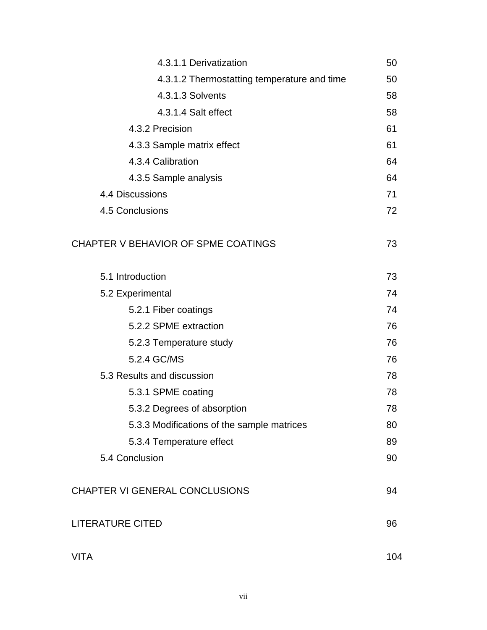| 4.3.1.1 Derivatization                      | 50  |
|---------------------------------------------|-----|
| 4.3.1.2 Thermostatting temperature and time | 50  |
| 4.3.1.3 Solvents                            | 58  |
| 4.3.1.4 Salt effect                         | 58  |
| 4.3.2 Precision                             | 61  |
| 4.3.3 Sample matrix effect                  | 61  |
| 4.3.4 Calibration                           | 64  |
| 4.3.5 Sample analysis                       | 64  |
| 4.4 Discussions                             | 71  |
| 4.5 Conclusions                             | 72  |
| CHAPTER V BEHAVIOR OF SPME COATINGS         | 73  |
| 5.1 Introduction                            | 73  |
| 5.2 Experimental                            | 74  |
| 5.2.1 Fiber coatings                        | 74  |
| 5.2.2 SPME extraction                       | 76  |
| 5.2.3 Temperature study                     | 76  |
| 5.2.4 GC/MS                                 | 76  |
| 5.3 Results and discussion                  | 78  |
| 5.3.1 SPME coating                          | 78  |
| 5.3.2 Degrees of absorption                 | 78  |
| 5.3.3 Modifications of the sample matrices  | 80  |
| 5.3.4 Temperature effect                    | 89  |
| 5.4 Conclusion                              | 90  |
| <b>CHAPTER VI GENERAL CONCLUSIONS</b>       | 94  |
| <b>LITERATURE CITED</b>                     | 96  |
| <b>VITA</b>                                 | 104 |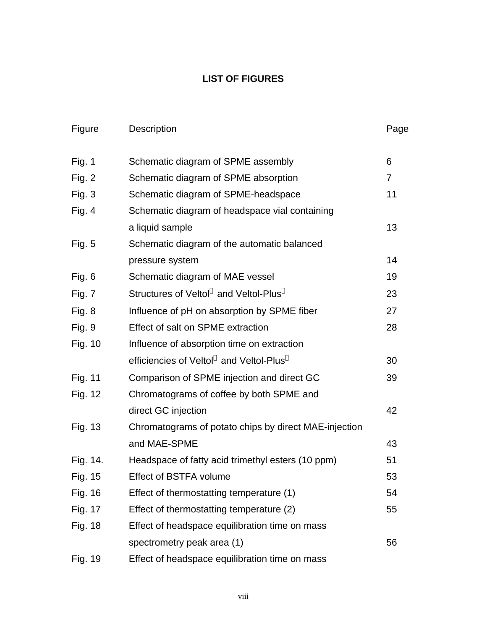## **LIST OF FIGURES**

| Figure        | Description                                           | Page |
|---------------|-------------------------------------------------------|------|
| Fig. $1$      | Schematic diagram of SPME assembly                    | 6    |
| Fig. $2$      | Schematic diagram of SPME absorption                  | 7    |
| Fig. $3$      | Schematic diagram of SPME-headspace                   | 11   |
| Fig. $4$      | Schematic diagram of headspace vial containing        |      |
|               | a liquid sample                                       | 13   |
| <b>Fig. 5</b> | Schematic diagram of the automatic balanced           |      |
|               | pressure system                                       | 14   |
| Fig. 6        | Schematic diagram of MAE vessel                       | 19   |
| Fig. 7        | Structures of Veltol® and Veltol-Plus®                | 23   |
| Fig. 8        | Influence of pH on absorption by SPME fiber           | 27   |
| Fig. 9        | Effect of salt on SPME extraction                     | 28   |
| Fig. 10       | Influence of absorption time on extraction            |      |
|               | efficiencies of Veltol® and Veltol-Plus®              | 30   |
| Fig. 11       | Comparison of SPME injection and direct GC            | 39   |
| Fig. 12       | Chromatograms of coffee by both SPME and              |      |
|               | direct GC injection                                   | 42   |
| Fig. 13       | Chromatograms of potato chips by direct MAE-injection |      |
|               | and MAE-SPME                                          | 43   |
| Fig. 14.      | Headspace of fatty acid trimethyl esters (10 ppm)     | 51   |
| Fig. 15       | <b>Effect of BSTFA volume</b>                         | 53   |
| Fig. 16       | Effect of thermostatting temperature (1)              | 54   |
| Fig. 17       | Effect of thermostatting temperature (2)              | 55   |
| Fig. 18       | Effect of headspace equilibration time on mass        |      |
|               | spectrometry peak area (1)                            | 56   |
| Fig. 19       | Effect of headspace equilibration time on mass        |      |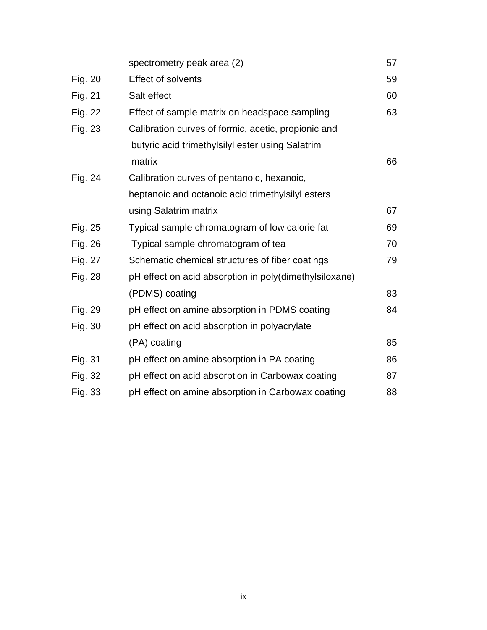|         | spectrometry peak area (2)                             | 57 |
|---------|--------------------------------------------------------|----|
| Fig. 20 | Effect of solvents                                     | 59 |
| Fig. 21 | Salt effect                                            | 60 |
| Fig. 22 | Effect of sample matrix on headspace sampling          | 63 |
| Fig. 23 | Calibration curves of formic, acetic, propionic and    |    |
|         | butyric acid trimethylsilyl ester using Salatrim       |    |
|         | matrix                                                 | 66 |
| Fig. 24 | Calibration curves of pentanoic, hexanoic,             |    |
|         | heptanoic and octanoic acid trimethylsilyl esters      |    |
|         | using Salatrim matrix                                  | 67 |
| Fig. 25 | Typical sample chromatogram of low calorie fat         | 69 |
| Fig. 26 | Typical sample chromatogram of tea                     | 70 |
| Fig. 27 | Schematic chemical structures of fiber coatings        | 79 |
| Fig. 28 | pH effect on acid absorption in poly(dimethylsiloxane) |    |
|         | (PDMS) coating                                         | 83 |
| Fig. 29 | pH effect on amine absorption in PDMS coating          | 84 |
| Fig. 30 | pH effect on acid absorption in polyacrylate           |    |
|         | (PA) coating                                           | 85 |
| Fig. 31 | pH effect on amine absorption in PA coating            | 86 |
| Fig. 32 | pH effect on acid absorption in Carbowax coating       | 87 |
| Fig. 33 | pH effect on amine absorption in Carbowax coating      | 88 |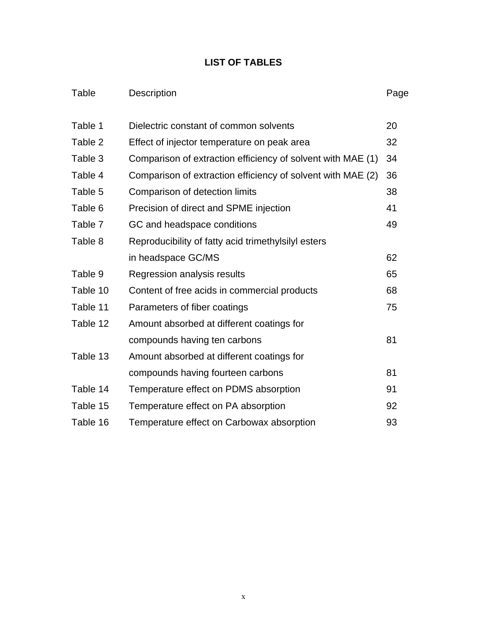# **LIST OF TABLES**

# Table Description **Page**

| Table 1  | 20<br>Dielectric constant of common solvents                |    |
|----------|-------------------------------------------------------------|----|
| Table 2  | Effect of injector temperature on peak area                 |    |
| Table 3  | Comparison of extraction efficiency of solvent with MAE (1) |    |
| Table 4  | Comparison of extraction efficiency of solvent with MAE (2) | 36 |
| Table 5  | Comparison of detection limits                              | 38 |
| Table 6  | Precision of direct and SPME injection                      | 41 |
| Table 7  | GC and headspace conditions                                 | 49 |
| Table 8  | Reproducibility of fatty acid trimethylsilyl esters         |    |
|          | in headspace GC/MS                                          | 62 |
| Table 9  | Regression analysis results                                 | 65 |
| Table 10 | Content of free acids in commercial products                | 68 |
| Table 11 | Parameters of fiber coatings                                | 75 |
| Table 12 | Amount absorbed at different coatings for                   |    |
|          | compounds having ten carbons                                | 81 |
| Table 13 | Amount absorbed at different coatings for                   |    |
|          | compounds having fourteen carbons                           | 81 |
| Table 14 | Temperature effect on PDMS absorption                       | 91 |
| Table 15 | Temperature effect on PA absorption                         | 92 |
| Table 16 | Temperature effect on Carbowax absorption                   | 93 |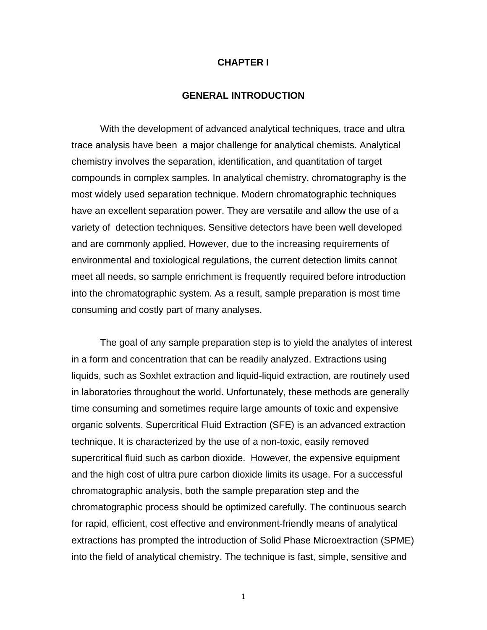#### **CHAPTER I**

#### **GENERAL INTRODUCTION**

With the development of advanced analytical techniques, trace and ultra trace analysis have been a major challenge for analytical chemists. Analytical chemistry involves the separation, identification, and quantitation of target compounds in complex samples. In analytical chemistry, chromatography is the most widely used separation technique. Modern chromatographic techniques have an excellent separation power. They are versatile and allow the use of a variety of detection techniques. Sensitive detectors have been well developed and are commonly applied. However, due to the increasing requirements of environmental and toxiological regulations, the current detection limits cannot meet all needs, so sample enrichment is frequently required before introduction into the chromatographic system. As a result, sample preparation is most time consuming and costly part of many analyses.

The goal of any sample preparation step is to yield the analytes of interest in a form and concentration that can be readily analyzed. Extractions using liquids, such as Soxhlet extraction and liquid-liquid extraction, are routinely used in laboratories throughout the world. Unfortunately, these methods are generally time consuming and sometimes require large amounts of toxic and expensive organic solvents. Supercritical Fluid Extraction (SFE) is an advanced extraction technique. It is characterized by the use of a non-toxic, easily removed supercritical fluid such as carbon dioxide. However, the expensive equipment and the high cost of ultra pure carbon dioxide limits its usage. For a successful chromatographic analysis, both the sample preparation step and the chromatographic process should be optimized carefully. The continuous search for rapid, efficient, cost effective and environment-friendly means of analytical extractions has prompted the introduction of Solid Phase Microextraction (SPME) into the field of analytical chemistry. The technique is fast, simple, sensitive and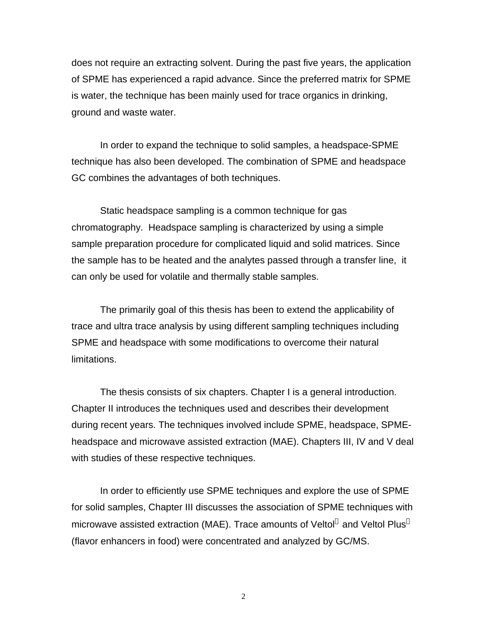does not require an extracting solvent. During the past five years, the application of SPME has experienced a rapid advance. Since the preferred matrix for SPME is water, the technique has been mainly used for trace organics in drinking, ground and waste water.

In order to expand the technique to solid samples, a headspace-SPME technique has also been developed. The combination of SPME and headspace GC combines the advantages of both techniques.

Static headspace sampling is a common technique for gas chromatography. Headspace sampling is characterized by using a simple sample preparation procedure for complicated liquid and solid matrices. Since the sample has to be heated and the analytes passed through a transfer line, it can only be used for volatile and thermally stable samples.

The primarily goal of this thesis has been to extend the applicability of trace and ultra trace analysis by using different sampling techniques including SPME and headspace with some modifications to overcome their natural limitations.

The thesis consists of six chapters. Chapter I is a general introduction. Chapter II introduces the techniques used and describes their development during recent years. The techniques involved include SPME, headspace, SPMEheadspace and microwave assisted extraction (MAE). Chapters III, IV and V deal with studies of these respective techniques.

In order to efficiently use SPME techniques and explore the use of SPME for solid samples, Chapter III discusses the association of SPME techniques with microwave assisted extraction (MAE). Trace amounts of Veltol® and Veltol Plus® (flavor enhancers in food) were concentrated and analyzed by GC/MS.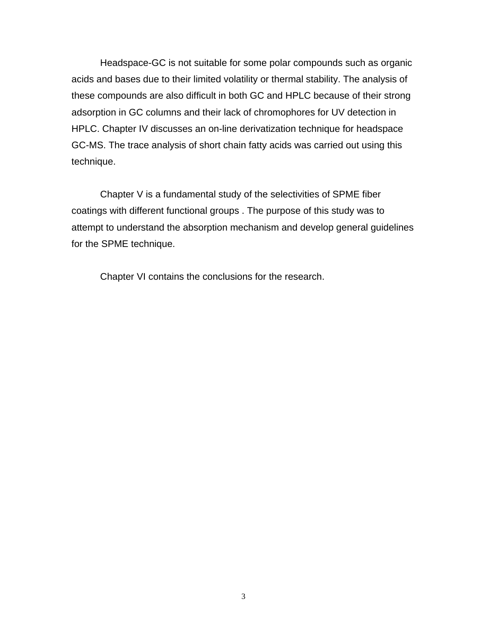Headspace-GC is not suitable for some polar compounds such as organic acids and bases due to their limited volatility or thermal stability. The analysis of these compounds are also difficult in both GC and HPLC because of their strong adsorption in GC columns and their lack of chromophores for UV detection in HPLC. Chapter IV discusses an on-line derivatization technique for headspace GC-MS. The trace analysis of short chain fatty acids was carried out using this technique.

Chapter V is a fundamental study of the selectivities of SPME fiber coatings with different functional groups . The purpose of this study was to attempt to understand the absorption mechanism and develop general guidelines for the SPME technique.

Chapter VI contains the conclusions for the research.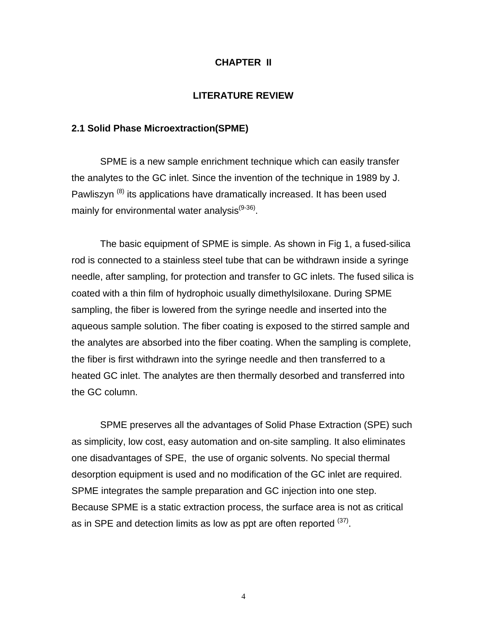#### **CHAPTER II**

#### **LITERATURE REVIEW**

#### **2.1 Solid Phase Microextraction(SPME)**

SPME is a new sample enrichment technique which can easily transfer the analytes to the GC inlet. Since the invention of the technique in 1989 by J. Pawliszyn<sup>(8)</sup> its applications have dramatically increased. It has been used mainly for environmental water analysis<sup>(9-36)</sup>.

The basic equipment of SPME is simple. As shown in Fig 1, a fused-silica rod is connected to a stainless steel tube that can be withdrawn inside a syringe needle, after sampling, for protection and transfer to GC inlets. The fused silica is coated with a thin film of hydrophoic usually dimethylsiloxane. During SPME sampling, the fiber is lowered from the syringe needle and inserted into the aqueous sample solution. The fiber coating is exposed to the stirred sample and the analytes are absorbed into the fiber coating. When the sampling is complete, the fiber is first withdrawn into the syringe needle and then transferred to a heated GC inlet. The analytes are then thermally desorbed and transferred into the GC column.

SPME preserves all the advantages of Solid Phase Extraction (SPE) such as simplicity, low cost, easy automation and on-site sampling. It also eliminates one disadvantages of SPE, the use of organic solvents. No special thermal desorption equipment is used and no modification of the GC inlet are required. SPME integrates the sample preparation and GC injection into one step. Because SPME is a static extraction process, the surface area is not as critical as in SPE and detection limits as low as ppt are often reported  $(37)$ .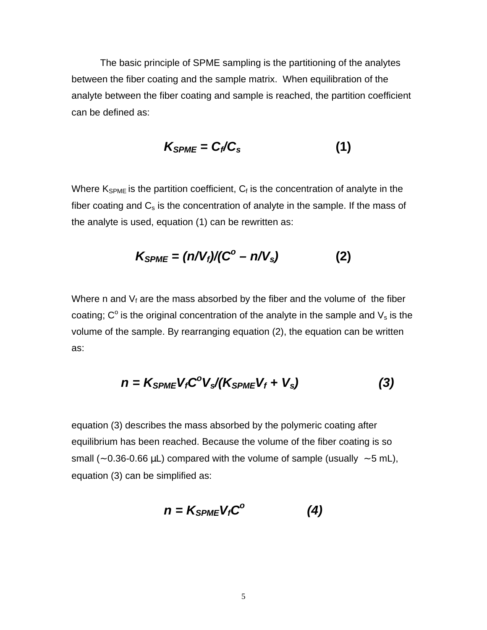The basic principle of SPME sampling is the partitioning of the analytes between the fiber coating and the sample matrix. When equilibration of the analyte between the fiber coating and sample is reached, the partition coefficient can be defined as:

$$
K_{SPME} = C_f/C_s \tag{1}
$$

Where  $K_{SPME}$  is the partition coefficient,  $C_f$  is the concentration of analyte in the fiber coating and  $C_s$  is the concentration of analyte in the sample. If the mass of the analyte is used, equation (1) can be rewritten as:

$$
K_{SPME} = (n/V_f)/(C^{\circ} - n/V_s)
$$
 (2)

Where n and  $V_f$  are the mass absorbed by the fiber and the volume of the fiber coating; C<sup>o</sup> is the original concentration of the analyte in the sample and  $V_s$  is the volume of the sample. By rearranging equation (2), the equation can be written as:

$$
n = K_{SPME} V_f C^{\circ} V_s / (K_{SPME} V_f + V_s)
$$
 (3)

equation (3) describes the mass absorbed by the polymeric coating after equilibrium has been reached. Because the volume of the fiber coating is so small (~ 0.36-0.66  $\mu$ L) compared with the volume of sample (usually ~ 5 mL), equation (3) can be simplified as:

$$
n = K_{SPME} V_f C^{\circ} \tag{4}
$$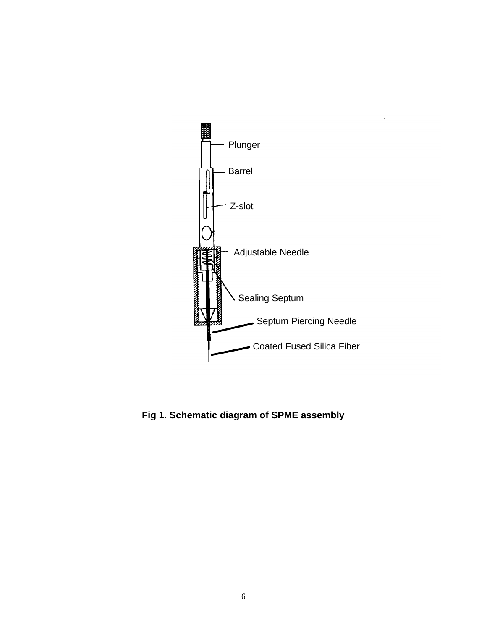

**Fig 1. Schematic diagram of SPME assembly**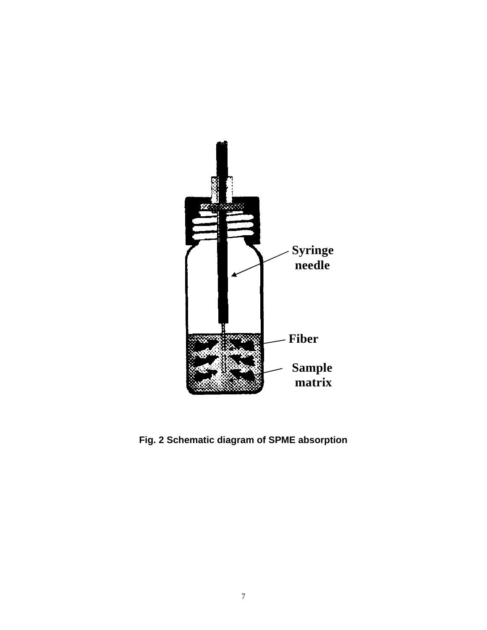

**Fig. 2 Schematic diagram of SPME absorption**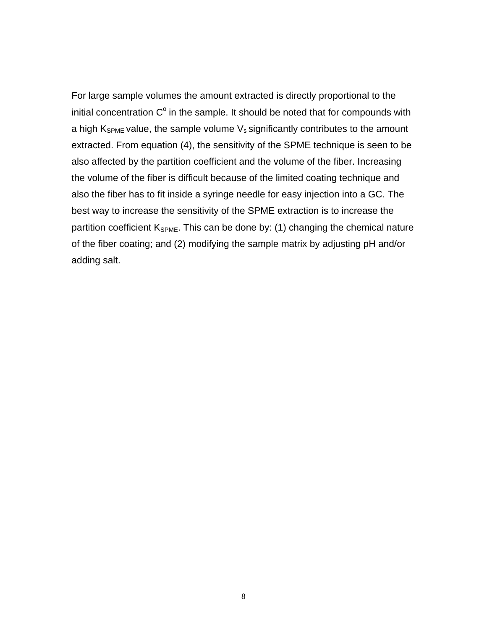For large sample volumes the amount extracted is directly proportional to the initial concentration  $C^{\circ}$  in the sample. It should be noted that for compounds with a high  $K_{SPME}$  value, the sample volume  $V_s$  significantly contributes to the amount extracted. From equation (4), the sensitivity of the SPME technique is seen to be also affected by the partition coefficient and the volume of the fiber. Increasing the volume of the fiber is difficult because of the limited coating technique and also the fiber has to fit inside a syringe needle for easy injection into a GC. The best way to increase the sensitivity of the SPME extraction is to increase the partition coefficient  $K_{SPME}$ . This can be done by: (1) changing the chemical nature of the fiber coating; and (2) modifying the sample matrix by adjusting pH and/or adding salt.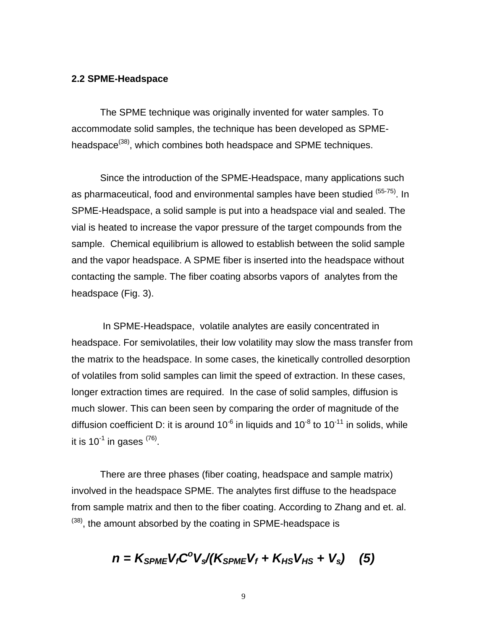#### **2.2 SPME-Headspace**

The SPME technique was originally invented for water samples. To accommodate solid samples, the technique has been developed as SPMEheadspace<sup>(38)</sup>, which combines both headspace and SPME techniques.

Since the introduction of the SPME-Headspace, many applications such as pharmaceutical, food and environmental samples have been studied (55-75). In SPME-Headspace, a solid sample is put into a headspace vial and sealed. The vial is heated to increase the vapor pressure of the target compounds from the sample. Chemical equilibrium is allowed to establish between the solid sample and the vapor headspace. A SPME fiber is inserted into the headspace without contacting the sample. The fiber coating absorbs vapors of analytes from the headspace (Fig. 3).

 In SPME-Headspace, volatile analytes are easily concentrated in headspace. For semivolatiles, their low volatility may slow the mass transfer from the matrix to the headspace. In some cases, the kinetically controlled desorption of volatiles from solid samples can limit the speed of extraction. In these cases, longer extraction times are required. In the case of solid samples, diffusion is much slower. This can been seen by comparing the order of magnitude of the diffusion coefficient D: it is around 10<sup>-6</sup> in liquids and 10<sup>-8</sup> to 10<sup>-11</sup> in solids, while it is 10<sup>-1</sup> in gases  $^{(76)}$ .

There are three phases (fiber coating, headspace and sample matrix) involved in the headspace SPME. The analytes first diffuse to the headspace from sample matrix and then to the fiber coating. According to Zhang and et. al.  $(38)$ , the amount absorbed by the coating in SPME-headspace is

$$
n = K_{SPME} V_f C^{\circ} V_s / (K_{SPME} V_f + K_{HS} V_{HS} + V_s)
$$
 (5)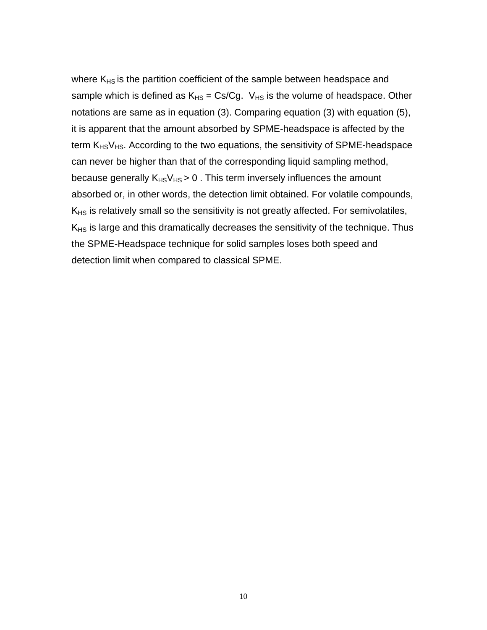where  $K<sub>HS</sub>$  is the partition coefficient of the sample between headspace and sample which is defined as  $K_{HS} = Cs/Cg$ .  $V_{HS}$  is the volume of headspace. Other notations are same as in equation (3). Comparing equation (3) with equation (5), it is apparent that the amount absorbed by SPME-headspace is affected by the term  $K_{HS}V_{HS}$ . According to the two equations, the sensitivity of SPME-headspace can never be higher than that of the corresponding liquid sampling method, because generally  $K_{HS}V_{HS} > 0$ . This term inversely influences the amount absorbed or, in other words, the detection limit obtained. For volatile compounds,  $K_{HS}$  is relatively small so the sensitivity is not greatly affected. For semivolatiles,  $K_{HS}$  is large and this dramatically decreases the sensitivity of the technique. Thus the SPME-Headspace technique for solid samples loses both speed and detection limit when compared to classical SPME.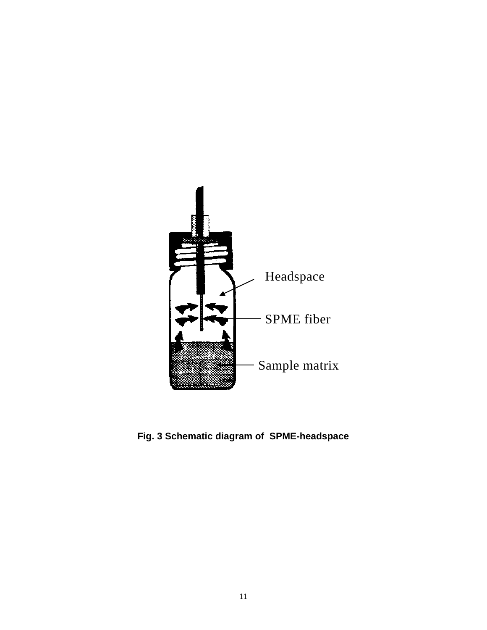

**Fig. 3 Schematic diagram of SPME-headspace**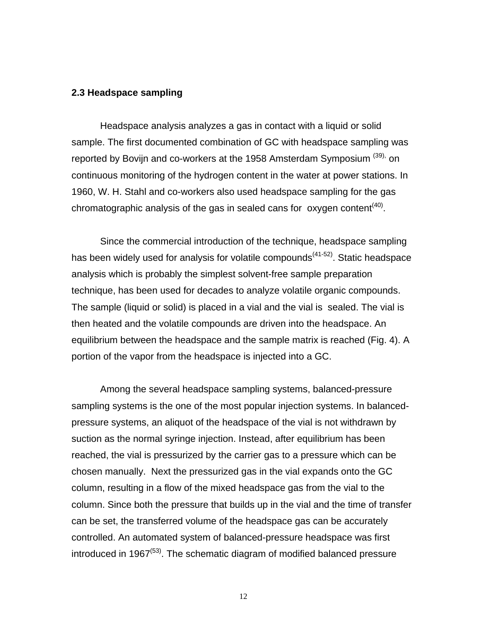#### **2.3 Headspace sampling**

Headspace analysis analyzes a gas in contact with a liquid or solid sample. The first documented combination of GC with headspace sampling was reported by Bovijn and co-workers at the 1958 Amsterdam Symposium (39), on continuous monitoring of the hydrogen content in the water at power stations. In 1960, W. H. Stahl and co-workers also used headspace sampling for the gas chromatographic analysis of the gas in sealed cans for oxygen content<sup>(40)</sup>.

Since the commercial introduction of the technique, headspace sampling has been widely used for analysis for volatile compounds<sup>(41-52)</sup>. Static headspace analysis which is probably the simplest solvent-free sample preparation technique, has been used for decades to analyze volatile organic compounds. The sample (liquid or solid) is placed in a vial and the vial is sealed. The vial is then heated and the volatile compounds are driven into the headspace. An equilibrium between the headspace and the sample matrix is reached (Fig. 4). A portion of the vapor from the headspace is injected into a GC.

Among the several headspace sampling systems, balanced-pressure sampling systems is the one of the most popular injection systems. In balancedpressure systems, an aliquot of the headspace of the vial is not withdrawn by suction as the normal syringe injection. Instead, after equilibrium has been reached, the vial is pressurized by the carrier gas to a pressure which can be chosen manually. Next the pressurized gas in the vial expands onto the GC column, resulting in a flow of the mixed headspace gas from the vial to the column. Since both the pressure that builds up in the vial and the time of transfer can be set, the transferred volume of the headspace gas can be accurately controlled. An automated system of balanced-pressure headspace was first introduced in 1967 $<sup>(53)</sup>$ . The schematic diagram of modified balanced pressure</sup>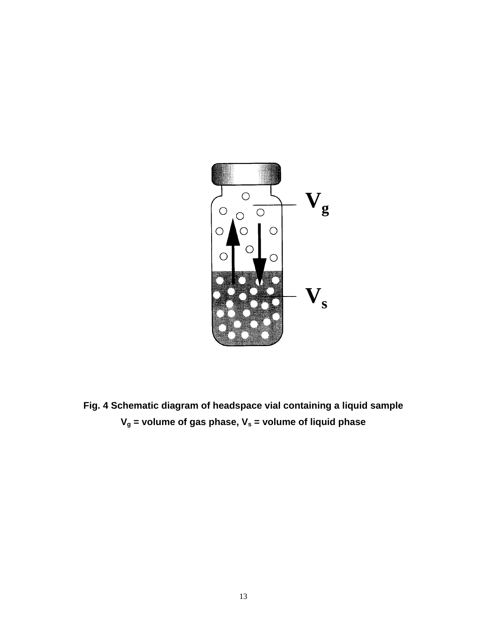

**Fig. 4 Schematic diagram of headspace vial containing a liquid sample Vg = volume of gas phase, Vs = volume of liquid phase**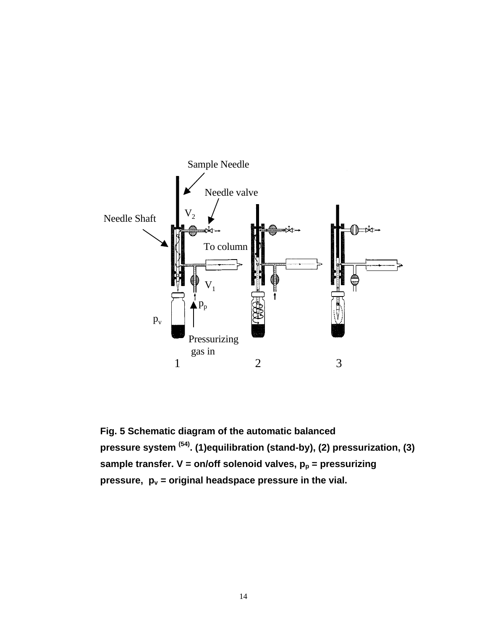

**Fig. 5 Schematic diagram of the automatic balanced pressure system (54). (1)equilibration (stand-by), (2) pressurization, (3)** sample transfer. V = on/off solenoid valves,  $p_p$  = pressurizing **pressure, pv = original headspace pressure in the vial.**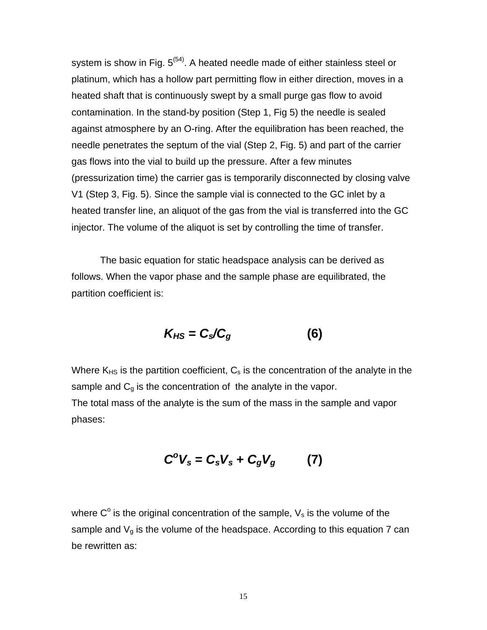system is show in Fig.  $5^{(54)}$ . A heated needle made of either stainless steel or platinum, which has a hollow part permitting flow in either direction, moves in a heated shaft that is continuously swept by a small purge gas flow to avoid contamination. In the stand-by position (Step 1, Fig 5) the needle is sealed against atmosphere by an O-ring. After the equilibration has been reached, the needle penetrates the septum of the vial (Step 2, Fig. 5) and part of the carrier gas flows into the vial to build up the pressure. After a few minutes (pressurization time) the carrier gas is temporarily disconnected by closing valve V1 (Step 3, Fig. 5). Since the sample vial is connected to the GC inlet by a heated transfer line, an aliquot of the gas from the vial is transferred into the GC injector. The volume of the aliquot is set by controlling the time of transfer.

The basic equation for static headspace analysis can be derived as follows. When the vapor phase and the sample phase are equilibrated, the partition coefficient is:

$$
K_{HS} = C_s/C_g \tag{6}
$$

Where  $K_{HS}$  is the partition coefficient,  $C_s$  is the concentration of the analyte in the sample and  $C_q$  is the concentration of the analyte in the vapor. The total mass of the analyte is the sum of the mass in the sample and vapor phases:

$$
C^{\circ}V_{s}=C_{s}V_{s}+C_{g}V_{g}
$$
 (7)

where  $C^{\circ}$  is the original concentration of the sample,  $V_{s}$  is the volume of the sample and  $V_q$  is the volume of the headspace. According to this equation 7 can be rewritten as: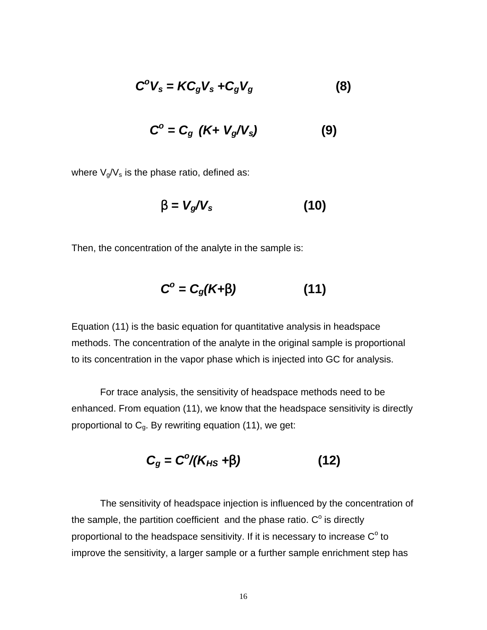$$
C^{\circ}V_{s} = KC_{g}V_{s} + C_{g}V_{g}
$$
 (8)

$$
C^{o} = C_{g} \left( K + V_{g} / V_{s} \right) \tag{9}
$$

where  $V_g/V_s$  is the phase ratio, defined as:

$$
b = V_g/V_s \tag{10}
$$

Then, the concentration of the analyte in the sample is:

$$
C^{\circ} = C_g(K + b) \tag{11}
$$

Equation (11) is the basic equation for quantitative analysis in headspace methods. The concentration of the analyte in the original sample is proportional to its concentration in the vapor phase which is injected into GC for analysis.

For trace analysis, the sensitivity of headspace methods need to be enhanced. From equation (11), we know that the headspace sensitivity is directly proportional to  $C<sub>g</sub>$ . By rewriting equation (11), we get:

$$
C_g = C^o/(K_{HS} + b)
$$
 (12)

The sensitivity of headspace injection is influenced by the concentration of the sample, the partition coefficient and the phase ratio.  $C^{\circ}$  is directly proportional to the headspace sensitivity. If it is necessary to increase  $\mathsf{C}^\circ$  to improve the sensitivity, a larger sample or a further sample enrichment step has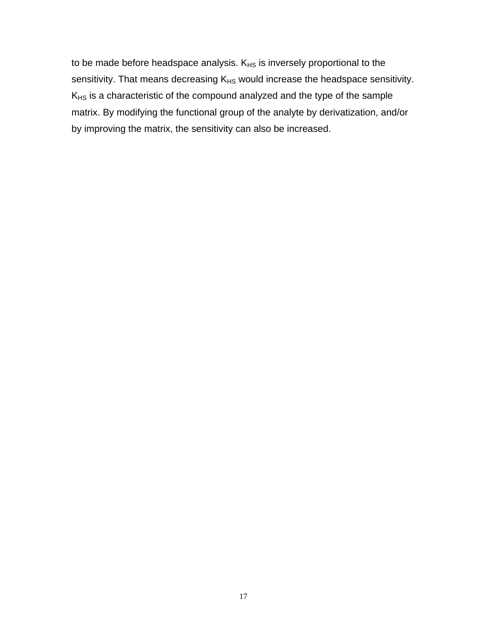to be made before headspace analysis.  $K_{HS}$  is inversely proportional to the sensitivity. That means decreasing  $K_{HS}$  would increase the headspace sensitivity.  $K_{HS}$  is a characteristic of the compound analyzed and the type of the sample matrix. By modifying the functional group of the analyte by derivatization, and/or by improving the matrix, the sensitivity can also be increased.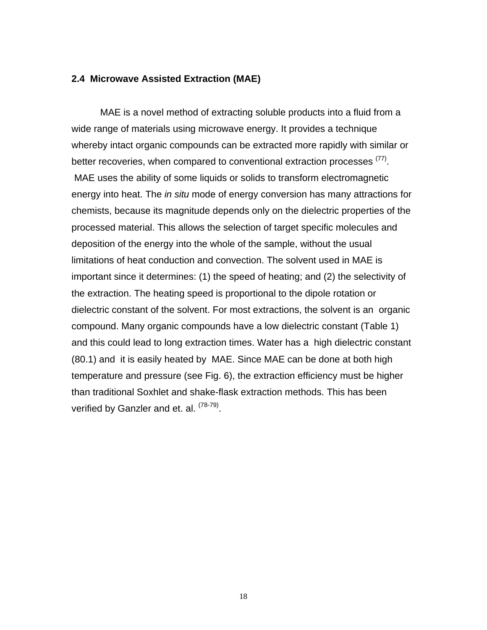#### **2.4 Microwave Assisted Extraction (MAE)**

MAE is a novel method of extracting soluble products into a fluid from a wide range of materials using microwave energy. It provides a technique whereby intact organic compounds can be extracted more rapidly with similar or better recoveries, when compared to conventional extraction processes <sup>(77)</sup>. MAE uses the ability of some liquids or solids to transform electromagnetic energy into heat. The *in situ* mode of energy conversion has many attractions for chemists, because its magnitude depends only on the dielectric properties of the processed material. This allows the selection of target specific molecules and deposition of the energy into the whole of the sample, without the usual limitations of heat conduction and convection. The solvent used in MAE is important since it determines: (1) the speed of heating; and (2) the selectivity of the extraction. The heating speed is proportional to the dipole rotation or dielectric constant of the solvent. For most extractions, the solvent is an organic compound. Many organic compounds have a low dielectric constant (Table 1) and this could lead to long extraction times. Water has a high dielectric constant (80.1) and it is easily heated by MAE. Since MAE can be done at both high temperature and pressure (see Fig. 6), the extraction efficiency must be higher than traditional Soxhlet and shake-flask extraction methods. This has been verified by Ganzler and et. al. <sup>(78-79)</sup>.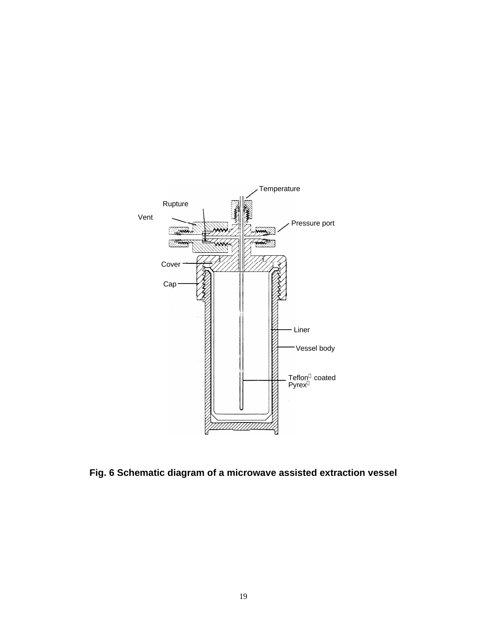

**Fig. 6 Schematic diagram of a microwave assisted extraction vessel**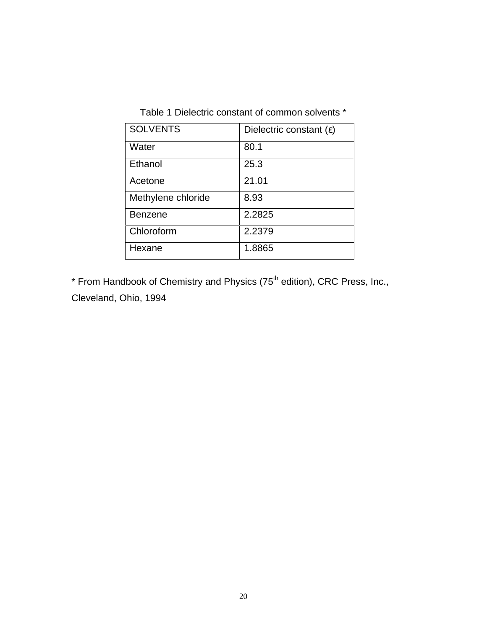Table 1 Dielectric constant of common solvents \*

| <b>SOLVENTS</b>    | Dielectric constant $(\epsilon)$ |
|--------------------|----------------------------------|
| Water              | 80.1                             |
| Ethanol            | 25.3                             |
| Acetone            | 21.01                            |
| Methylene chloride | 8.93                             |
| <b>Benzene</b>     | 2.2825                           |
| Chloroform         | 2.2379                           |
| Hexane             | 1.8865                           |

\* From Handbook of Chemistry and Physics (75<sup>th</sup> edition), CRC Press, Inc., Cleveland, Ohio, 1994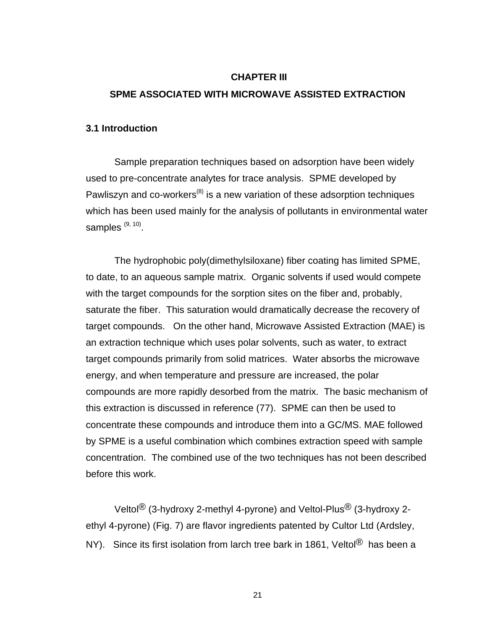#### **CHAPTER III**

#### **SPME ASSOCIATED WITH MICROWAVE ASSISTED EXTRACTION**

#### **3.1 Introduction**

Sample preparation techniques based on adsorption have been widely used to pre-concentrate analytes for trace analysis. SPME developed by Pawliszyn and  $\cos$ -workers<sup>(8)</sup> is a new variation of these adsorption techniques which has been used mainly for the analysis of pollutants in environmental water samples<sup>(9, 10)</sup>.

The hydrophobic poly(dimethylsiloxane) fiber coating has limited SPME, to date, to an aqueous sample matrix. Organic solvents if used would compete with the target compounds for the sorption sites on the fiber and, probably, saturate the fiber. This saturation would dramatically decrease the recovery of target compounds. On the other hand, Microwave Assisted Extraction (MAE) is an extraction technique which uses polar solvents, such as water, to extract target compounds primarily from solid matrices. Water absorbs the microwave energy, and when temperature and pressure are increased, the polar compounds are more rapidly desorbed from the matrix. The basic mechanism of this extraction is discussed in reference (77). SPME can then be used to concentrate these compounds and introduce them into a GC/MS. MAE followed by SPME is a useful combination which combines extraction speed with sample concentration. The combined use of the two techniques has not been described before this work.

Veltol® (3-hydroxy 2-methyl 4-pyrone) and Veltol-Plus® (3-hydroxy 2 ethyl 4-pyrone) (Fig. 7) are flavor ingredients patented by Cultor Ltd (Ardsley, NY). Since its first isolation from larch tree bark in 1861, Veltol<sup>®</sup> has been a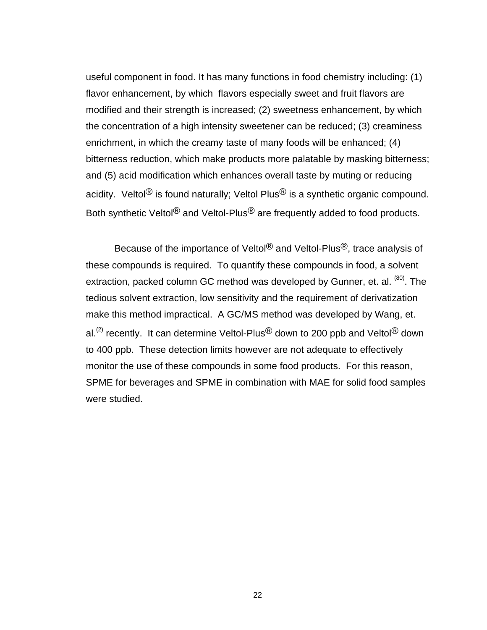useful component in food. It has many functions in food chemistry including: (1) flavor enhancement, by which flavors especially sweet and fruit flavors are modified and their strength is increased; (2) sweetness enhancement, by which the concentration of a high intensity sweetener can be reduced; (3) creaminess enrichment, in which the creamy taste of many foods will be enhanced; (4) bitterness reduction, which make products more palatable by masking bitterness; and (5) acid modification which enhances overall taste by muting or reducing acidity. Veltol<sup>®</sup> is found naturally; Veltol Plus<sup>®</sup> is a synthetic organic compound. Both synthetic Veltol<sup>®</sup> and Veltol-Plus<sup>®</sup> are frequently added to food products.

Because of the importance of Veltol<sup>®</sup> and Veltol-Plus<sup>®</sup>, trace analysis of these compounds is required. To quantify these compounds in food, a solvent extraction, packed column GC method was developed by Gunner, et. al. <sup>(80)</sup>. The tedious solvent extraction, low sensitivity and the requirement of derivatization make this method impractical. A GC/MS method was developed by Wang, et. al.<sup>(2)</sup> recently. It can determine Veltol-Plus<sup>®</sup> down to 200 ppb and Veltol<sup>®</sup> down to 400 ppb. These detection limits however are not adequate to effectively monitor the use of these compounds in some food products. For this reason, SPME for beverages and SPME in combination with MAE for solid food samples were studied.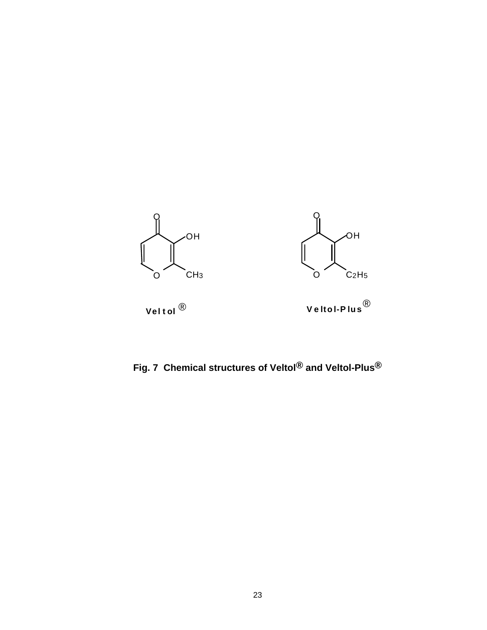

**Fig. 7 Chemical structures of Veltol® and Veltol-Plus®**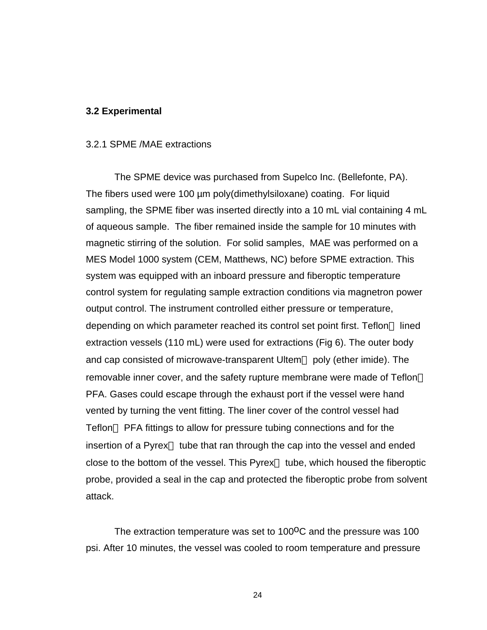#### **3.2 Experimental**

#### 3.2.1 SPME /MAE extractions

The SPME device was purchased from Supelco Inc. (Bellefonte, PA). The fibers used were 100 µm poly(dimethylsiloxane) coating. For liquid sampling, the SPME fiber was inserted directly into a 10 mL vial containing 4 mL of aqueous sample. The fiber remained inside the sample for 10 minutes with magnetic stirring of the solution. For solid samples, MAE was performed on a MES Model 1000 system (CEM, Matthews, NC) before SPME extraction. This system was equipped with an inboard pressure and fiberoptic temperature control system for regulating sample extraction conditions via magnetron power output control. The instrument controlled either pressure or temperature, depending on which parameter reached its control set point first. Teflon<sup> $TM$ </sup> lined extraction vessels (110 mL) were used for extractions (Fig 6). The outer body and cap consisted of microwave-transparent Ultem<sup>TM</sup> poly (ether imide). The removable inner cover, and the safety rupture membrane were made of Teflon<sup>™</sup> PFA. Gases could escape through the exhaust port if the vessel were hand vented by turning the vent fitting. The liner cover of the control vessel had  $Teflon<sup>TM</sup>$  PFA fittings to allow for pressure tubing connections and for the insertion of a Pyrex<sup> $TM$ </sup> tube that ran through the cap into the vessel and ended close to the bottom of the vessel. This Pyrex<sup> $TM$ </sup> tube, which housed the fiberoptic probe, provided a seal in the cap and protected the fiberoptic probe from solvent attack.

The extraction temperature was set to  $100^{\circ}$ C and the pressure was 100 psi. After 10 minutes, the vessel was cooled to room temperature and pressure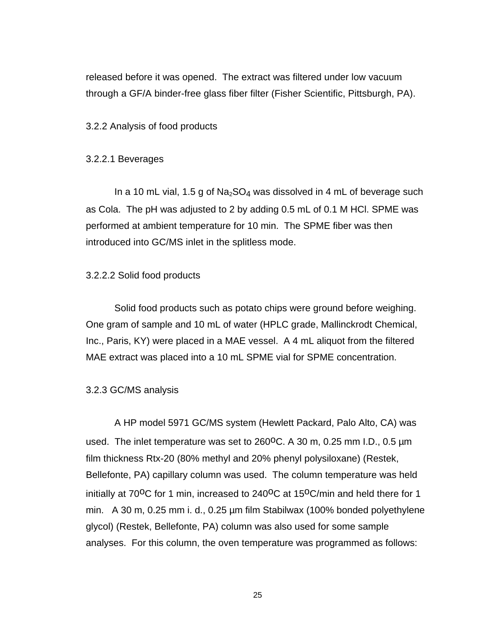released before it was opened. The extract was filtered under low vacuum through a GF/A binder-free glass fiber filter (Fisher Scientific, Pittsburgh, PA).

3.2.2 Analysis of food products

#### 3.2.2.1 Beverages

In a 10 mL vial, 1.5 g of  $Na<sub>2</sub>SO<sub>4</sub>$  was dissolved in 4 mL of beverage such as Cola. The pH was adjusted to 2 by adding 0.5 mL of 0.1 M HCl. SPME was performed at ambient temperature for 10 min. The SPME fiber was then introduced into GC/MS inlet in the splitless mode.

#### 3.2.2.2 Solid food products

Solid food products such as potato chips were ground before weighing. One gram of sample and 10 mL of water (HPLC grade, Mallinckrodt Chemical, Inc., Paris, KY) were placed in a MAE vessel. A 4 mL aliquot from the filtered MAE extract was placed into a 10 mL SPME vial for SPME concentration.

#### 3.2.3 GC/MS analysis

A HP model 5971 GC/MS system (Hewlett Packard, Palo Alto, CA) was used. The inlet temperature was set to  $260^{\circ}$ C. A 30 m, 0.25 mm I.D., 0.5  $\mu$ m film thickness Rtx-20 (80% methyl and 20% phenyl polysiloxane) (Restek, Bellefonte, PA) capillary column was used. The column temperature was held initially at  $70^{\circ}$ C for 1 min, increased to  $240^{\circ}$ C at  $15^{\circ}$ C/min and held there for 1 min. A 30 m, 0.25 mm i. d., 0.25 µm film Stabilwax (100% bonded polyethylene glycol) (Restek, Bellefonte, PA) column was also used for some sample analyses. For this column, the oven temperature was programmed as follows: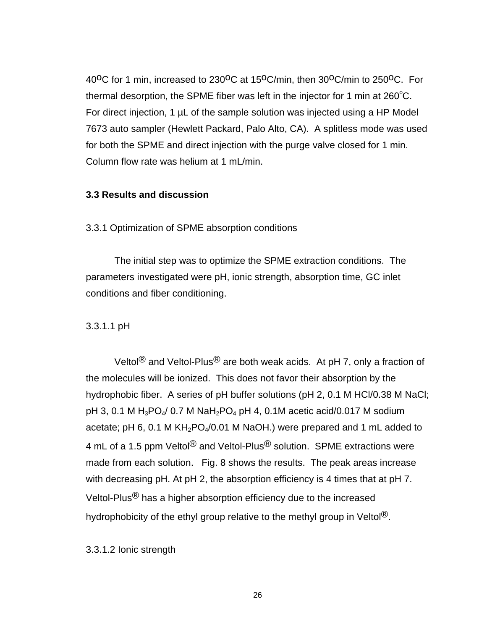40<sup>o</sup>C for 1 min, increased to 230<sup>o</sup>C at 15<sup>o</sup>C/min, then 30<sup>o</sup>C/min to 250<sup>o</sup>C. For thermal desorption, the SPME fiber was left in the injector for 1 min at  $260^{\circ}$ C. For direct injection, 1 µL of the sample solution was injected using a HP Model 7673 auto sampler (Hewlett Packard, Palo Alto, CA). A splitless mode was used for both the SPME and direct injection with the purge valve closed for 1 min. Column flow rate was helium at 1 mL/min.

#### **3.3 Results and discussion**

3.3.1 Optimization of SPME absorption conditions

The initial step was to optimize the SPME extraction conditions. The parameters investigated were pH, ionic strength, absorption time, GC inlet conditions and fiber conditioning.

#### 3.3.1.1 pH

Veltol<sup>®</sup> and Veltol-Plus<sup>®</sup> are both weak acids. At pH 7, only a fraction of the molecules will be ionized. This does not favor their absorption by the hydrophobic fiber. A series of pH buffer solutions (pH 2, 0.1 M HCl/0.38 M NaCl; pH 3, 0.1 M H<sub>3</sub>PO<sub>4</sub>/ 0.7 M NaH<sub>2</sub>PO<sub>4</sub> pH 4, 0.1M acetic acid/0.017 M sodium acetate; pH 6, 0.1 M  $KH_2PO_4/0.01$  M NaOH.) were prepared and 1 mL added to 4 mL of a 1.5 ppm Veltol<sup>®</sup> and Veltol-Plus<sup>®</sup> solution. SPME extractions were made from each solution. Fig. 8 shows the results. The peak areas increase with decreasing pH. At pH 2, the absorption efficiency is 4 times that at pH 7. Veltol-Plus® has a higher absorption efficiency due to the increased hydrophobicity of the ethyl group relative to the methyl group in Veltol<sup>®</sup>.

3.3.1.2 Ionic strength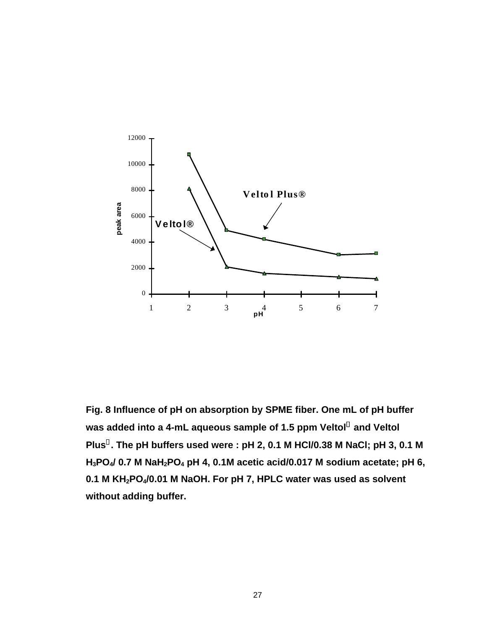

**Fig. 8 Influence of pH on absorption by SPME fiber. One mL of pH buffer was added into a 4-mL aqueous sample of 1.5 ppm Veltol and Veltol Plus . The pH buffers used were : pH 2, 0.1 M HCl/0.38 M NaCl; pH 3, 0.1 M H3PO4/ 0.7 M NaH2PO4 pH 4, 0.1M acetic acid/0.017 M sodium acetate; pH 6, 0.1 M KH2PO4/0.01 M NaOH. For pH 7, HPLC water was used as solvent without adding buffer.**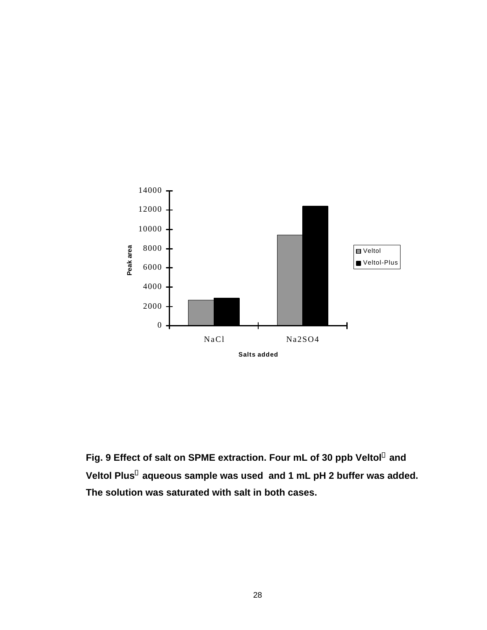

Fig. 9 Effect of salt on SPME extraction. Four mL of 30 ppb Veltol<sup>®</sup> and Veltol Plus<sup>®</sup> aqueous sample was used and 1 mL pH 2 buffer was added. **The solution was saturated with salt in both cases.**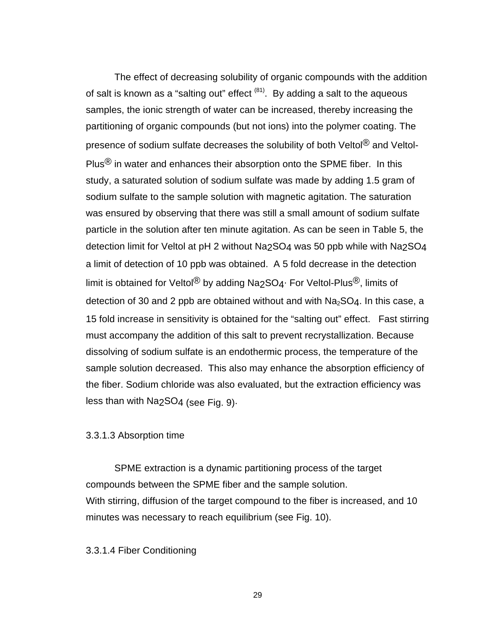The effect of decreasing solubility of organic compounds with the addition of salt is known as a "salting out" effect  $(81)$ . By adding a salt to the aqueous samples, the ionic strength of water can be increased, thereby increasing the partitioning of organic compounds (but not ions) into the polymer coating. The presence of sodium sulfate decreases the solubility of both Veltol® and Veltol-Plus<sup>®</sup> in water and enhances their absorption onto the SPME fiber. In this study, a saturated solution of sodium sulfate was made by adding 1.5 gram of sodium sulfate to the sample solution with magnetic agitation. The saturation was ensured by observing that there was still a small amount of sodium sulfate particle in the solution after ten minute agitation. As can be seen in Table 5, the detection limit for Veltol at pH 2 without Na<sub>2</sub>SO<sub>4</sub> was 50 ppb while with Na<sub>2</sub>SO<sub>4</sub> a limit of detection of 10 ppb was obtained. A 5 fold decrease in the detection limit is obtained for Veltol<sup>®</sup> by adding Na<sub>2</sub>SO4· For Veltol-Plus<sup>®</sup>, limits of detection of 30 and 2 ppb are obtained without and with  $Na<sub>2</sub>SO<sub>4</sub>$ . In this case, a 15 fold increase in sensitivity is obtained for the "salting out" effect. Fast stirring must accompany the addition of this salt to prevent recrystallization. Because dissolving of sodium sulfate is an endothermic process, the temperature of the sample solution decreased. This also may enhance the absorption efficiency of the fiber. Sodium chloride was also evaluated, but the extraction efficiency was less than with Na2SO4 (see Fig. 9).

### 3.3.1.3 Absorption time

SPME extraction is a dynamic partitioning process of the target compounds between the SPME fiber and the sample solution. With stirring, diffusion of the target compound to the fiber is increased, and 10 minutes was necessary to reach equilibrium (see Fig. 10).

### 3.3.1.4 Fiber Conditioning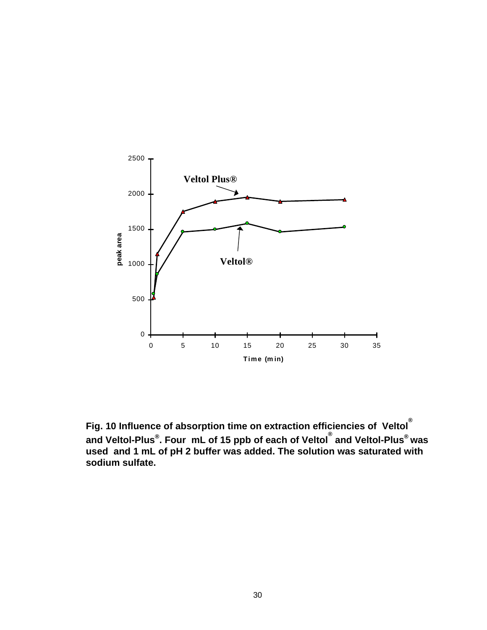

**Fig. 10 Influence of absorption time on extraction efficiencies of Veltol ® and Veltol-Plus® . Four mL of 15 ppb of each of Veltol ® and Veltol-Plus® was used and 1 mL of pH 2 buffer was added. The solution was saturated with sodium sulfate.**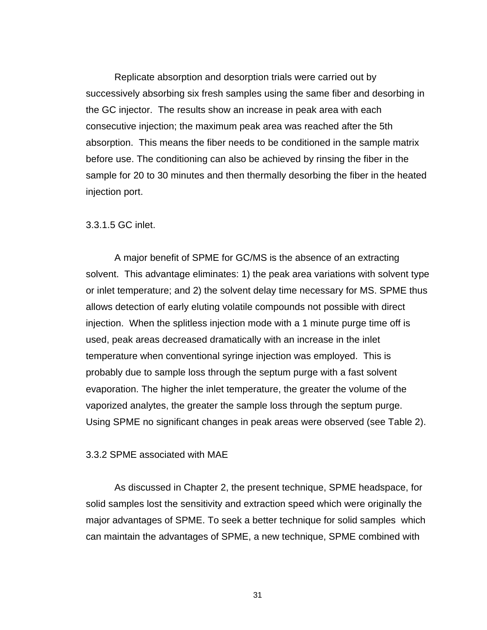Replicate absorption and desorption trials were carried out by successively absorbing six fresh samples using the same fiber and desorbing in the GC injector. The results show an increase in peak area with each consecutive injection; the maximum peak area was reached after the 5th absorption. This means the fiber needs to be conditioned in the sample matrix before use. The conditioning can also be achieved by rinsing the fiber in the sample for 20 to 30 minutes and then thermally desorbing the fiber in the heated injection port.

### 3.3.1.5 GC inlet.

A major benefit of SPME for GC/MS is the absence of an extracting solvent. This advantage eliminates: 1) the peak area variations with solvent type or inlet temperature; and 2) the solvent delay time necessary for MS. SPME thus allows detection of early eluting volatile compounds not possible with direct injection. When the splitless injection mode with a 1 minute purge time off is used, peak areas decreased dramatically with an increase in the inlet temperature when conventional syringe injection was employed. This is probably due to sample loss through the septum purge with a fast solvent evaporation. The higher the inlet temperature, the greater the volume of the vaporized analytes, the greater the sample loss through the septum purge. Using SPME no significant changes in peak areas were observed (see Table 2).

### 3.3.2 SPME associated with MAE

As discussed in Chapter 2, the present technique, SPME headspace, for solid samples lost the sensitivity and extraction speed which were originally the major advantages of SPME. To seek a better technique for solid samples which can maintain the advantages of SPME, a new technique, SPME combined with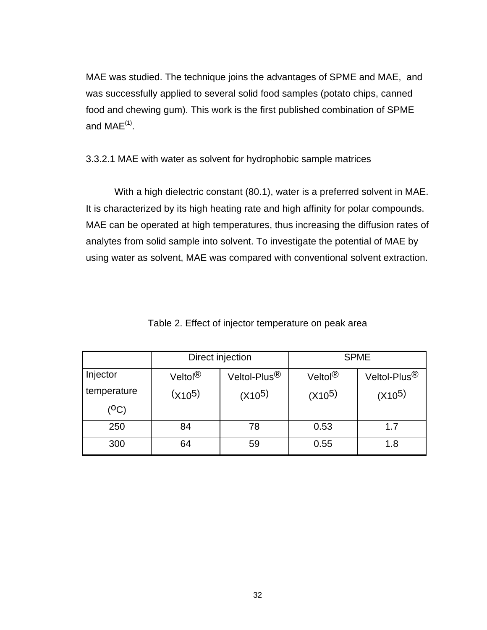MAE was studied. The technique joins the advantages of SPME and MAE, and was successfully applied to several solid food samples (potato chips, canned food and chewing gum). This work is the first published combination of SPME and  $MAE^{(1)}$ .

3.3.2.1 MAE with water as solvent for hydrophobic sample matrices

With a high dielectric constant (80.1), water is a preferred solvent in MAE. It is characterized by its high heating rate and high affinity for polar compounds. MAE can be operated at high temperatures, thus increasing the diffusion rates of analytes from solid sample into solvent. To investigate the potential of MAE by using water as solvent, MAE was compared with conventional solvent extraction.

|             | Direct injection    |                          | <b>SPME</b>         |                          |
|-------------|---------------------|--------------------------|---------------------|--------------------------|
| Injector    | Veltol <sup>®</sup> | Veltol-Plus <sup>®</sup> | Veltol <sup>®</sup> | Veltol-Plus <sup>®</sup> |
| temperature | $(x_{10}5)$         | $(X10^5)$                | $(X10^5)$           | $(X10^5)$                |
| (OC)        |                     |                          |                     |                          |
| 250         | 84                  | 78                       | 0.53                | 1.7                      |
| 300         | 64                  | 59                       | 0.55                | 1.8                      |

Table 2. Effect of injector temperature on peak area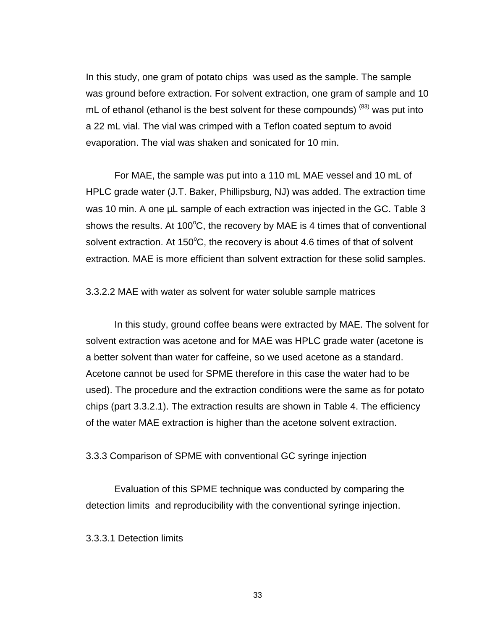In this study, one gram of potato chips was used as the sample. The sample was ground before extraction. For solvent extraction, one gram of sample and 10 mL of ethanol (ethanol is the best solvent for these compounds)  $(83)$  was put into a 22 mL vial. The vial was crimped with a Teflon coated septum to avoid evaporation. The vial was shaken and sonicated for 10 min.

For MAE, the sample was put into a 110 mL MAE vessel and 10 mL of HPLC grade water (J.T. Baker, Phillipsburg, NJ) was added. The extraction time was 10 min. A one μL sample of each extraction was injected in the GC. Table 3 shows the results. At 100 $\degree$ C, the recovery by MAE is 4 times that of conventional solvent extraction. At  $150^{\circ}$ C, the recovery is about 4.6 times of that of solvent extraction. MAE is more efficient than solvent extraction for these solid samples.

3.3.2.2 MAE with water as solvent for water soluble sample matrices

In this study, ground coffee beans were extracted by MAE. The solvent for solvent extraction was acetone and for MAE was HPLC grade water (acetone is a better solvent than water for caffeine, so we used acetone as a standard. Acetone cannot be used for SPME therefore in this case the water had to be used). The procedure and the extraction conditions were the same as for potato chips (part 3.3.2.1). The extraction results are shown in Table 4. The efficiency of the water MAE extraction is higher than the acetone solvent extraction.

3.3.3 Comparison of SPME with conventional GC syringe injection

Evaluation of this SPME technique was conducted by comparing the detection limits and reproducibility with the conventional syringe injection.

3.3.3.1 Detection limits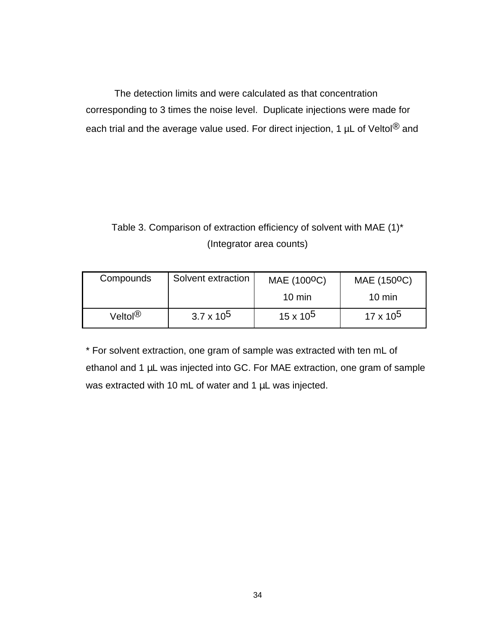The detection limits and were calculated as that concentration corresponding to 3 times the noise level. Duplicate injections were made for each trial and the average value used. For direct injection, 1 µL of Veltol<sup>®</sup> and

# Table 3. Comparison of extraction efficiency of solvent with MAE (1)\* (Integrator area counts)

| Compounds           | Solvent extraction | MAE (100 <sup>o</sup> C) | MAE (150 <sup>o</sup> C) |
|---------------------|--------------------|--------------------------|--------------------------|
|                     |                    | $10 \text{ min}$         | $10 \text{ min}$         |
| Veltol <sup>®</sup> | $3.7 \times 10^5$  | $15 \times 10^5$         | $17 \times 10^5$         |

\* For solvent extraction, one gram of sample was extracted with ten mL of ethanol and 1 μL was injected into GC. For MAE extraction, one gram of sample was extracted with 10 mL of water and 1 μL was injected.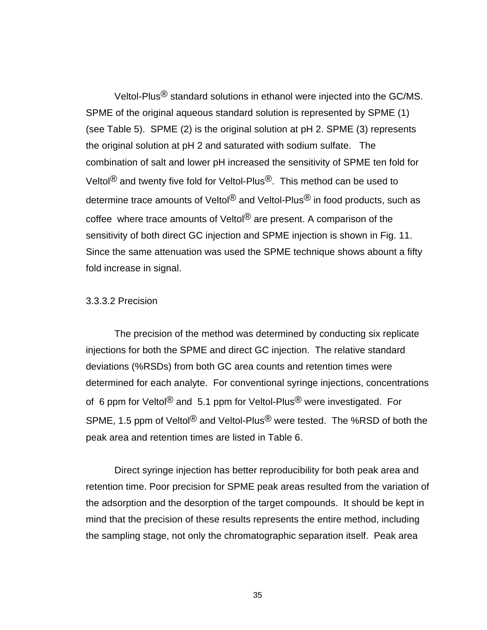Veltol-Plus® standard solutions in ethanol were injected into the GC/MS. SPME of the original aqueous standard solution is represented by SPME (1) (see Table 5). SPME (2) is the original solution at pH 2. SPME (3) represents the original solution at pH 2 and saturated with sodium sulfate. The combination of salt and lower pH increased the sensitivity of SPME ten fold for Veltol<sup>®</sup> and twenty five fold for Veltol-Plus<sup>®</sup>. This method can be used to determine trace amounts of Veltol<sup>®</sup> and Veltol-Plus<sup>®</sup> in food products, such as coffee where trace amounts of Veltol<sup>®</sup> are present. A comparison of the sensitivity of both direct GC injection and SPME injection is shown in Fig. 11. Since the same attenuation was used the SPME technique shows abount a fifty fold increase in signal.

### 3.3.3.2 Precision

The precision of the method was determined by conducting six replicate injections for both the SPME and direct GC injection. The relative standard deviations (%RSDs) from both GC area counts and retention times were determined for each analyte. For conventional syringe injections, concentrations of 6 ppm for Veltol<sup>®</sup> and 5.1 ppm for Veltol-Plus<sup>®</sup> were investigated. For SPME, 1.5 ppm of Veltol<sup>®</sup> and Veltol-Plus<sup>®</sup> were tested. The %RSD of both the peak area and retention times are listed in Table 6.

Direct syringe injection has better reproducibility for both peak area and retention time. Poor precision for SPME peak areas resulted from the variation of the adsorption and the desorption of the target compounds. It should be kept in mind that the precision of these results represents the entire method, including the sampling stage, not only the chromatographic separation itself. Peak area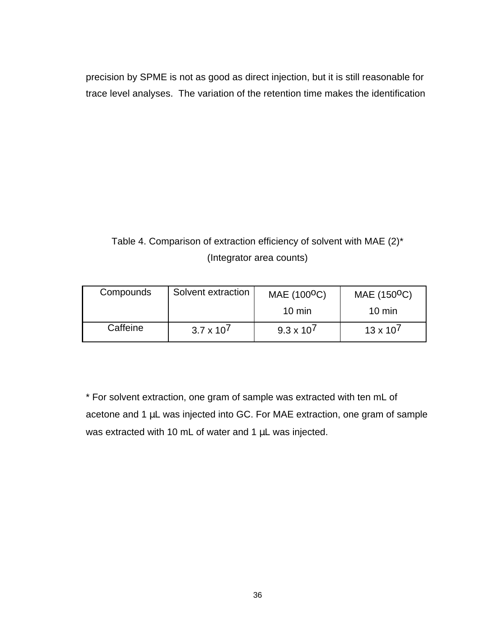precision by SPME is not as good as direct injection, but it is still reasonable for trace level analyses. The variation of the retention time makes the identification

# Table 4. Comparison of extraction efficiency of solvent with MAE (2)\* (Integrator area counts)

| Compounds | Solvent extraction | MAE (100 <sup>o</sup> C) | MAE (150 <sup>o</sup> C) |
|-----------|--------------------|--------------------------|--------------------------|
|           |                    | $10 \text{ min}$         | $10 \text{ min}$         |
| Caffeine  | $3.7 \times 10^7$  | $9.3 \times 10^{7}$      | $13 \times 10^{7}$       |

\* For solvent extraction, one gram of sample was extracted with ten mL of acetone and 1 μL was injected into GC. For MAE extraction, one gram of sample was extracted with 10 mL of water and 1 μL was injected.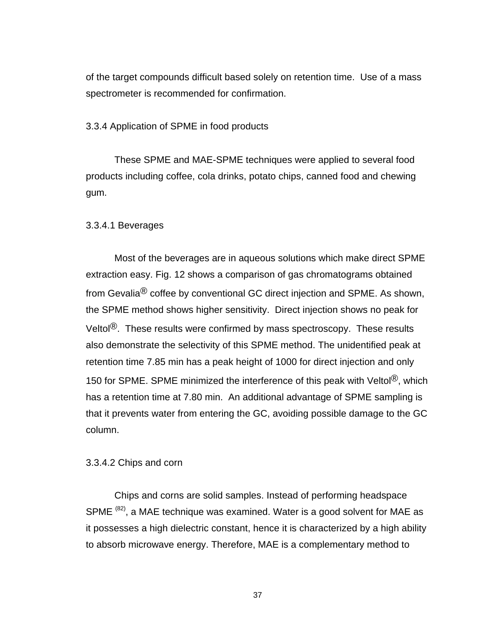of the target compounds difficult based solely on retention time. Use of a mass spectrometer is recommended for confirmation.

3.3.4 Application of SPME in food products

These SPME and MAE-SPME techniques were applied to several food products including coffee, cola drinks, potato chips, canned food and chewing gum.

3.3.4.1 Beverages

Most of the beverages are in aqueous solutions which make direct SPME extraction easy. Fig. 12 shows a comparison of gas chromatograms obtained from Gevalia® coffee by conventional GC direct injection and SPME. As shown, the SPME method shows higher sensitivity. Direct injection shows no peak for Veltol<sup>®</sup>. These results were confirmed by mass spectroscopy. These results also demonstrate the selectivity of this SPME method. The unidentified peak at retention time 7.85 min has a peak height of 1000 for direct injection and only 150 for SPME. SPME minimized the interference of this peak with Veltol<sup>®</sup>, which has a retention time at 7.80 min. An additional advantage of SPME sampling is that it prevents water from entering the GC, avoiding possible damage to the GC column.

3.3.4.2 Chips and corn

Chips and corns are solid samples. Instead of performing headspace SPME<sup>(82)</sup>, a MAE technique was examined. Water is a good solvent for MAE as it possesses a high dielectric constant, hence it is characterized by a high ability to absorb microwave energy. Therefore, MAE is a complementary method to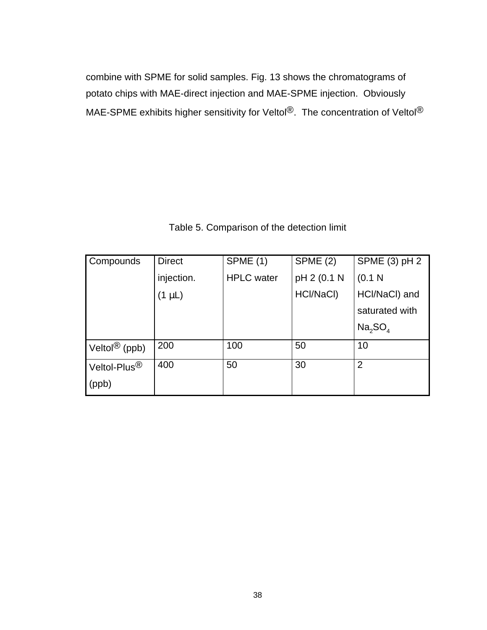combine with SPME for solid samples. Fig. 13 shows the chromatograms of potato chips with MAE-direct injection and MAE-SPME injection. Obviously MAE-SPME exhibits higher sensitivity for Veltol<sup>®</sup>. The concentration of Veltol<sup>®</sup>

| Compounds                     | <b>Direct</b> | <b>SPME (1)</b>   | SPME (2)    | SPME (3) pH 2                   |
|-------------------------------|---------------|-------------------|-------------|---------------------------------|
|                               | injection.    | <b>HPLC</b> water | pH 2 (0.1 N | (0.1 N)                         |
|                               | $(1 \mu L)$   |                   | HCl/NaCl)   | HCl/NaCl) and                   |
|                               |               |                   |             | saturated with                  |
|                               |               |                   |             | Na <sub>2</sub> SO <sub>4</sub> |
| Veltol ${}^{\circledR}$ (ppb) | 200           | 100               | 50          | 10                              |
| Veltol-Plus $^{\circledR}$    | 400           | 50                | 30          | $\overline{2}$                  |
| (ppb)                         |               |                   |             |                                 |

## Table 5. Comparison of the detection limit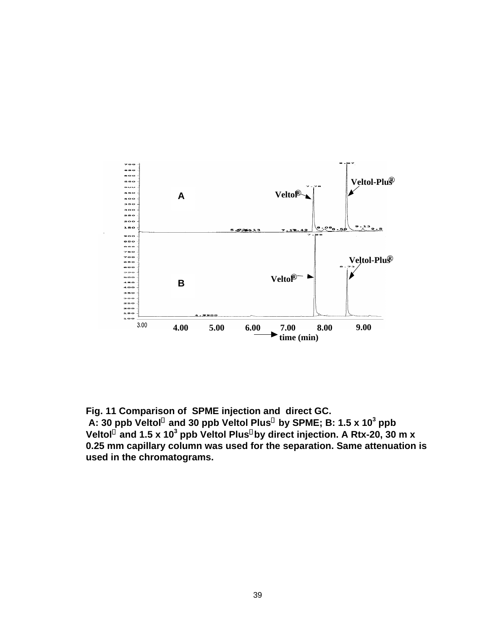

**Fig. 11 Comparison of SPME injection and direct GC.**

A: 30 ppb Veltol<sup>®</sup> and 30 ppb Veltol Plus<sup>®</sup> by SPME; B: 1.5 x 10<sup>3</sup> ppb **Veltol and 1.5 x 10<sup>3</sup> ppb Veltol Plus by direct injection. A Rtx-20, 30 m x 0.25 mm capillary column was used for the separation. Same attenuation is used in the chromatograms.**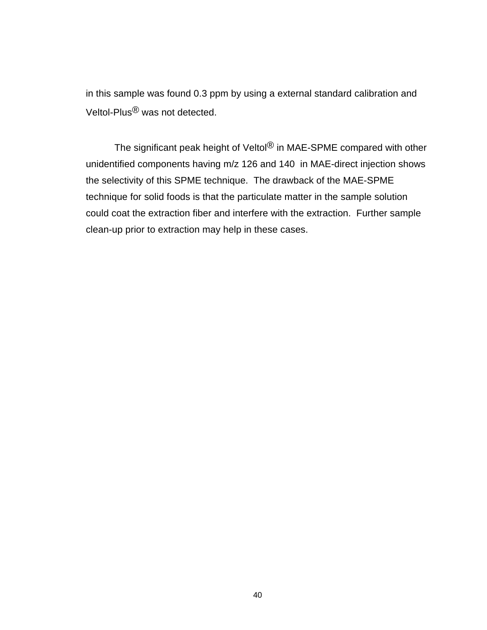in this sample was found 0.3 ppm by using a external standard calibration and Veltol-Plus® was not detected.

The significant peak height of Veltol<sup>®</sup> in MAE-SPME compared with other unidentified components having m/z 126 and 140 in MAE-direct injection shows the selectivity of this SPME technique. The drawback of the MAE-SPME technique for solid foods is that the particulate matter in the sample solution could coat the extraction fiber and interfere with the extraction. Further sample clean-up prior to extraction may help in these cases.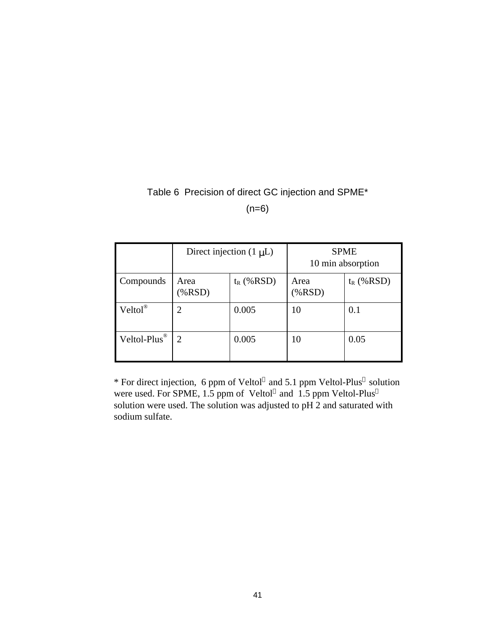## Table 6 Precision of direct GC injection and SPME\*

 $(n=6)$ 

|                          | Direct injection $(1 \mu L)$ |              | <b>SPME</b><br>10 min absorption |              |
|--------------------------|------------------------------|--------------|----------------------------------|--------------|
| Compounds                | Area<br>$(\% RSD)$           | $t_R$ (%RSD) | Area<br>(%RSD)                   | $t_R$ (%RSD) |
| $Veltol^{\circledR}$     |                              | 0.005        | 10                               | 0.1          |
| Veltol-Plus <sup>®</sup> | 2                            | 0.005        | 10                               | 0.05         |

\* For direct injection, 6 ppm of Veltol® and 5.1 ppm Veltol-Plus® solution were used. For SPME, 1.5 ppm of Veltol<sup>®</sup> and 1.5 ppm Veltol-Plus<sup>®</sup> solution were used. The solution was adjusted to pH 2 and saturated with sodium sulfate.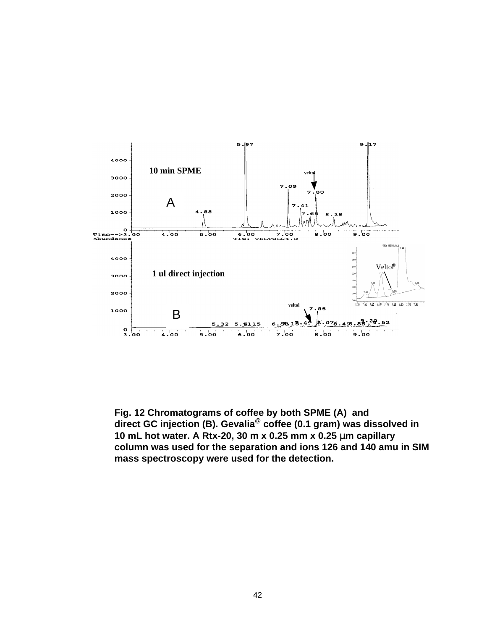

**Fig. 12 Chromatograms of coffee by both SPME (A) and direct GC injection (B). Gevalia@ coffee (0.1 gram) was dissolved in 10 mL hot water. A Rtx-20, 30 m x 0.25 mm x 0.25** μ**m capillary column was used for the separation and ions 126 and 140 amu in SIM mass spectroscopy were used for the detection.**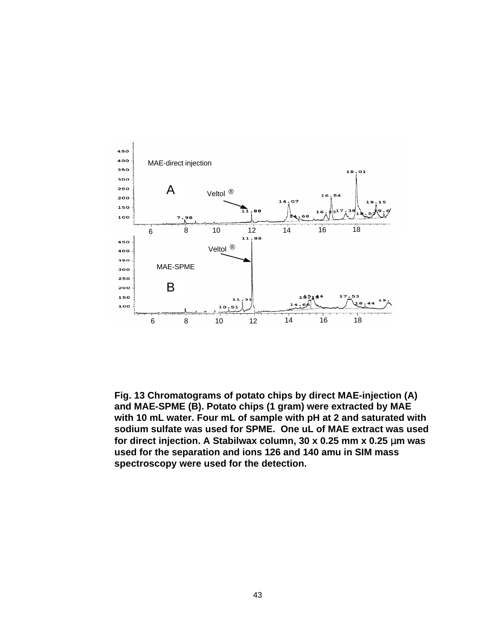

**Fig. 13 Chromatograms of potato chips by direct MAE-injection (A) and MAE-SPME (B). Potato chips (1 gram) were extracted by MAE with 10 mL water. Four mL of sample with pH at 2 and saturated with sodium sulfate was used for SPME. One uL of MAE extract was used for direct injection. A Stabilwax column, 30 x 0.25 mm x 0.25** μ**m was used for the separation and ions 126 and 140 amu in SIM mass spectroscopy were used for the detection.**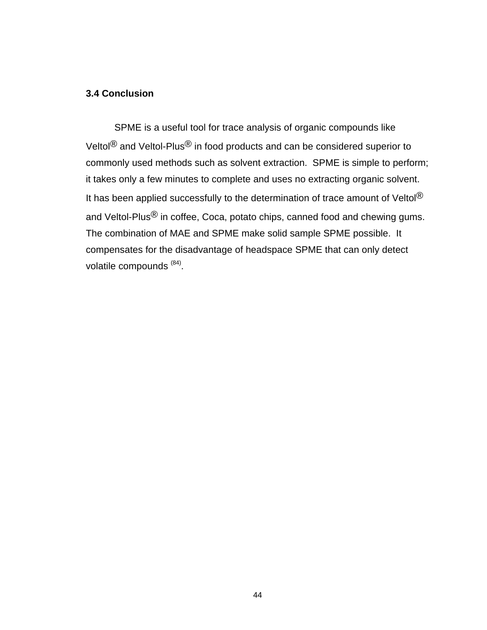### **3.4 Conclusion**

SPME is a useful tool for trace analysis of organic compounds like Veltol<sup>®</sup> and Veltol-Plus<sup>®</sup> in food products and can be considered superior to commonly used methods such as solvent extraction. SPME is simple to perform; it takes only a few minutes to complete and uses no extracting organic solvent. It has been applied successfully to the determination of trace amount of Veltol<sup>®</sup> and Veltol-Plus<sup>®</sup> in coffee, Coca, potato chips, canned food and chewing gums. The combination of MAE and SPME make solid sample SPME possible. It compensates for the disadvantage of headspace SPME that can only detect volatile compounds <sup>(84)</sup>.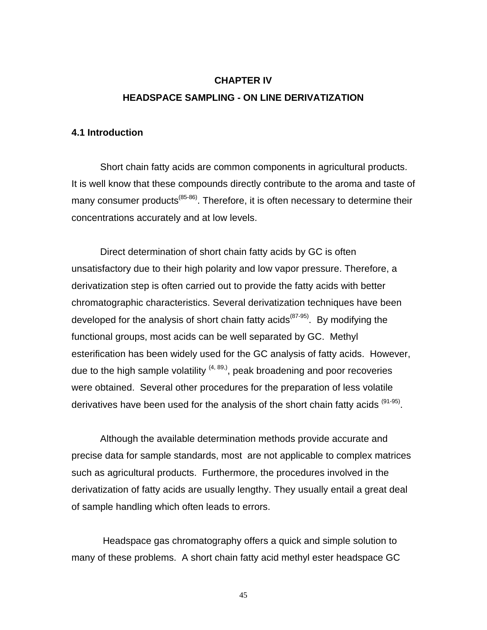# **CHAPTER IV HEADSPACE SAMPLING - ON LINE DERIVATIZATION**

### **4.1 Introduction**

Short chain fatty acids are common components in agricultural products. It is well know that these compounds directly contribute to the aroma and taste of many consumer products<sup>(85-86)</sup>. Therefore, it is often necessary to determine their concentrations accurately and at low levels.

Direct determination of short chain fatty acids by GC is often unsatisfactory due to their high polarity and low vapor pressure. Therefore, a derivatization step is often carried out to provide the fatty acids with better chromatographic characteristics. Several derivatization techniques have been developed for the analysis of short chain fatty acids<sup>(87-95)</sup>. By modifying the functional groups, most acids can be well separated by GC. Methyl esterification has been widely used for the GC analysis of fatty acids. However, due to the high sample volatility  $(4, 89)$ , peak broadening and poor recoveries were obtained. Several other procedures for the preparation of less volatile derivatives have been used for the analysis of the short chain fatty acids <sup>(91-95)</sup>.

Although the available determination methods provide accurate and precise data for sample standards, most are not applicable to complex matrices such as agricultural products. Furthermore, the procedures involved in the derivatization of fatty acids are usually lengthy. They usually entail a great deal of sample handling which often leads to errors.

 Headspace gas chromatography offers a quick and simple solution to many of these problems. A short chain fatty acid methyl ester headspace GC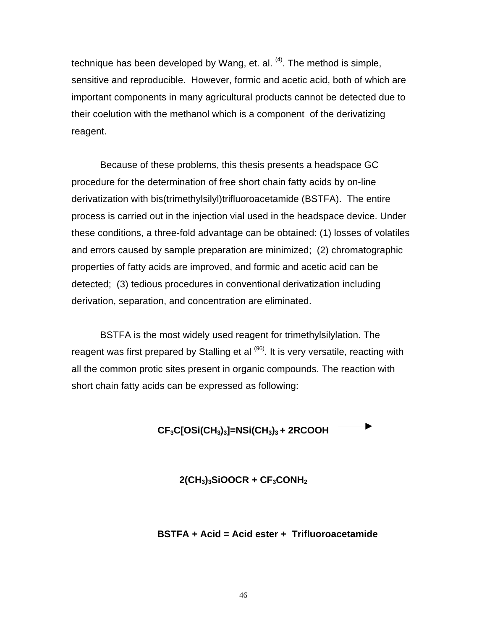technique has been developed by Wang, et. al.  $(4)$ . The method is simple, sensitive and reproducible. However, formic and acetic acid, both of which are important components in many agricultural products cannot be detected due to their coelution with the methanol which is a component of the derivatizing reagent.

Because of these problems, this thesis presents a headspace GC procedure for the determination of free short chain fatty acids by on-line derivatization with bis(trimethylsilyl)trifluoroacetamide (BSTFA). The entire process is carried out in the injection vial used in the headspace device. Under these conditions, a three-fold advantage can be obtained: (1) losses of volatiles and errors caused by sample preparation are minimized; (2) chromatographic properties of fatty acids are improved, and formic and acetic acid can be detected; (3) tedious procedures in conventional derivatization including derivation, separation, and concentration are eliminated.

BSTFA is the most widely used reagent for trimethylsilylation. The reagent was first prepared by Stalling et al <sup>(96)</sup>. It is very versatile, reacting with all the common protic sites present in organic compounds. The reaction with short chain fatty acids can be expressed as following:

## **CF3C[OSi(CH3)3]=NSi(CH3)3 + 2RCOOH**

### **2(CH3)3SiOOCR + CF3CONH<sup>2</sup>**

### **BSTFA + Acid = Acid ester + Trifluoroacetamide**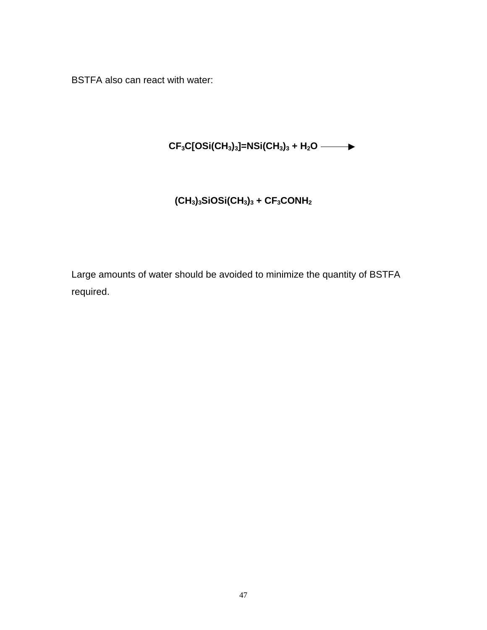BSTFA also can react with water:

# **CF3C[OSi(CH3)3]=NSi(CH3)3 + H2O**

# **(CH3)3SiOSi(CH3)3 + CF3CONH<sup>2</sup>**

Large amounts of water should be avoided to minimize the quantity of BSTFA required.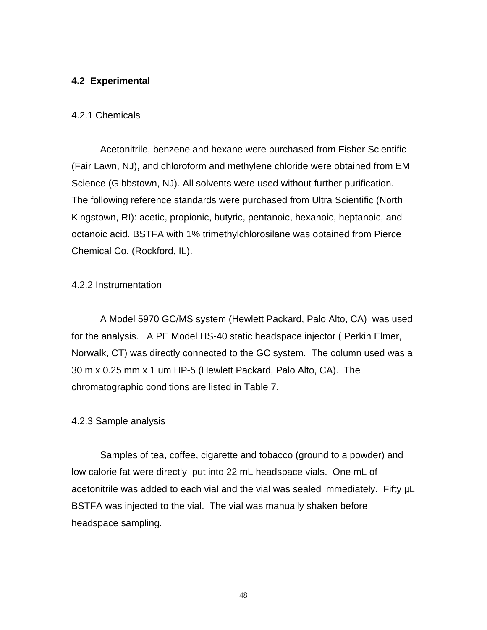### **4.2 Experimental**

### 4.2.1 Chemicals

Acetonitrile, benzene and hexane were purchased from Fisher Scientific (Fair Lawn, NJ), and chloroform and methylene chloride were obtained from EM Science (Gibbstown, NJ). All solvents were used without further purification. The following reference standards were purchased from Ultra Scientific (North Kingstown, RI): acetic, propionic, butyric, pentanoic, hexanoic, heptanoic, and octanoic acid. BSTFA with 1% trimethylchlorosilane was obtained from Pierce Chemical Co. (Rockford, IL).

### 4.2.2 Instrumentation

A Model 5970 GC/MS system (Hewlett Packard, Palo Alto, CA) was used for the analysis. A PE Model HS-40 static headspace injector ( Perkin Elmer, Norwalk, CT) was directly connected to the GC system. The column used was a 30 m x 0.25 mm x 1 um HP-5 (Hewlett Packard, Palo Alto, CA). The chromatographic conditions are listed in Table 7.

### 4.2.3 Sample analysis

Samples of tea, coffee, cigarette and tobacco (ground to a powder) and low calorie fat were directly put into 22 mL headspace vials. One mL of acetonitrile was added to each vial and the vial was sealed immediately. Fifty µL BSTFA was injected to the vial. The vial was manually shaken before headspace sampling.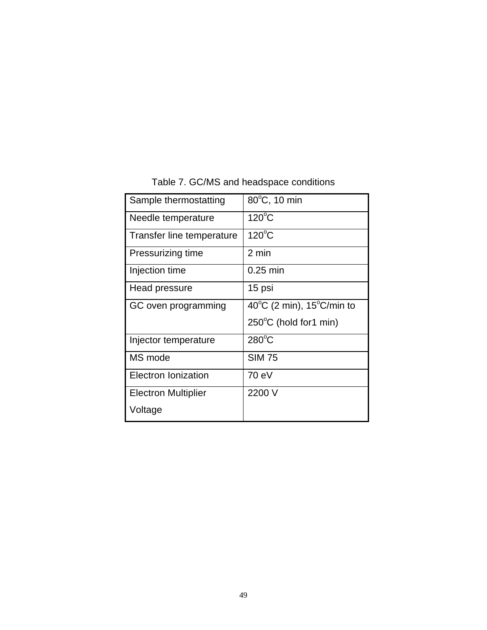| Sample thermostatting      | 80°C, 10 min                                    |
|----------------------------|-------------------------------------------------|
| Needle temperature         | $120^{\circ}$ C                                 |
| Transfer line temperature  | $120^{\circ}$ C                                 |
| Pressurizing time          | 2 min                                           |
| Injection time             | $0.25$ min                                      |
| Head pressure              | 15 psi                                          |
| GC oven programming        | 40 $^{\circ}$ C (2 min), 15 $^{\circ}$ C/min to |
|                            | 250°C (hold for1 min)                           |
| Injector temperature       | $280^{\circ}$ C                                 |
| MS mode                    | <b>SIM 75</b>                                   |
| Electron Ionization        | 70 eV                                           |
| <b>Electron Multiplier</b> | 2200 V                                          |
| Voltage                    |                                                 |

# Table 7. GC/MS and headspace conditions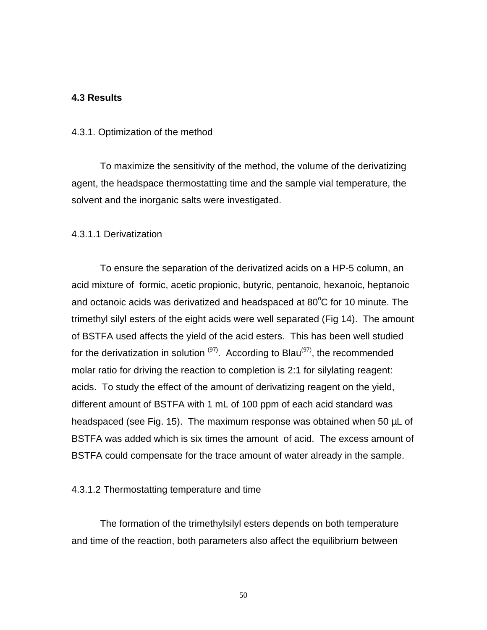### **4.3 Results**

#### 4.3.1. Optimization of the method

To maximize the sensitivity of the method, the volume of the derivatizing agent, the headspace thermostatting time and the sample vial temperature, the solvent and the inorganic salts were investigated.

### 4.3.1.1 Derivatization

To ensure the separation of the derivatized acids on a HP-5 column, an acid mixture of formic, acetic propionic, butyric, pentanoic, hexanoic, heptanoic and octanoic acids was derivatized and headspaced at  $80^{\circ}$ C for 10 minute. The trimethyl silyl esters of the eight acids were well separated (Fig 14). The amount of BSTFA used affects the yield of the acid esters. This has been well studied for the derivatization in solution  $(97)$ . According to Blau $(97)$ , the recommended molar ratio for driving the reaction to completion is 2:1 for silylating reagent: acids. To study the effect of the amount of derivatizing reagent on the yield, different amount of BSTFA with 1 mL of 100 ppm of each acid standard was headspaced (see Fig. 15). The maximum response was obtained when 50 μL of BSTFA was added which is six times the amount of acid. The excess amount of BSTFA could compensate for the trace amount of water already in the sample.

#### 4.3.1.2 Thermostatting temperature and time

The formation of the trimethylsilyl esters depends on both temperature and time of the reaction, both parameters also affect the equilibrium between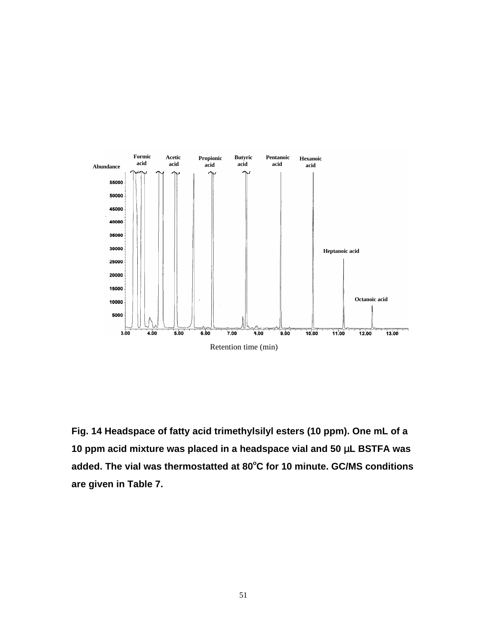

**Fig. 14 Headspace of fatty acid trimethylsilyl esters (10 ppm). One mL of a 10 ppm acid mixture was placed in a headspace vial and 50** μ**L BSTFA was added. The vial was thermostatted at 80<sup>o</sup>C for 10 minute. GC/MS conditions are given in Table 7.**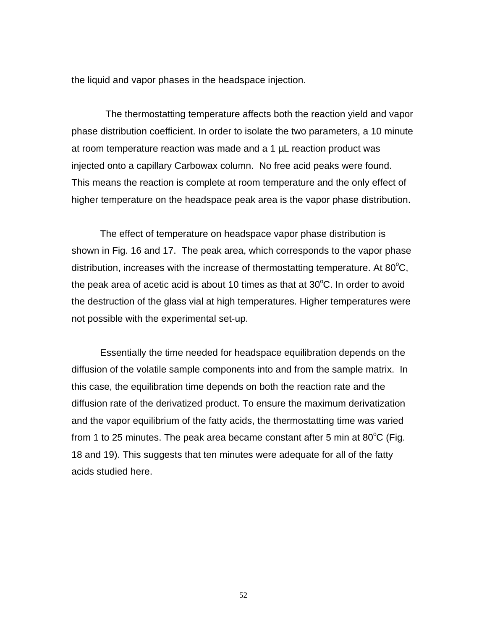the liquid and vapor phases in the headspace injection.

 The thermostatting temperature affects both the reaction yield and vapor phase distribution coefficient. In order to isolate the two parameters, a 10 minute at room temperature reaction was made and a 1 μL reaction product was injected onto a capillary Carbowax column. No free acid peaks were found. This means the reaction is complete at room temperature and the only effect of higher temperature on the headspace peak area is the vapor phase distribution.

The effect of temperature on headspace vapor phase distribution is shown in Fig. 16 and 17. The peak area, which corresponds to the vapor phase distribution, increases with the increase of thermostatting temperature. At  $80^{\circ}$ C, the peak area of acetic acid is about 10 times as that at  $30^{\circ}$ C. In order to avoid the destruction of the glass vial at high temperatures. Higher temperatures were not possible with the experimental set-up.

Essentially the time needed for headspace equilibration depends on the diffusion of the volatile sample components into and from the sample matrix. In this case, the equilibration time depends on both the reaction rate and the diffusion rate of the derivatized product. To ensure the maximum derivatization and the vapor equilibrium of the fatty acids, the thermostatting time was varied from 1 to 25 minutes. The peak area became constant after 5 min at 80 $\mathrm{^{\circ}C}$  (Fig. 18 and 19). This suggests that ten minutes were adequate for all of the fatty acids studied here.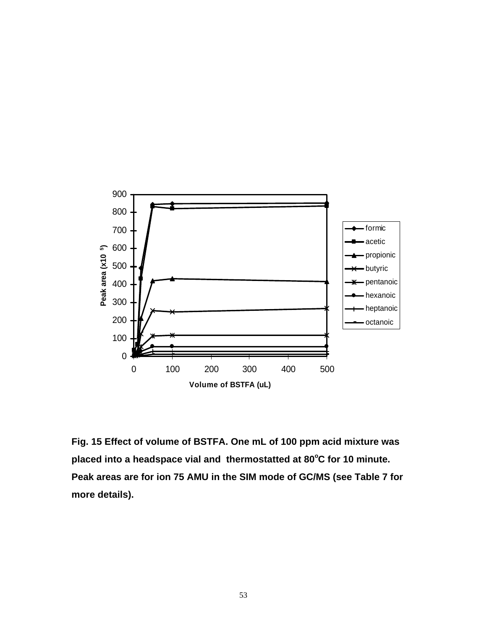

**Fig. 15 Effect of volume of BSTFA. One mL of 100 ppm acid mixture was placed into a headspace vial and thermostatted at 80<sup>o</sup>C for 10 minute. Peak areas are for ion 75 AMU in the SIM mode of GC/MS (see Table 7 for more details).**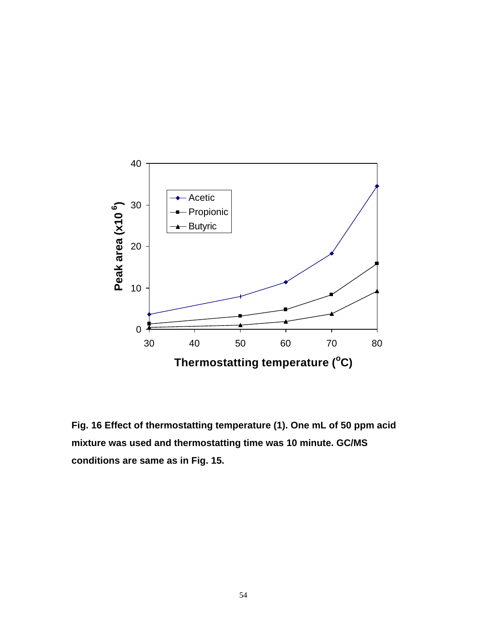

**Fig. 16 Effect of thermostatting temperature (1). One mL of 50 ppm acid mixture was used and thermostatting time was 10 minute. GC/MS conditions are same as in Fig. 15.**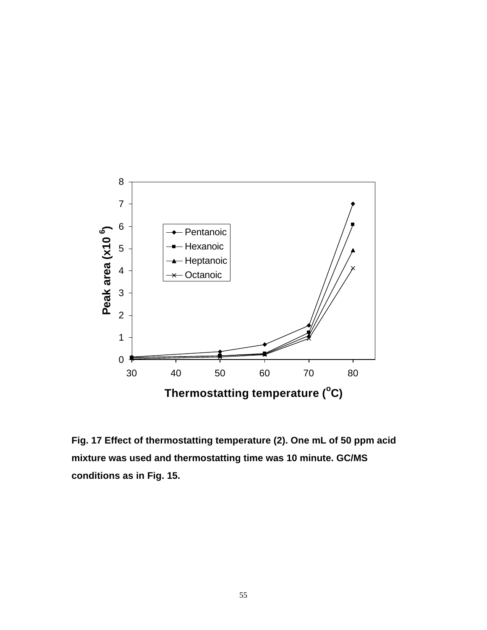

**Fig. 17 Effect of thermostatting temperature (2). One mL of 50 ppm acid mixture was used and thermostatting time was 10 minute. GC/MS conditions as in Fig. 15.**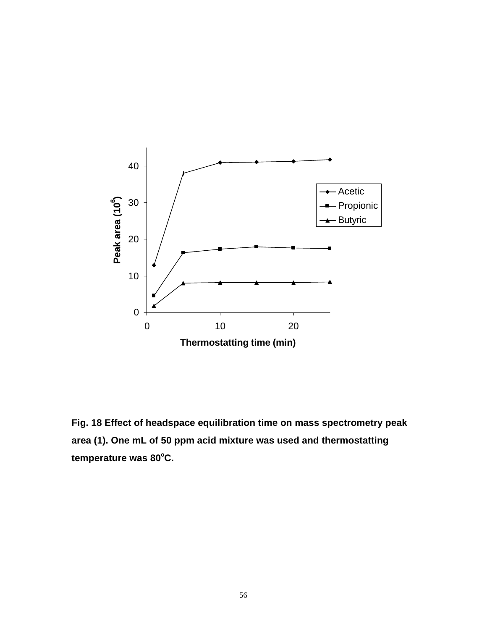

**Fig. 18 Effect of headspace equilibration time on mass spectrometry peak area (1). One mL of 50 ppm acid mixture was used and thermostatting temperature was 80<sup>o</sup>C.**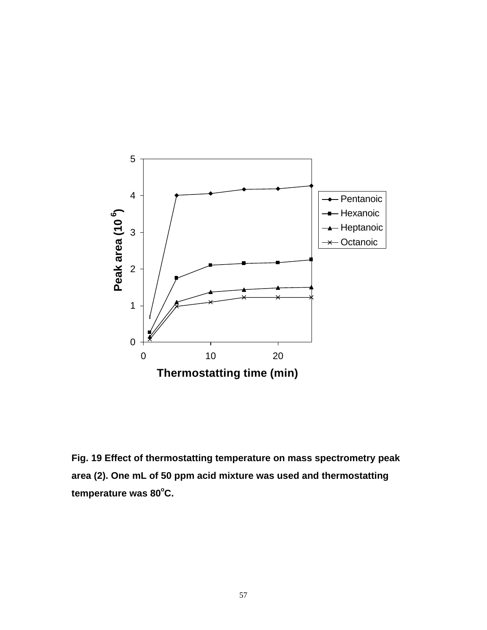

**Fig. 19 Effect of thermostatting temperature on mass spectrometry peak area (2). One mL of 50 ppm acid mixture was used and thermostatting temperature was 80<sup>o</sup>C.**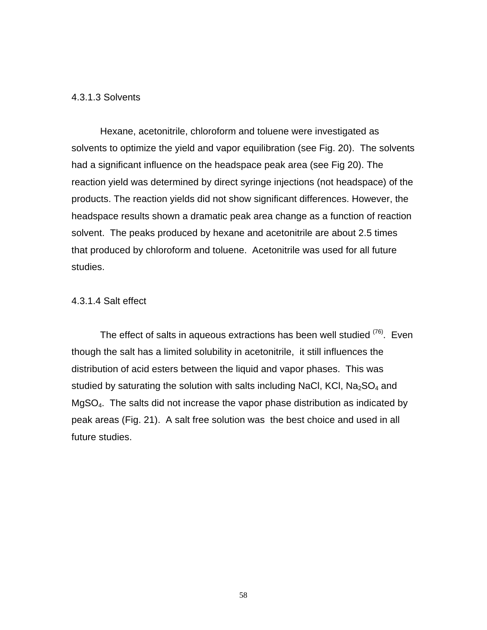### 4.3.1.3 Solvents

Hexane, acetonitrile, chloroform and toluene were investigated as solvents to optimize the yield and vapor equilibration (see Fig. 20). The solvents had a significant influence on the headspace peak area (see Fig 20). The reaction yield was determined by direct syringe injections (not headspace) of the products. The reaction yields did not show significant differences. However, the headspace results shown a dramatic peak area change as a function of reaction solvent. The peaks produced by hexane and acetonitrile are about 2.5 times that produced by chloroform and toluene. Acetonitrile was used for all future studies.

### 4.3.1.4 Salt effect

The effect of salts in aqueous extractions has been well studied  $(76)$ . Even though the salt has a limited solubility in acetonitrile, it still influences the distribution of acid esters between the liquid and vapor phases. This was studied by saturating the solution with salts including NaCl, KCl,  $Na<sub>2</sub>SO<sub>4</sub>$  and MgSO4. The salts did not increase the vapor phase distribution as indicated by peak areas (Fig. 21). A salt free solution was the best choice and used in all future studies.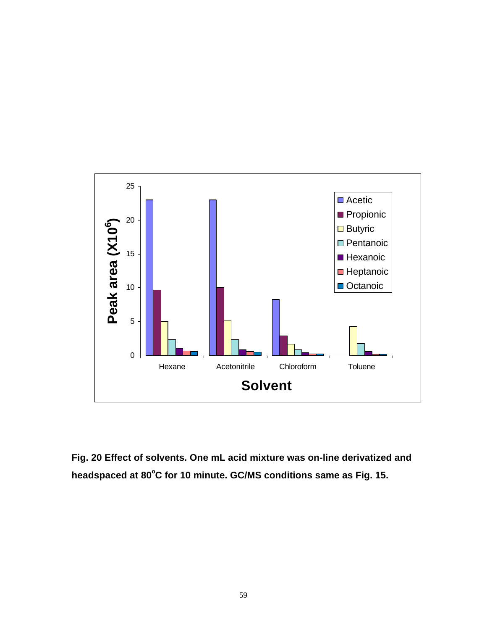

**Fig. 20 Effect of solvents. One mL acid mixture was on-line derivatized and headspaced at 80<sup>o</sup>C for 10 minute. GC/MS conditions same as Fig. 15.**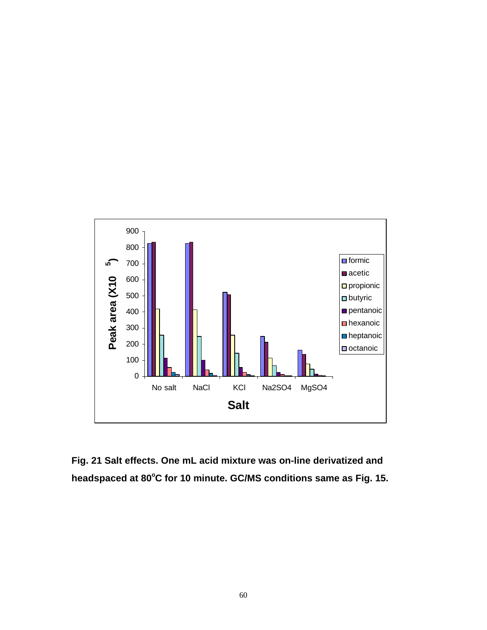

**Fig. 21 Salt effects. One mL acid mixture was on-line derivatized and headspaced at 80<sup>o</sup>C for 10 minute. GC/MS conditions same as Fig. 15.**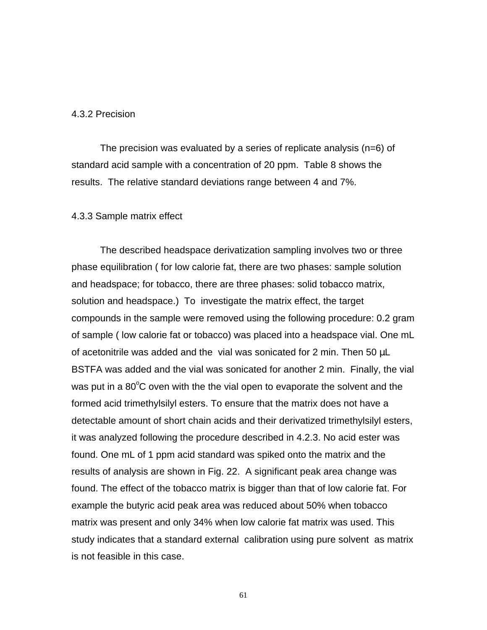### 4.3.2 Precision

The precision was evaluated by a series of replicate analysis (n=6) of standard acid sample with a concentration of 20 ppm. Table 8 shows the results. The relative standard deviations range between 4 and 7%.

#### 4.3.3 Sample matrix effect

The described headspace derivatization sampling involves two or three phase equilibration ( for low calorie fat, there are two phases: sample solution and headspace; for tobacco, there are three phases: solid tobacco matrix, solution and headspace.) To investigate the matrix effect, the target compounds in the sample were removed using the following procedure: 0.2 gram of sample ( low calorie fat or tobacco) was placed into a headspace vial. One mL of acetonitrile was added and the vial was sonicated for 2 min. Then 50 μL BSTFA was added and the vial was sonicated for another 2 min. Finally, the vial was put in a  $80^{\circ}$ C oven with the the vial open to evaporate the solvent and the formed acid trimethylsilyl esters. To ensure that the matrix does not have a detectable amount of short chain acids and their derivatized trimethylsilyl esters, it was analyzed following the procedure described in 4.2.3. No acid ester was found. One mL of 1 ppm acid standard was spiked onto the matrix and the results of analysis are shown in Fig. 22. A significant peak area change was found. The effect of the tobacco matrix is bigger than that of low calorie fat. For example the butyric acid peak area was reduced about 50% when tobacco matrix was present and only 34% when low calorie fat matrix was used. This study indicates that a standard external calibration using pure solvent as matrix is not feasible in this case.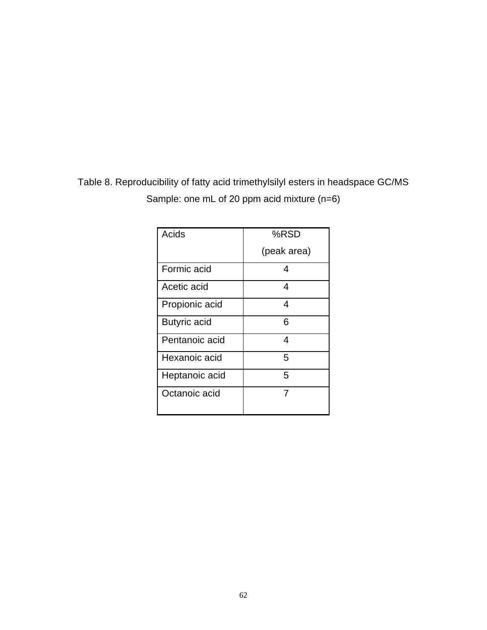| Table 8. Reproducibility of fatty acid trimethy sily lesters in headspace GC/MS |  |
|---------------------------------------------------------------------------------|--|
| Sample: one mL of 20 ppm acid mixture $(n=6)$                                   |  |

| Acids               | %RSD        |
|---------------------|-------------|
|                     | (peak area) |
| Formic acid         | 4           |
| Acetic acid         | 4           |
| Propionic acid      | 4           |
| <b>Butyric acid</b> | 6           |
| Pentanoic acid      | 4           |
| Hexanoic acid       | 5           |
| Heptanoic acid      | 5           |
| Octanoic acid       | 7           |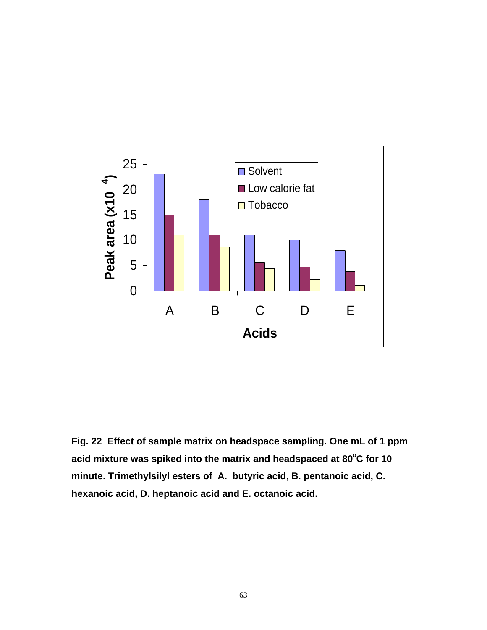

**Fig. 22 Effect of sample matrix on headspace sampling. One mL of 1 ppm acid mixture was spiked into the matrix and headspaced at 80<sup>o</sup>C for 10 minute. Trimethylsilyl esters of A. butyric acid, B. pentanoic acid, C. hexanoic acid, D. heptanoic acid and E. octanoic acid.**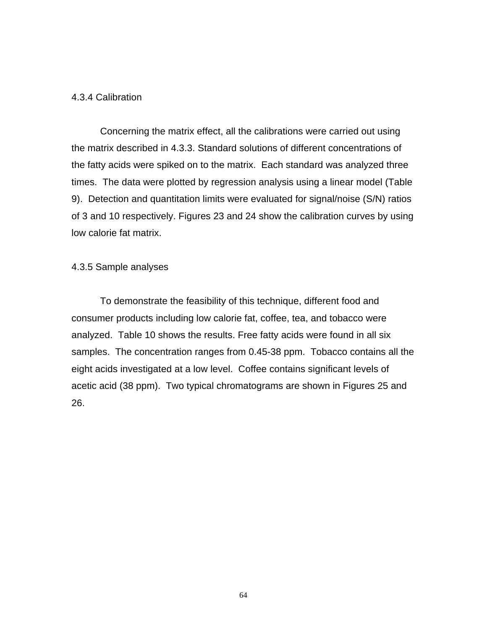### 4.3.4 Calibration

Concerning the matrix effect, all the calibrations were carried out using the matrix described in 4.3.3. Standard solutions of different concentrations of the fatty acids were spiked on to the matrix. Each standard was analyzed three times. The data were plotted by regression analysis using a linear model (Table 9). Detection and quantitation limits were evaluated for signal/noise (S/N) ratios of 3 and 10 respectively. Figures 23 and 24 show the calibration curves by using low calorie fat matrix.

### 4.3.5 Sample analyses

To demonstrate the feasibility of this technique, different food and consumer products including low calorie fat, coffee, tea, and tobacco were analyzed. Table 10 shows the results. Free fatty acids were found in all six samples. The concentration ranges from 0.45-38 ppm. Tobacco contains all the eight acids investigated at a low level. Coffee contains significant levels of acetic acid (38 ppm). Two typical chromatograms are shown in Figures 25 and 26.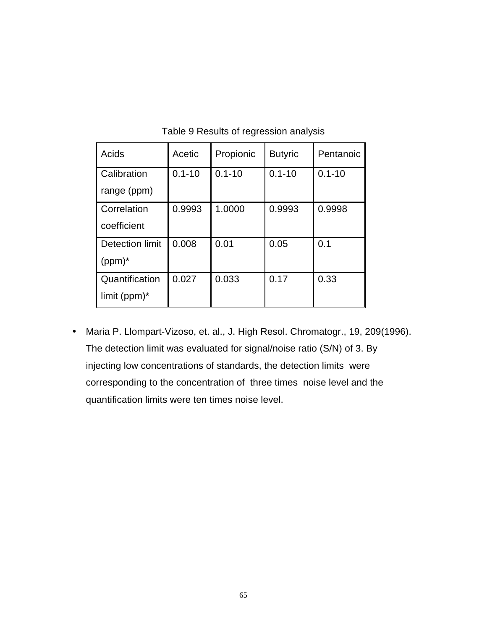| Acids                  | Acetic     | Propionic  | <b>Butyric</b> | Pentanoic  |
|------------------------|------------|------------|----------------|------------|
| Calibration            | $0.1 - 10$ | $0.1 - 10$ | $0.1 - 10$     | $0.1 - 10$ |
| range (ppm)            |            |            |                |            |
| Correlation            | 0.9993     | 1.0000     | 0.9993         | 0.9998     |
| coefficient            |            |            |                |            |
| <b>Detection limit</b> | 0.008      | 0.01       | 0.05           | 0.1        |
| $(ppm)^*$              |            |            |                |            |
| Quantification         | 0.027      | 0.033      | 0.17           | 0.33       |
| limit ( $ppm$ )*       |            |            |                |            |

Table 9 Results of regression analysis

• Maria P. Llompart-Vizoso, et. al., J. High Resol. Chromatogr., 19, 209(1996). The detection limit was evaluated for signal/noise ratio (S/N) of 3. By injecting low concentrations of standards, the detection limits were corresponding to the concentration of three times noise level and the quantification limits were ten times noise level.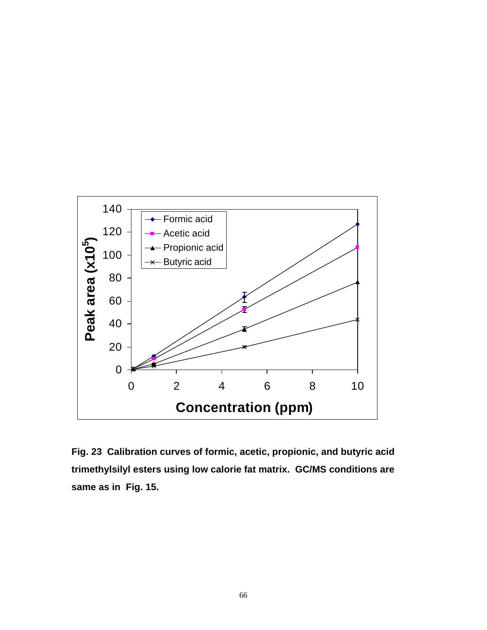

**Fig. 23 Calibration curves of formic, acetic, propionic, and butyric acid trimethylsilyl esters using low calorie fat matrix. GC/MS conditions are same as in Fig. 15.**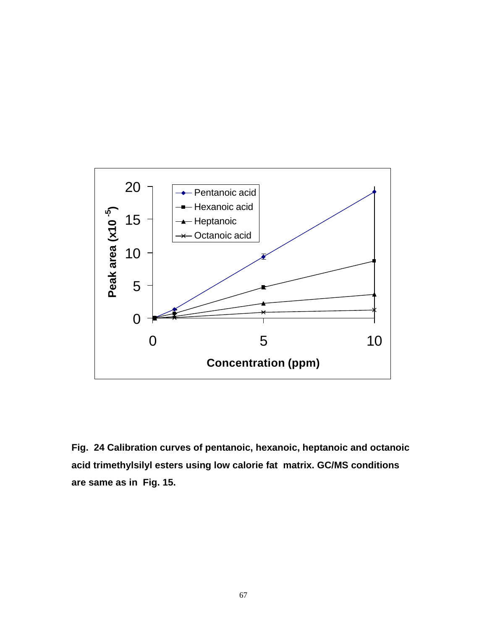

**Fig. 24 Calibration curves of pentanoic, hexanoic, heptanoic and octanoic acid trimethylsilyl esters using low calorie fat matrix. GC/MS conditions are same as in Fig. 15.**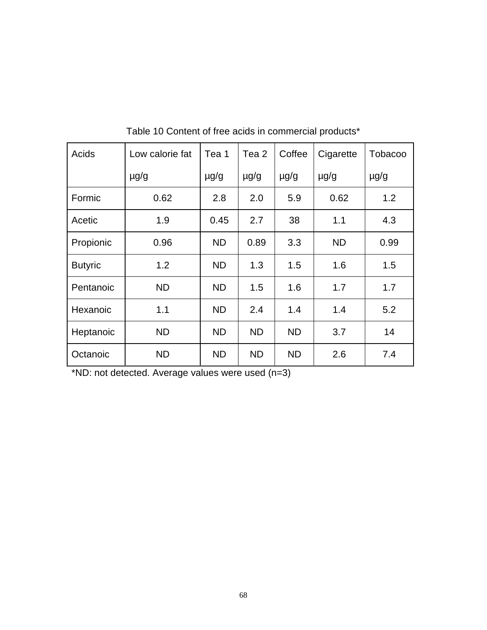| Acids          | Low calorie fat | Tea 1     | Tea 2     | Coffee    | Cigarette | Tobacoo   |
|----------------|-----------------|-----------|-----------|-----------|-----------|-----------|
|                | $\mu$ g/g       | $\mu$ g/g | $\mu$ g/g | $\mu$ g/g | $\mu$ g/g | $\mu$ g/g |
| Formic         | 0.62            | 2.8       | 2.0       | 5.9       | 0.62      | 1.2       |
| Acetic         | 1.9             | 0.45      | 2.7       | 38        | 1.1       | 4.3       |
| Propionic      | 0.96            | <b>ND</b> | 0.89      | 3.3       | <b>ND</b> | 0.99      |
| <b>Butyric</b> | 1.2             | <b>ND</b> | 1.3       | 1.5       | 1.6       | 1.5       |
| Pentanoic      | <b>ND</b>       | <b>ND</b> | 1.5       | 1.6       | 1.7       | 1.7       |
| Hexanoic       | 1.1             | <b>ND</b> | 2.4       | 1.4       | 1.4       | 5.2       |
| Heptanoic      | <b>ND</b>       | <b>ND</b> | <b>ND</b> | <b>ND</b> | 3.7       | 14        |
| Octanoic       | <b>ND</b>       | <b>ND</b> | <b>ND</b> | <b>ND</b> | 2.6       | 7.4       |

Table 10 Content of free acids in commercial products\*

\*ND: not detected. Average values were used (n=3)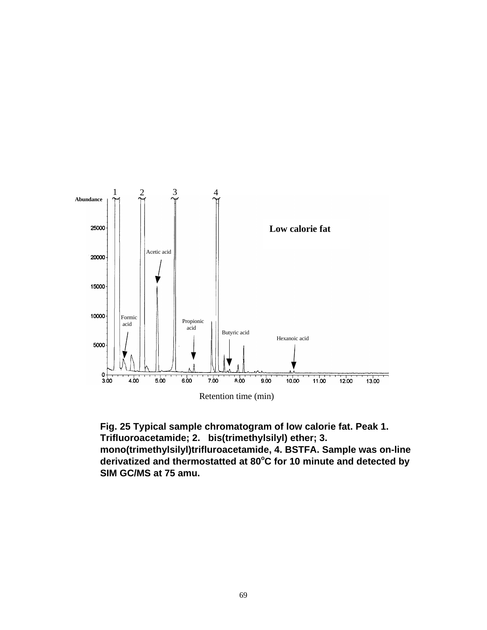

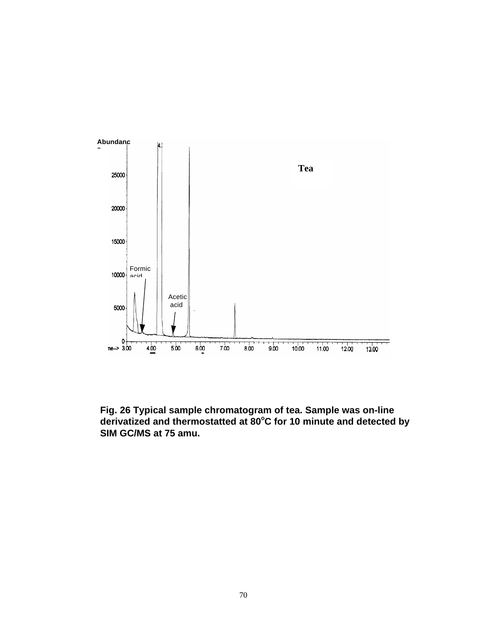

**Fig. 26 Typical sample chromatogram of tea. Sample was on-line derivatized and thermostatted at 80<sup>o</sup>C for 10 minute and detected by SIM GC/MS at 75 amu.**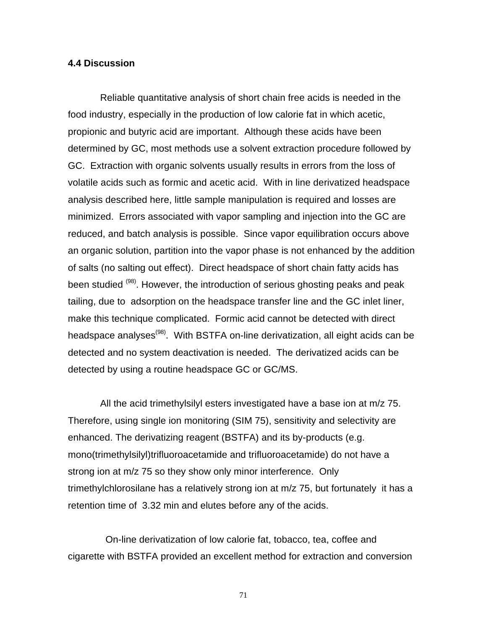## **4.4 Discussion**

Reliable quantitative analysis of short chain free acids is needed in the food industry, especially in the production of low calorie fat in which acetic, propionic and butyric acid are important. Although these acids have been determined by GC, most methods use a solvent extraction procedure followed by GC. Extraction with organic solvents usually results in errors from the loss of volatile acids such as formic and acetic acid. With in line derivatized headspace analysis described here, little sample manipulation is required and losses are minimized. Errors associated with vapor sampling and injection into the GC are reduced, and batch analysis is possible. Since vapor equilibration occurs above an organic solution, partition into the vapor phase is not enhanced by the addition of salts (no salting out effect). Direct headspace of short chain fatty acids has been studied <sup>(98)</sup>. However, the introduction of serious ghosting peaks and peak tailing, due to adsorption on the headspace transfer line and the GC inlet liner, make this technique complicated. Formic acid cannot be detected with direct headspace analyses<sup>(98)</sup>. With BSTFA on-line derivatization, all eight acids can be detected and no system deactivation is needed. The derivatized acids can be detected by using a routine headspace GC or GC/MS.

All the acid trimethylsilyl esters investigated have a base ion at m/z 75. Therefore, using single ion monitoring (SIM 75), sensitivity and selectivity are enhanced. The derivatizing reagent (BSTFA) and its by-products (e.g. mono(trimethylsilyl)trifluoroacetamide and trifluoroacetamide) do not have a strong ion at m/z 75 so they show only minor interference. Only trimethylchlorosilane has a relatively strong ion at m/z 75, but fortunately it has a retention time of 3.32 min and elutes before any of the acids.

 On-line derivatization of low calorie fat, tobacco, tea, coffee and cigarette with BSTFA provided an excellent method for extraction and conversion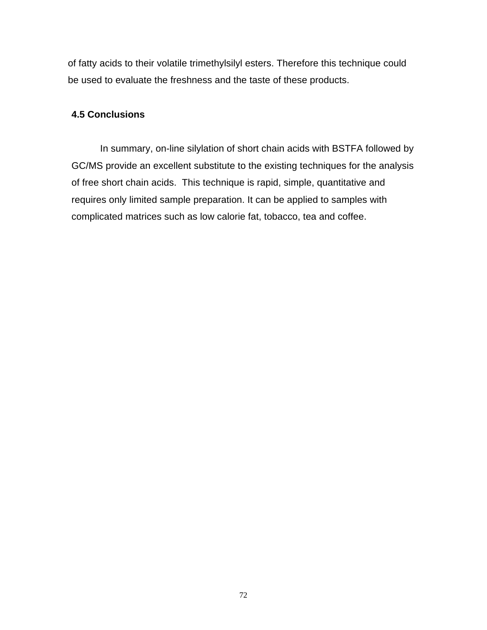of fatty acids to their volatile trimethylsilyl esters. Therefore this technique could be used to evaluate the freshness and the taste of these products.

## **4.5 Conclusions**

In summary, on-line silylation of short chain acids with BSTFA followed by GC/MS provide an excellent substitute to the existing techniques for the analysis of free short chain acids. This technique is rapid, simple, quantitative and requires only limited sample preparation. It can be applied to samples with complicated matrices such as low calorie fat, tobacco, tea and coffee.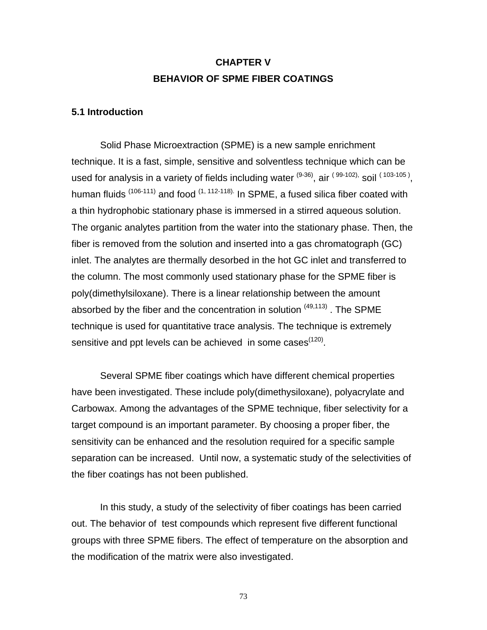# **CHAPTER V BEHAVIOR OF SPME FIBER COATINGS**

### **5.1 Introduction**

Solid Phase Microextraction (SPME) is a new sample enrichment technique. It is a fast, simple, sensitive and solventless technique which can be used for analysis in a variety of fields including water <sup>(9-36)</sup>, air <sup>(99-102),</sup> soil <sup>(103-105)</sup>, human fluids  $(106-111)$  and food  $(1, 112-118)$ . In SPME, a fused silica fiber coated with a thin hydrophobic stationary phase is immersed in a stirred aqueous solution. The organic analytes partition from the water into the stationary phase. Then, the fiber is removed from the solution and inserted into a gas chromatograph (GC) inlet. The analytes are thermally desorbed in the hot GC inlet and transferred to the column. The most commonly used stationary phase for the SPME fiber is poly(dimethylsiloxane). There is a linear relationship between the amount absorbed by the fiber and the concentration in solution  $(49,113)$ . The SPME technique is used for quantitative trace analysis. The technique is extremely sensitive and ppt levels can be achieved in some cases $^{(120)}$ .

Several SPME fiber coatings which have different chemical properties have been investigated. These include poly(dimethysiloxane), polyacrylate and Carbowax. Among the advantages of the SPME technique, fiber selectivity for a target compound is an important parameter. By choosing a proper fiber, the sensitivity can be enhanced and the resolution required for a specific sample separation can be increased. Until now, a systematic study of the selectivities of the fiber coatings has not been published.

In this study, a study of the selectivity of fiber coatings has been carried out. The behavior of test compounds which represent five different functional groups with three SPME fibers. The effect of temperature on the absorption and the modification of the matrix were also investigated.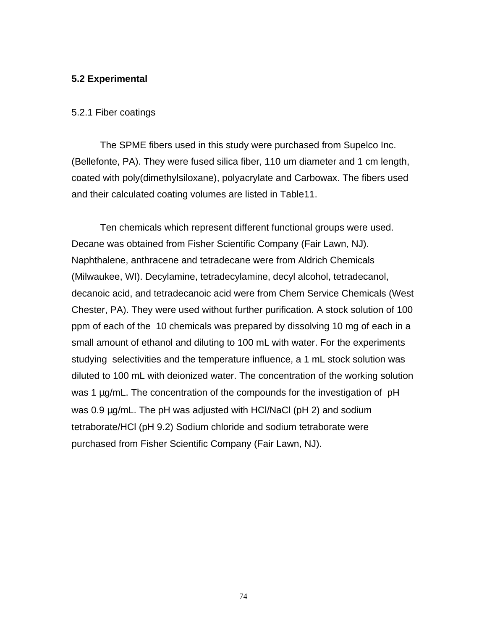## **5.2 Experimental**

#### 5.2.1 Fiber coatings

The SPME fibers used in this study were purchased from Supelco Inc. (Bellefonte, PA). They were fused silica fiber, 110 um diameter and 1 cm length, coated with poly(dimethylsiloxane), polyacrylate and Carbowax. The fibers used and their calculated coating volumes are listed in Table11.

Ten chemicals which represent different functional groups were used. Decane was obtained from Fisher Scientific Company (Fair Lawn, NJ). Naphthalene, anthracene and tetradecane were from Aldrich Chemicals (Milwaukee, WI). Decylamine, tetradecylamine, decyl alcohol, tetradecanol, decanoic acid, and tetradecanoic acid were from Chem Service Chemicals (West Chester, PA). They were used without further purification. A stock solution of 100 ppm of each of the 10 chemicals was prepared by dissolving 10 mg of each in a small amount of ethanol and diluting to 100 mL with water. For the experiments studying selectivities and the temperature influence, a 1 mL stock solution was diluted to 100 mL with deionized water. The concentration of the working solution was 1 μg/mL. The concentration of the compounds for the investigation of pH was 0.9 μg/mL. The pH was adjusted with HCl/NaCl (pH 2) and sodium tetraborate/HCl (pH 9.2) Sodium chloride and sodium tetraborate were purchased from Fisher Scientific Company (Fair Lawn, NJ).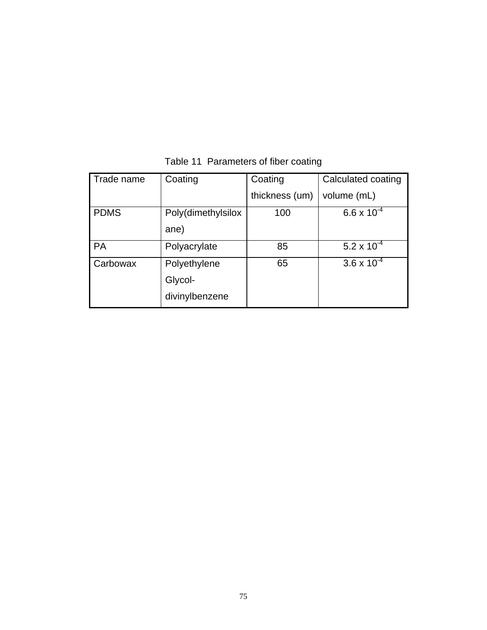| Trade name  | Coating            | Coating        | Calculated coating   |
|-------------|--------------------|----------------|----------------------|
|             |                    | thickness (um) | volume (mL)          |
| <b>PDMS</b> | Poly(dimethylsilox | 100            | $6.6 \times 10^{-4}$ |
|             | ane)               |                |                      |
| <b>PA</b>   | Polyacrylate       | 85             | 5.2 x $10^{-4}$      |
| Carbowax    | Polyethylene       | 65             | $3.6 \times 10^{-4}$ |
|             | Glycol-            |                |                      |
|             | divinylbenzene     |                |                      |

# Table 11 Parameters of fiber coating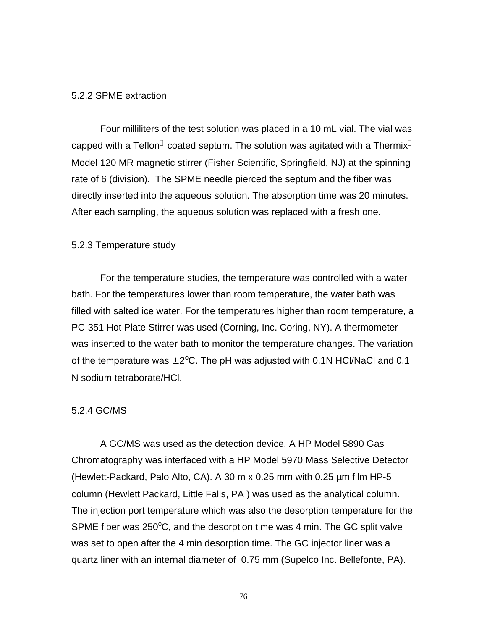#### 5.2.2 SPME extraction

Four milliliters of the test solution was placed in a 10 mL vial. The vial was capped with a Teflon $^\circledast$  coated septum. The solution was agitated with a Thermix $^\circledast$ Model 120 MR magnetic stirrer (Fisher Scientific, Springfield, NJ) at the spinning rate of 6 (division). The SPME needle pierced the septum and the fiber was directly inserted into the aqueous solution. The absorption time was 20 minutes. After each sampling, the aqueous solution was replaced with a fresh one.

### 5.2.3 Temperature study

For the temperature studies, the temperature was controlled with a water bath. For the temperatures lower than room temperature, the water bath was filled with salted ice water. For the temperatures higher than room temperature, a PC-351 Hot Plate Stirrer was used (Corning, Inc. Coring, NY). A thermometer was inserted to the water bath to monitor the temperature changes. The variation of the temperature was  $\pm 2^{\circ}$ C. The pH was adjusted with 0.1N HCl/NaCl and 0.1 N sodium tetraborate/HCl.

### 5.2.4 GC/MS

A GC/MS was used as the detection device. A HP Model 5890 Gas Chromatography was interfaced with a HP Model 5970 Mass Selective Detector (Hewlett-Packard, Palo Alto, CA). A 30 m x 0.25 mm with 0.25 μm film HP-5 column (Hewlett Packard, Little Falls, PA ) was used as the analytical column. The injection port temperature which was also the desorption temperature for the SPME fiber was 250 $\degree$ C, and the desorption time was 4 min. The GC split valve was set to open after the 4 min desorption time. The GC injector liner was a quartz liner with an internal diameter of 0.75 mm (Supelco Inc. Bellefonte, PA).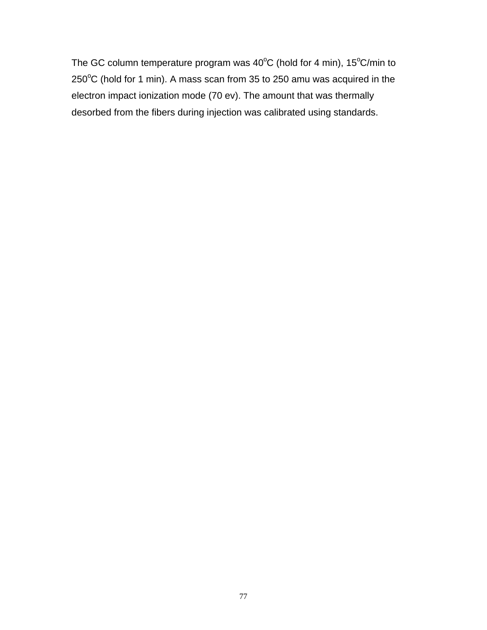The GC column temperature program was  $40^{\circ}$ C (hold for 4 min), 15 $^{\circ}$ C/min to  $250^{\circ}$ C (hold for 1 min). A mass scan from 35 to 250 amu was acquired in the electron impact ionization mode (70 ev). The amount that was thermally desorbed from the fibers during injection was calibrated using standards.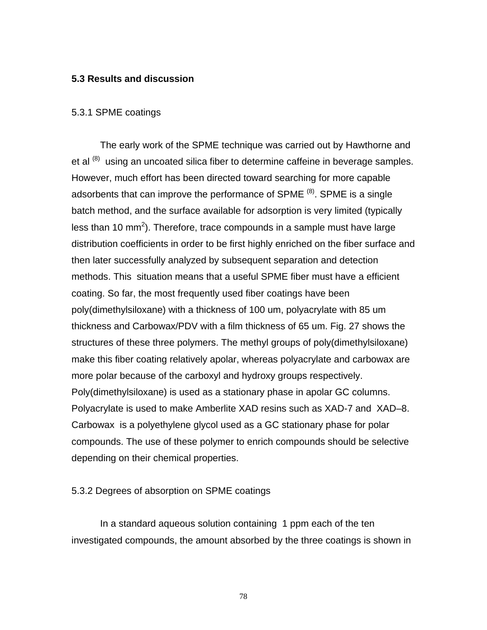### **5.3 Results and discussion**

#### 5.3.1 SPME coatings

The early work of the SPME technique was carried out by Hawthorne and et al  $(8)$  using an uncoated silica fiber to determine caffeine in beverage samples. However, much effort has been directed toward searching for more capable adsorbents that can improve the performance of SPME  $^{(8)}$ . SPME is a single batch method, and the surface available for adsorption is very limited (typically less than 10 mm<sup>2</sup>). Therefore, trace compounds in a sample must have large distribution coefficients in order to be first highly enriched on the fiber surface and then later successfully analyzed by subsequent separation and detection methods. This situation means that a useful SPME fiber must have a efficient coating. So far, the most frequently used fiber coatings have been poly(dimethylsiloxane) with a thickness of 100 um, polyacrylate with 85 um thickness and Carbowax/PDV with a film thickness of 65 um. Fig. 27 shows the structures of these three polymers. The methyl groups of poly(dimethylsiloxane) make this fiber coating relatively apolar, whereas polyacrylate and carbowax are more polar because of the carboxyl and hydroxy groups respectively. Poly(dimethylsiloxane) is used as a stationary phase in apolar GC columns. Polyacrylate is used to make Amberlite XAD resins such as XAD-7 and XAD–8. Carbowax is a polyethylene glycol used as a GC stationary phase for polar compounds. The use of these polymer to enrich compounds should be selective depending on their chemical properties.

### 5.3.2 Degrees of absorption on SPME coatings

In a standard aqueous solution containing 1 ppm each of the ten investigated compounds, the amount absorbed by the three coatings is shown in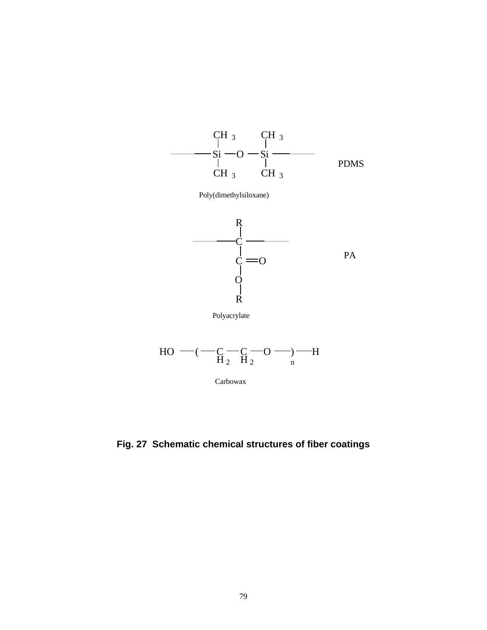

**Fig. 27 Schematic chemical structures of fiber coatings**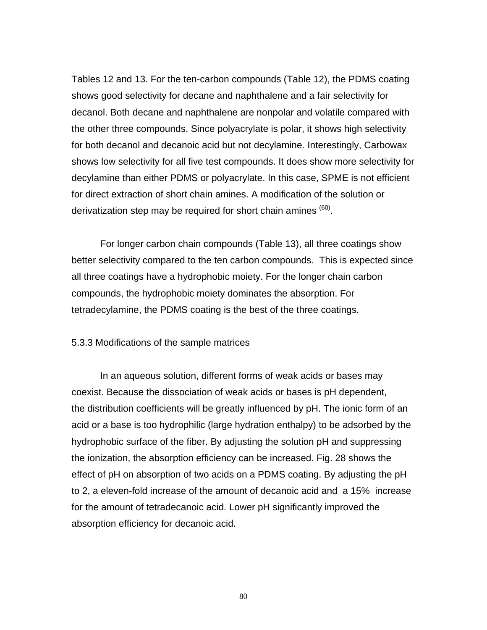Tables 12 and 13. For the ten-carbon compounds (Table 12), the PDMS coating shows good selectivity for decane and naphthalene and a fair selectivity for decanol. Both decane and naphthalene are nonpolar and volatile compared with the other three compounds. Since polyacrylate is polar, it shows high selectivity for both decanol and decanoic acid but not decylamine. Interestingly, Carbowax shows low selectivity for all five test compounds. It does show more selectivity for decylamine than either PDMS or polyacrylate. In this case, SPME is not efficient for direct extraction of short chain amines. A modification of the solution or derivatization step may be required for short chain amines <sup>(60)</sup>.

For longer carbon chain compounds (Table 13), all three coatings show better selectivity compared to the ten carbon compounds. This is expected since all three coatings have a hydrophobic moiety. For the longer chain carbon compounds, the hydrophobic moiety dominates the absorption. For tetradecylamine, the PDMS coating is the best of the three coatings.

5.3.3 Modifications of the sample matrices

In an aqueous solution, different forms of weak acids or bases may coexist. Because the dissociation of weak acids or bases is pH dependent, the distribution coefficients will be greatly influenced by pH. The ionic form of an acid or a base is too hydrophilic (large hydration enthalpy) to be adsorbed by the hydrophobic surface of the fiber. By adjusting the solution pH and suppressing the ionization, the absorption efficiency can be increased. Fig. 28 shows the effect of pH on absorption of two acids on a PDMS coating. By adjusting the pH to 2, a eleven-fold increase of the amount of decanoic acid and a 15% increase for the amount of tetradecanoic acid. Lower pH significantly improved the absorption efficiency for decanoic acid.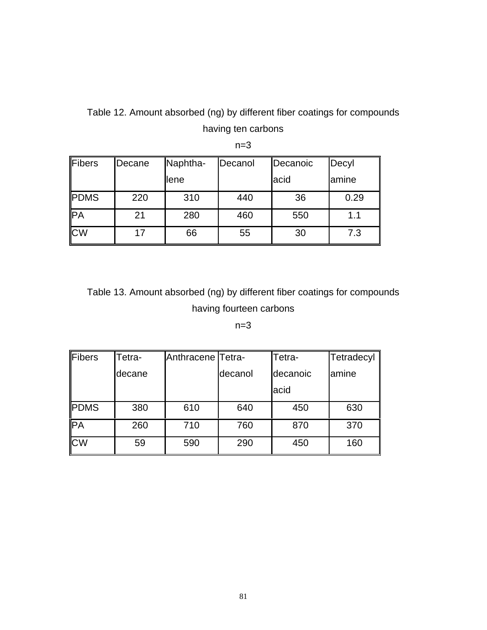# Table 12. Amount absorbed (ng) by different fiber coatings for compounds having ten carbons

| Fibers      | Decane | Naphtha- | Decanol | Decanoic | Decyl |
|-------------|--------|----------|---------|----------|-------|
|             |        | llene    |         | acid     | amine |
| <b>PDMS</b> | 220    | 310      | 440     | 36       | 0.29  |
| PA          | 21     | 280      | 460     | 550      | 1.1   |
| <b>CW</b>   | 17     | 66       | 55      | 30       | 7.3   |

 $n=3$ 

# Table 13. Amount absorbed (ng) by different fiber coatings for compounds having fourteen carbons

# $n=3$

| Fibers      | Tetra- | Anthracene Tetra- |         | Tetra-   | Tetradecyl |
|-------------|--------|-------------------|---------|----------|------------|
|             | decane |                   | decanol | decanoic | lamine     |
|             |        |                   |         | acid     |            |
| <b>PDMS</b> | 380    | 610               | 640     | 450      | 630        |
| <b>PA</b>   | 260    | 710               | 760     | 870      | 370        |
| <b>CW</b>   | 59     | 590               | 290     | 450      | 160        |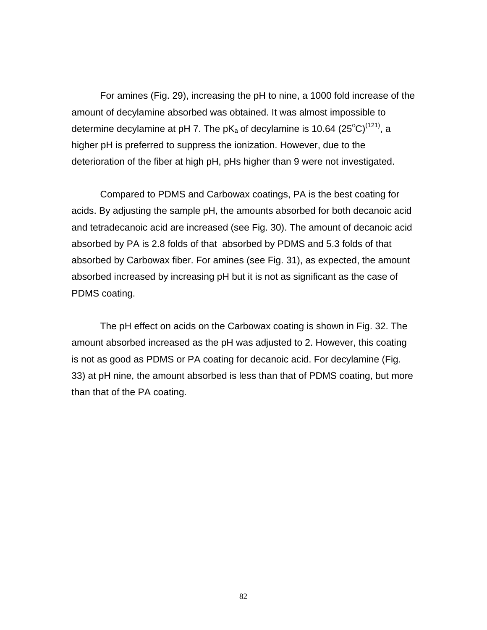For amines (Fig. 29), increasing the pH to nine, a 1000 fold increase of the amount of decylamine absorbed was obtained. It was almost impossible to determine decylamine at pH 7. The pK<sub>a</sub> of decylamine is 10.64 (25<sup>o</sup>C)<sup>(121)</sup>, a higher pH is preferred to suppress the ionization. However, due to the deterioration of the fiber at high pH, pHs higher than 9 were not investigated.

Compared to PDMS and Carbowax coatings, PA is the best coating for acids. By adjusting the sample pH, the amounts absorbed for both decanoic acid and tetradecanoic acid are increased (see Fig. 30). The amount of decanoic acid absorbed by PA is 2.8 folds of that absorbed by PDMS and 5.3 folds of that absorbed by Carbowax fiber. For amines (see Fig. 31), as expected, the amount absorbed increased by increasing pH but it is not as significant as the case of PDMS coating.

The pH effect on acids on the Carbowax coating is shown in Fig. 32. The amount absorbed increased as the pH was adjusted to 2. However, this coating is not as good as PDMS or PA coating for decanoic acid. For decylamine (Fig. 33) at pH nine, the amount absorbed is less than that of PDMS coating, but more than that of the PA coating.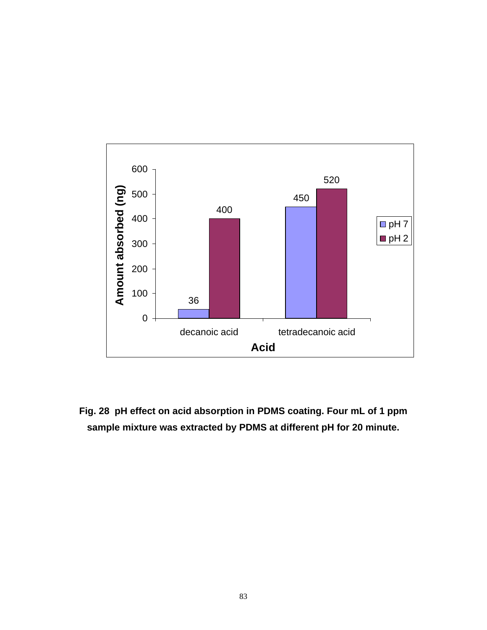

**Fig. 28 pH effect on acid absorption in PDMS coating. Four mL of 1 ppm sample mixture was extracted by PDMS at different pH for 20 minute.**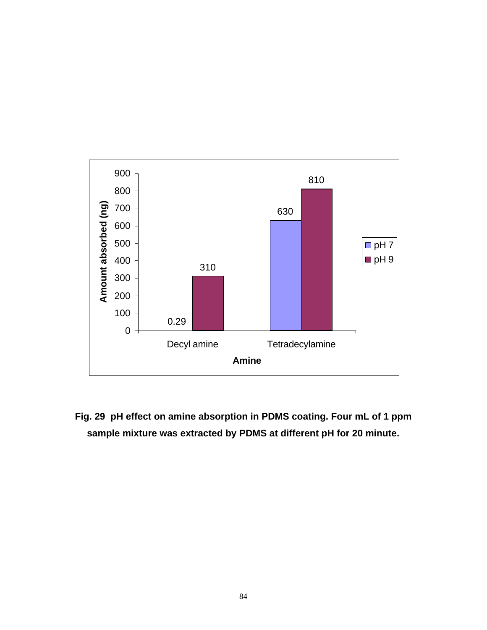

**Fig. 29 pH effect on amine absorption in PDMS coating. Four mL of 1 ppm sample mixture was extracted by PDMS at different pH for 20 minute.**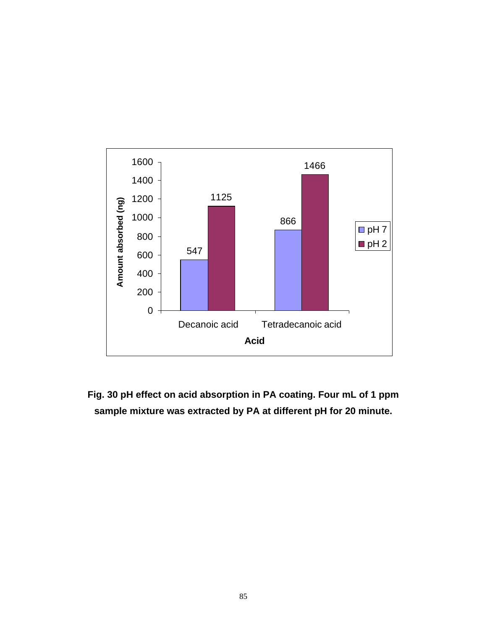

**Fig. 30 pH effect on acid absorption in PA coating. Four mL of 1 ppm sample mixture was extracted by PA at different pH for 20 minute.**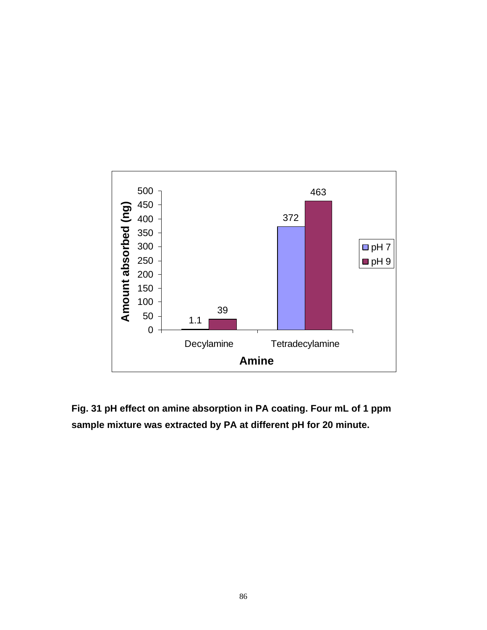

**Fig. 31 pH effect on amine absorption in PA coating. Four mL of 1 ppm sample mixture was extracted by PA at different pH for 20 minute.**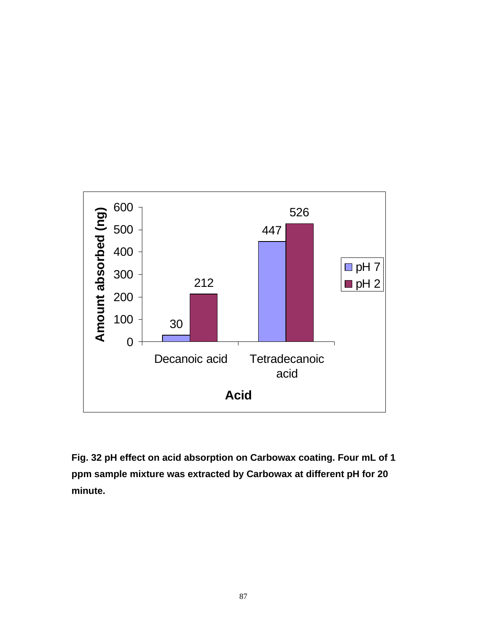

**Fig. 32 pH effect on acid absorption on Carbowax coating. Four mL of 1 ppm sample mixture was extracted by Carbowax at different pH for 20 minute.**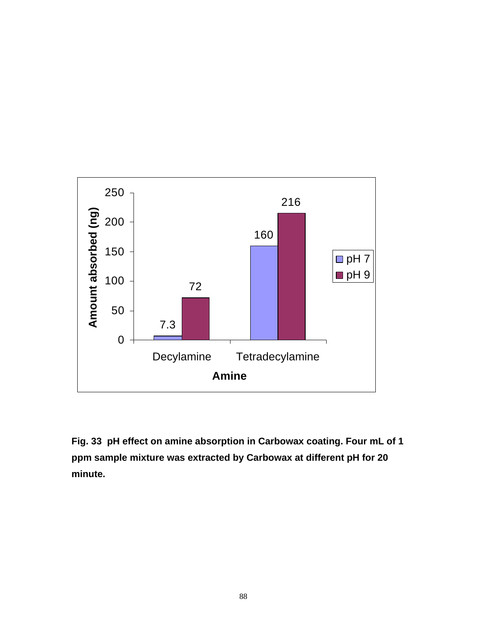

**Fig. 33 pH effect on amine absorption in Carbowax coating. Four mL of 1 ppm sample mixture was extracted by Carbowax at different pH for 20 minute.**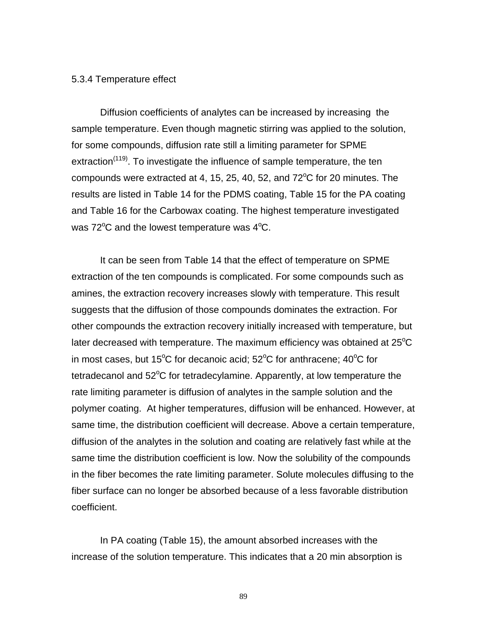#### 5.3.4 Temperature effect

Diffusion coefficients of analytes can be increased by increasing the sample temperature. Even though magnetic stirring was applied to the solution, for some compounds, diffusion rate still a limiting parameter for SPME extraction<sup>(119)</sup>. To investigate the influence of sample temperature, the ten compounds were extracted at 4, 15, 25, 40, 52, and  $72^{\circ}$ C for 20 minutes. The results are listed in Table 14 for the PDMS coating, Table 15 for the PA coating and Table 16 for the Carbowax coating. The highest temperature investigated was  $72^{\circ}$ C and the lowest temperature was  $4^{\circ}$ C.

It can be seen from Table 14 that the effect of temperature on SPME extraction of the ten compounds is complicated. For some compounds such as amines, the extraction recovery increases slowly with temperature. This result suggests that the diffusion of those compounds dominates the extraction. For other compounds the extraction recovery initially increased with temperature, but later decreased with temperature. The maximum efficiency was obtained at  $25^{\circ}C$ in most cases, but 15°C for decanoic acid; 52°C for anthracene; 40°C for tetradecanol and  $52^{\circ}$ C for tetradecylamine. Apparently, at low temperature the rate limiting parameter is diffusion of analytes in the sample solution and the polymer coating. At higher temperatures, diffusion will be enhanced. However, at same time, the distribution coefficient will decrease. Above a certain temperature, diffusion of the analytes in the solution and coating are relatively fast while at the same time the distribution coefficient is low. Now the solubility of the compounds in the fiber becomes the rate limiting parameter. Solute molecules diffusing to the fiber surface can no longer be absorbed because of a less favorable distribution coefficient.

In PA coating (Table 15), the amount absorbed increases with the increase of the solution temperature. This indicates that a 20 min absorption is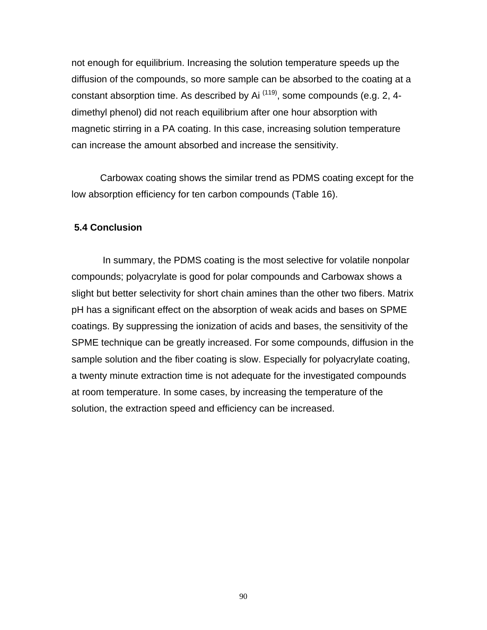not enough for equilibrium. Increasing the solution temperature speeds up the diffusion of the compounds, so more sample can be absorbed to the coating at a constant absorption time. As described by Ai  $(119)$ , some compounds (e.g. 2, 4dimethyl phenol) did not reach equilibrium after one hour absorption with magnetic stirring in a PA coating. In this case, increasing solution temperature can increase the amount absorbed and increase the sensitivity.

Carbowax coating shows the similar trend as PDMS coating except for the low absorption efficiency for ten carbon compounds (Table 16).

### **5.4 Conclusion**

 In summary, the PDMS coating is the most selective for volatile nonpolar compounds; polyacrylate is good for polar compounds and Carbowax shows a slight but better selectivity for short chain amines than the other two fibers. Matrix pH has a significant effect on the absorption of weak acids and bases on SPME coatings. By suppressing the ionization of acids and bases, the sensitivity of the SPME technique can be greatly increased. For some compounds, diffusion in the sample solution and the fiber coating is slow. Especially for polyacrylate coating, a twenty minute extraction time is not adequate for the investigated compounds at room temperature. In some cases, by increasing the temperature of the solution, the extraction speed and efficiency can be increased.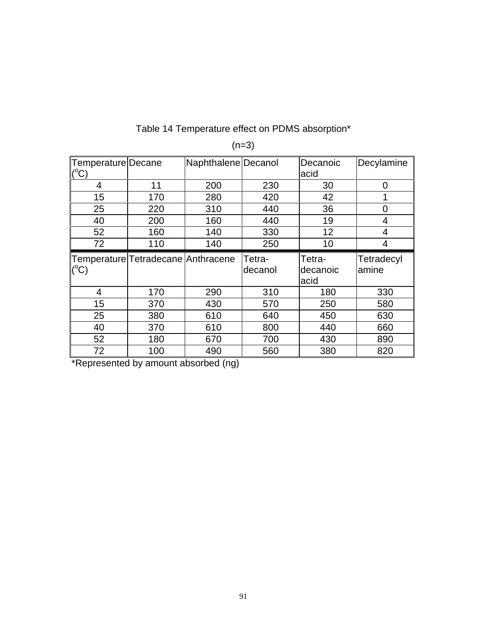# Table 14 Temperature effect on PDMS absorption\*

| Temperature Decane<br>$(^{\circ}C)$ |     | Naphthalene Decanol |         | Decanoic<br>acid | Decylamine |
|-------------------------------------|-----|---------------------|---------|------------------|------------|
|                                     |     |                     |         |                  |            |
| 4                                   | 11  | 200                 | 230     | 30               | 0          |
| 15                                  | 170 | 280                 | 420     | 42               | 1          |
| 25                                  | 220 | 310                 | 440     | 36               | 0          |
| 40                                  | 200 | 160                 | 440     | 19               | 4          |
| 52                                  | 160 | 140                 | 330     | 12               | 4          |
| 72                                  | 110 | 140                 | 250     | 10               | 4          |
| Temperature Tetradecane Anthracene  |     |                     | Tetra-  | Tetra-           | Tetradecyl |
|                                     |     |                     |         |                  |            |
| $(^{\circ}C)$                       |     |                     |         |                  |            |
|                                     |     |                     |         |                  |            |
|                                     |     |                     | decanol | decanoic         | amine      |
|                                     |     |                     |         | acid             |            |
| 4                                   | 170 | 290                 | 310     | 180              | 330        |
| 15                                  | 370 | 430                 | 570     | 250              | 580        |
| 25                                  | 380 | 610                 | 640     | 450              | 630        |
| 40                                  | 370 | 610                 | 800     | 440              | 660        |
| 52                                  | 180 | 670                 | 700     | 430              | 890        |

 $(n=3)$ 

\*Represented by amount absorbed (ng)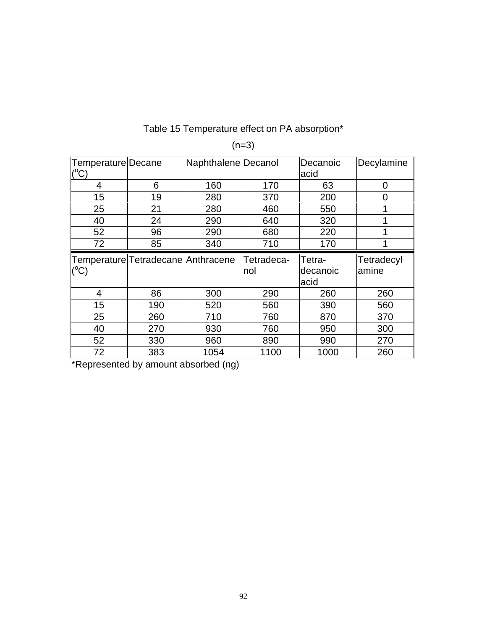# Table 15 Temperature effect on PA absorption\*

| Temperature Decane<br>$(^{\circ}C)$ |                                      | Naphthalene Decanol |                   | Decanoic<br>acid           | Decylamine          |
|-------------------------------------|--------------------------------------|---------------------|-------------------|----------------------------|---------------------|
| 4                                   | 6                                    | 160                 | 170               | 63                         | 0                   |
| 15                                  | 19                                   | 280                 | 370               | 200                        | 0                   |
| 25                                  | 21                                   | 280                 | 460               | 550                        |                     |
| 40                                  | 24                                   | 290                 | 640               | 320                        | 1                   |
| 52                                  | 96                                   | 290                 | 680               | 220                        | 4                   |
| 72                                  | 85                                   | 340                 | 710               | 170                        | ٠                   |
|                                     |                                      |                     |                   |                            |                     |
| $(^{\circ}\mathrm{C})$              | Temperature Tetradecane   Anthracene |                     | Tetradeca-<br>nol | Tetra-<br>decanoic<br>acid | Tetradecyl<br>amine |
| 4                                   | 86                                   | 300                 | 290               | 260                        | 260                 |
| 15                                  | 190                                  | 520                 | 560               | 390                        | 560                 |
| 25                                  | 260                                  | 710                 | 760               | 870                        | 370                 |
| 40                                  | 270                                  | 930                 | 760               | 950                        | 300                 |
| 52                                  | 330                                  | 960                 | 890               | 990                        | 270                 |

 $(n=3)$ 

\*Represented by amount absorbed (ng)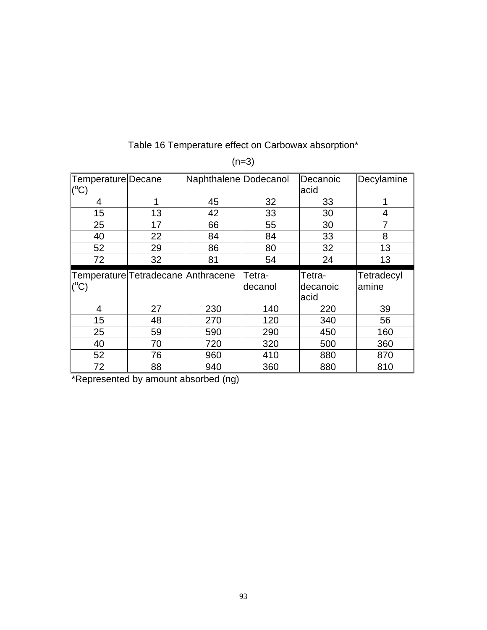| Temperature Decane |                                    | Naphthalene Dodecanol |         | Decanoic | Decylamine |
|--------------------|------------------------------------|-----------------------|---------|----------|------------|
| $(^{\circ}C)$      |                                    |                       |         | acid     |            |
| 4                  | 1                                  | 45                    | 32      | 33       | 1          |
| 15                 | 13                                 | 42                    | 33      | 30       | 4          |
| 25                 | 17                                 | 66                    | 55      | 30       | 7          |
| 40                 | 22                                 | 84                    | 84      | 33       | 8          |
| 52                 | 29                                 | 86                    | 80      | 32       | 13         |
| 72                 | 32                                 | 81                    | 54      | 24       | 13         |
|                    |                                    |                       |         |          |            |
|                    | Temperature Tetradecane Anthracene |                       | Tetra-  | Tetra-   | Tetradecyl |
|                    |                                    |                       | decanol | decanoic | amine      |
| $(^{\circ}C)$      |                                    |                       |         | acid     |            |
| $\overline{4}$     | 27                                 | 230                   | 140     | 220      | 39         |
| 15                 | 48                                 | 270                   | 120     | 340      | 56         |
| 25                 | 59                                 | 590                   | 290     | 450      | 160        |
| 40                 | 70                                 | 720                   | 320     | 500      | 360        |
| 52                 | 76                                 | 960                   | 410     | 880      | 870        |

# Table 16 Temperature effect on Carbowax absorption\*

 $(n=3)$ 

\*Represented by amount absorbed (ng)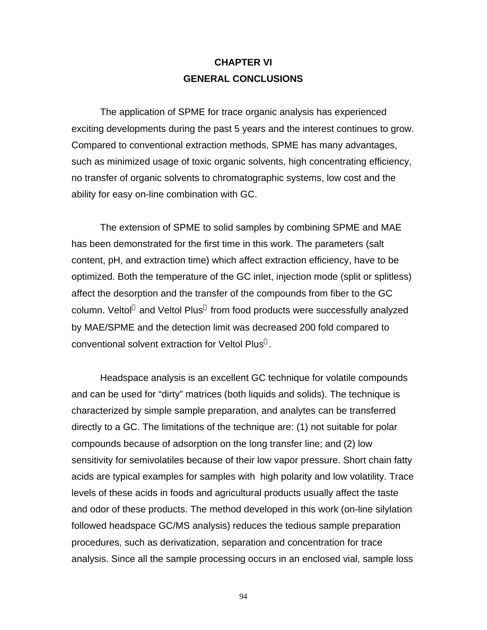# **CHAPTER VI GENERAL CONCLUSIONS**

The application of SPME for trace organic analysis has experienced exciting developments during the past 5 years and the interest continues to grow. Compared to conventional extraction methods, SPME has many advantages, such as minimized usage of toxic organic solvents, high concentrating efficiency, no transfer of organic solvents to chromatographic systems, low cost and the ability for easy on-line combination with GC.

The extension of SPME to solid samples by combining SPME and MAE has been demonstrated for the first time in this work. The parameters (salt content, pH, and extraction time) which affect extraction efficiency, have to be optimized. Both the temperature of the GC inlet, injection mode (split or splitless) affect the desorption and the transfer of the compounds from fiber to the GC column. Veltol® and Veltol Plus® from food products were successfully analyzed by MAE/SPME and the detection limit was decreased 200 fold compared to conventional solvent extraction for Veltol Plus<sup>®</sup>.

Headspace analysis is an excellent GC technique for volatile compounds and can be used for "dirty" matrices (both liquids and solids). The technique is characterized by simple sample preparation, and analytes can be transferred directly to a GC. The limitations of the technique are: (1) not suitable for polar compounds because of adsorption on the long transfer line; and (2) low sensitivity for semivolatiles because of their low vapor pressure. Short chain fatty acids are typical examples for samples with high polarity and low volatility. Trace levels of these acids in foods and agricultural products usually affect the taste and odor of these products. The method developed in this work (on-line silylation followed headspace GC/MS analysis) reduces the tedious sample preparation procedures, such as derivatization, separation and concentration for trace analysis. Since all the sample processing occurs in an enclosed vial, sample loss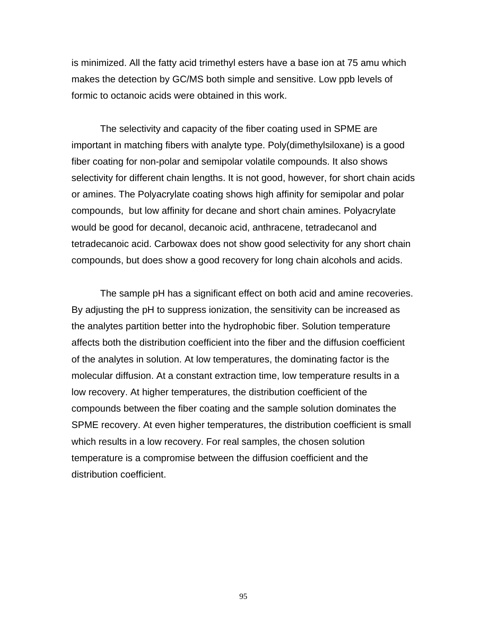is minimized. All the fatty acid trimethyl esters have a base ion at 75 amu which makes the detection by GC/MS both simple and sensitive. Low ppb levels of formic to octanoic acids were obtained in this work.

The selectivity and capacity of the fiber coating used in SPME are important in matching fibers with analyte type. Poly(dimethylsiloxane) is a good fiber coating for non-polar and semipolar volatile compounds. It also shows selectivity for different chain lengths. It is not good, however, for short chain acids or amines. The Polyacrylate coating shows high affinity for semipolar and polar compounds, but low affinity for decane and short chain amines. Polyacrylate would be good for decanol, decanoic acid, anthracene, tetradecanol and tetradecanoic acid. Carbowax does not show good selectivity for any short chain compounds, but does show a good recovery for long chain alcohols and acids.

The sample pH has a significant effect on both acid and amine recoveries. By adjusting the pH to suppress ionization, the sensitivity can be increased as the analytes partition better into the hydrophobic fiber. Solution temperature affects both the distribution coefficient into the fiber and the diffusion coefficient of the analytes in solution. At low temperatures, the dominating factor is the molecular diffusion. At a constant extraction time, low temperature results in a low recovery. At higher temperatures, the distribution coefficient of the compounds between the fiber coating and the sample solution dominates the SPME recovery. At even higher temperatures, the distribution coefficient is small which results in a low recovery. For real samples, the chosen solution temperature is a compromise between the diffusion coefficient and the distribution coefficient.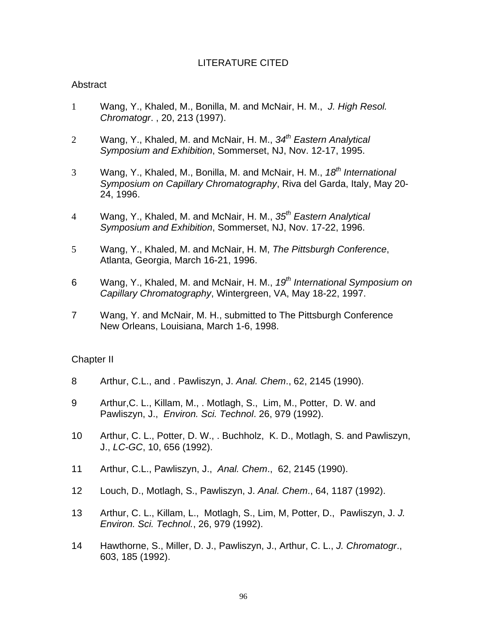# LITERATURE CITED

## Abstract

- 1 Wang, Y., Khaled, M., Bonilla, M. and McNair, H. M., *J. High Resol. Chromatogr*. , 20, 213 (1997).
- 2 Wang, Y., Khaled, M. and McNair, H. M., *34th Eastern Analytical Symposium and Exhibition*, Sommerset, NJ, Nov. 12-17, 1995.
- 3 Wang, Y., Khaled, M., Bonilla, M. and McNair, H. M., *18th International Symposium on Capillary Chromatography*, Riva del Garda, Italy, May 20- 24, 1996.
- 4 Wang, Y., Khaled, M. and McNair, H. M., *35th Eastern Analytical Symposium and Exhibition*, Sommerset, NJ, Nov. 17-22, 1996.
- 5 Wang, Y., Khaled, M. and McNair, H. M, *The Pittsburgh Conference*, Atlanta, Georgia, March 16-21, 1996.
- 6 Wang, Y., Khaled, M. and McNair, H. M., *19th International Symposium on Capillary Chromatography*, Wintergreen, VA, May 18-22, 1997.
- 7 Wang, Y. and McNair, M. H., submitted to The Pittsburgh Conference New Orleans, Louisiana, March 1-6, 1998.

## Chapter II

- 8 Arthur, C.L., and . Pawliszyn, J. *Anal. Chem*., 62, 2145 (1990).
- 9 Arthur,C. L., Killam, M., . Motlagh, S., Lim, M., Potter, D. W. and Pawliszyn, J., *Environ. Sci. Technol*. 26, 979 (1992).
- 10 Arthur, C. L., Potter, D. W., . Buchholz, K. D., Motlagh, S. and Pawliszyn, J., *LC-GC*, 10, 656 (1992).
- 11 Arthur, C.L., Pawliszyn, J., *Anal. Chem*., 62, 2145 (1990).
- 12 Louch, D., Motlagh, S., Pawliszyn, J. *Anal. Chem*., 64, 1187 (1992).
- 13 Arthur, C. L., Killam, L., Motlagh, S., Lim, M, Potter, D., Pawliszyn, J. *J. Environ. Sci. Technol.*, 26, 979 (1992).
- 14 Hawthorne, S., Miller, D. J., Pawliszyn, J., Arthur, C. L., *J. Chromatogr*., 603, 185 (1992).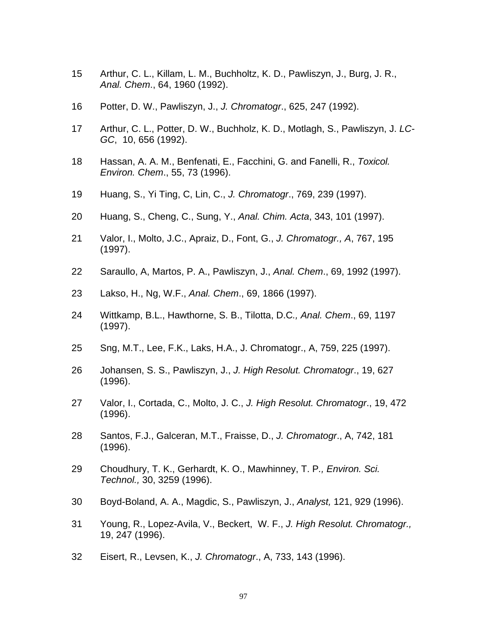- Arthur, C. L., Killam, L. M., Buchholtz, K. D., Pawliszyn, J., Burg, J. R., *Anal. Chem*., 64, 1960 (1992).
- Potter, D. W., Pawliszyn, J., *J. Chromatogr*., 625, 247 (1992).
- Arthur, C. L., Potter, D. W., Buchholz, K. D., Motlagh, S., Pawliszyn, J. *LC-GC*, 10, 656 (1992).
- Hassan, A. A. M., Benfenati, E., Facchini, G. and Fanelli, R., *Toxicol. Environ. Chem*., 55, 73 (1996).
- Huang, S., Yi Ting, C, Lin, C., *J. Chromatogr*., 769, 239 (1997).
- Huang, S., Cheng, C., Sung, Y., *Anal. Chim. Acta*, 343, 101 (1997).
- Valor, I., Molto, J.C., Apraiz, D., Font, G., *J. Chromatogr., A*, 767, 195 (1997).
- Saraullo, A, Martos, P. A., Pawliszyn, J., *Anal. Chem*., 69, 1992 (1997).
- Lakso, H., Ng, W.F., *Anal. Chem*., 69, 1866 (1997).
- Wittkamp, B.L., Hawthorne, S. B., Tilotta, D.C*., Anal. Chem*., 69, 1197 (1997).
- Sng, M.T., Lee, F.K., Laks, H.A., J. Chromatogr., A, 759, 225 (1997).
- Johansen, S. S., Pawliszyn, J., *J. High Resolut. Chromatogr*., 19, 627 (1996).
- Valor, I., Cortada, C., Molto, J. C., *J. High Resolut. Chromatogr*., 19, 472 (1996).
- Santos, F.J., Galceran, M.T., Fraisse, D., *J. Chromatogr*., A, 742, 181 (1996).
- Choudhury, T. K., Gerhardt, K. O., Mawhinney, T. P*., Environ. Sci. Technol.,* 30, 3259 (1996).
- Boyd-Boland, A. A., Magdic, S., Pawliszyn, J., *Analyst,* 121, 929 (1996).
- Young, R., Lopez-Avila, V., Beckert, W. F., *J. High Resolut. Chromatogr.,* 19, 247 (1996).
- Eisert, R., Levsen, K., *J. Chromatogr*., A, 733, 143 (1996).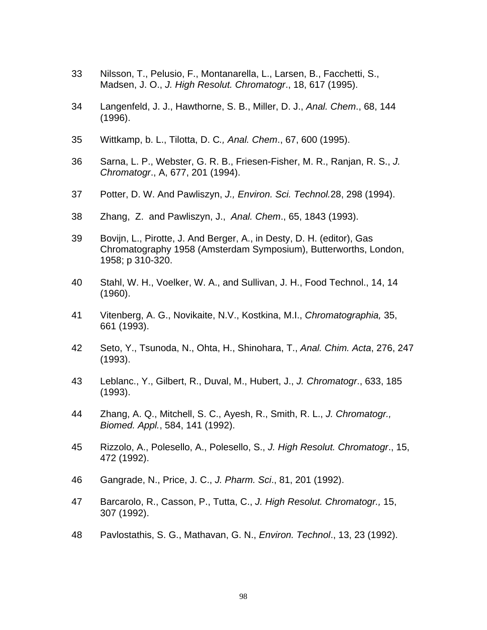- 33 Nilsson, T., Pelusio, F., Montanarella, L., Larsen, B., Facchetti, S., Madsen, J. O., *J. High Resolut. Chromatogr*., 18, 617 (1995).
- 34 Langenfeld, J. J., Hawthorne, S. B., Miller, D. J., *Anal. Chem*., 68, 144 (1996).
- 35 Wittkamp, b. L., Tilotta, D. C*., Anal. Chem*., 67, 600 (1995).
- 36 Sarna, L. P., Webster, G. R. B., Friesen-Fisher, M. R., Ranjan, R. S., *J. Chromatogr*., A, 677, 201 (1994).
- 37 Potter, D. W. And Pawliszyn, *J., Environ. Sci. Technol.*28, 298 (1994).
- 38 Zhang, Z. and Pawliszyn, J., *Anal. Chem*., 65, 1843 (1993).
- 39 Bovijn, L., Pirotte, J. And Berger, A., in Desty, D. H. (editor), Gas Chromatography 1958 (Amsterdam Symposium), Butterworths, London, 1958; p 310-320.
- 40 Stahl, W. H., Voelker, W. A., and Sullivan, J. H., Food Technol., 14, 14 (1960).
- 41 Vitenberg, A. G., Novikaite, N.V., Kostkina, M.I., *Chromatographia,* 35, 661 (1993).
- 42 Seto, Y., Tsunoda, N., Ohta, H., Shinohara, T., *Anal. Chim. Acta*, 276, 247 (1993).
- 43 Leblanc., Y., Gilbert, R., Duval, M., Hubert, J., *J. Chromatogr*., 633, 185 (1993).
- 44 Zhang, A. Q., Mitchell, S. C., Ayesh, R., Smith, R. L., *J. Chromatogr., Biomed. Appl.*, 584, 141 (1992).
- 45 Rizzolo, A., Polesello, A., Polesello, S., *J. High Resolut. Chromatogr*., 15, 472 (1992).
- 46 Gangrade, N., Price, J. C., *J. Pharm. Sci*., 81, 201 (1992).
- 47 Barcarolo, R., Casson, P., Tutta, C., *J. High Resolut. Chromatogr.,* 15, 307 (1992).
- 48 Pavlostathis, S. G., Mathavan, G. N., *Environ. Technol*., 13, 23 (1992).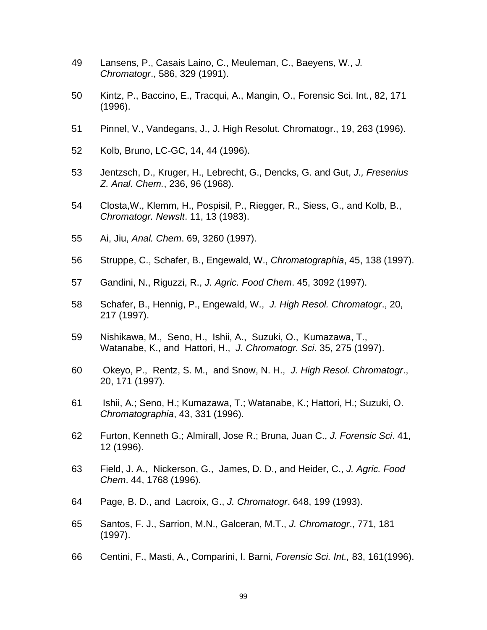- 49 Lansens, P., Casais Laino, C., Meuleman, C., Baeyens, W., *J. Chromatogr*., 586, 329 (1991).
- 50 Kintz, P., Baccino, E., Tracqui, A., Mangin, O., Forensic Sci. Int., 82, 171 (1996).
- 51 Pinnel, V., Vandegans, J., J. High Resolut. Chromatogr., 19, 263 (1996).
- 52 Kolb, Bruno, LC-GC, 14, 44 (1996).
- 53 Jentzsch, D., Kruger, H., Lebrecht, G., Dencks, G. and Gut, *J., Fresenius Z. Anal. Chem.*, 236, 96 (1968).
- 54 Closta,W., Klemm, H., Pospisil, P., Riegger, R., Siess, G., and Kolb, B., *Chromatogr. Newslt*. 11, 13 (1983).
- 55 Ai, Jiu, *Anal. Chem*. 69, 3260 (1997).
- 56 Struppe, C., Schafer, B., Engewald, W., *Chromatographia*, 45, 138 (1997).
- 57 Gandini, N., Riguzzi, R., *J. Agric. Food Chem*. 45, 3092 (1997).
- 58 Schafer, B., Hennig, P., Engewald, W., *J. High Resol. Chromatogr*., 20, 217 (1997).
- 59 Nishikawa, M., Seno, H., Ishii, A., Suzuki, O., Kumazawa, T., Watanabe, K., and Hattori, H., *J. Chromatogr. Sci*. 35, 275 (1997).
- 60 Okeyo, P., Rentz, S. M., and Snow, N. H., *J. High Resol. Chromatogr*., 20, 171 (1997).
- 61 Ishii, A.; Seno, H.; Kumazawa, T.; Watanabe, K.; Hattori, H.; Suzuki, O. *Chromatographia*, 43, 331 (1996).
- 62 Furton, Kenneth G.; Almirall, Jose R.; Bruna, Juan C., *J. Forensic Sci*. 41, 12 (1996).
- 63 Field, J. A., Nickerson, G., James, D. D., and Heider, C., *J. Agric. Food Chem*. 44, 1768 (1996).
- 64 Page, B. D., and Lacroix, G., *J. Chromatogr*. 648, 199 (1993).
- 65 Santos, F. J., Sarrion, M.N., Galceran, M.T., *J. Chromatogr*., 771, 181 (1997).
- 66 Centini, F., Masti, A., Comparini, I. Barni, *Forensic Sci. Int.,* 83, 161(1996).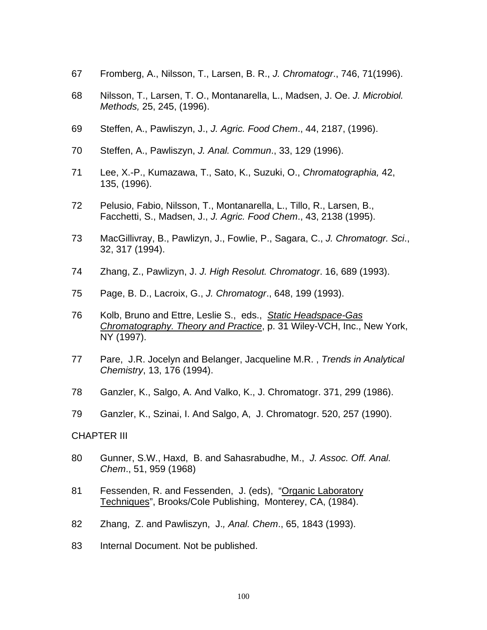- 67 Fromberg, A., Nilsson, T., Larsen, B. R., *J. Chromatogr*., 746, 71(1996).
- 68 Nilsson, T., Larsen, T. O., Montanarella, L., Madsen, J. Oe. *J. Microbiol. Methods,* 25, 245, (1996).
- 69 Steffen, A., Pawliszyn, J., *J. Agric. Food Chem*., 44, 2187, (1996).
- 70 Steffen, A., Pawliszyn, *J. Anal. Commun*., 33, 129 (1996).
- 71 Lee, X.-P., Kumazawa, T., Sato, K., Suzuki, O., *Chromatographia,* 42, 135, (1996).
- 72 Pelusio, Fabio, Nilsson, T., Montanarella, L., Tillo, R., Larsen, B., Facchetti, S., Madsen, J., *J. Agric. Food Chem*., 43, 2138 (1995).
- 73 MacGillivray, B., Pawlizyn, J., Fowlie, P., Sagara, C., *J. Chromatogr. Sci*., 32, 317 (1994).
- 74 Zhang, Z., Pawlizyn, J. *J. High Resolut. Chromatogr*. 16, 689 (1993).
- 75 Page, B. D., Lacroix, G., *J. Chromatogr*., 648, 199 (1993).
- 76 Kolb, Bruno and Ettre, Leslie S., eds., *Static Headspace-Gas Chromatography. Theory and Practice*, p. 31 Wiley-VCH, Inc., New York, NY (1997).
- 77 Pare, J.R. Jocelyn and Belanger, Jacqueline M.R. , *Trends in Analytical Chemistry*, 13, 176 (1994).
- 78 Ganzler, K., Salgo, A. And Valko, K., J. Chromatogr. 371, 299 (1986).
- 79 Ganzler, K., Szinai, I. And Salgo, A, J. Chromatogr. 520, 257 (1990).

## CHAPTER III

- 80 Gunner, S.W., Haxd, B. and Sahasrabudhe, M., *J. Assoc. Off. Anal. Chem*., 51, 959 (1968)
- 81 Fessenden, R. and Fessenden, J. (eds), "Organic Laboratory Techniques", Brooks/Cole Publishing, Monterey, CA, (1984).
- 82 Zhang, Z. and Pawliszyn, J.*, Anal. Chem*., 65, 1843 (1993).
- 83 Internal Document. Not be published.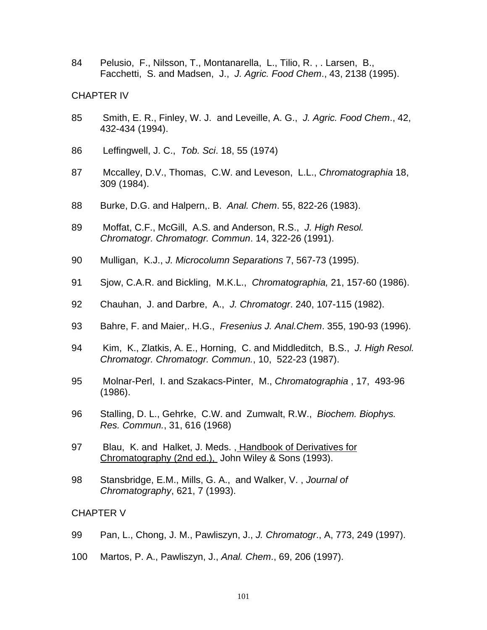84 Pelusio, F., Nilsson, T., Montanarella, L., Tilio, R. , . Larsen, B., Facchetti, S. and Madsen, J., *J. Agric. Food Chem*., 43, 2138 (1995).

## CHAPTER IV

- 85 Smith, E. R., Finley, W. J. and Leveille, A. G., *J. Agric. Food Chem*., 42, 432-434 (1994).
- 86 Leffingwell, J. C., *Tob. Sci*. 18, 55 (1974)
- 87 Mccalley, D.V., Thomas, C.W. and Leveson, L.L., *Chromatographia* 18, 309 (1984).
- 88 Burke, D.G. and Halpern,. B. *Anal. Chem*. 55, 822-26 (1983).
- 89 Moffat, C.F., McGill, A.S. and Anderson, R.S., *J. High Resol. Chromatogr. Chromatogr. Commun*. 14, 322-26 (1991).
- 90 Mulligan, K.J., *J. Microcolumn Separations* 7, 567-73 (1995).
- 91 Sjow, C.A.R. and Bickling, M.K.L., *Chromatographia,* 21, 157-60 (1986).
- 92 Chauhan, J. and Darbre, A., *J. Chromatogr*. 240, 107-115 (1982).
- 93 Bahre, F. and Maier,. H.G., *Fresenius J. Anal.Chem*. 355, 190-93 (1996).
- 94 Kim, K., Zlatkis, A. E., Horning, C. and Middleditch, B.S., *J. High Resol. Chromatogr. Chromatogr. Commun.*, 10, 522-23 (1987).
- 95 Molnar-Perl, I. and Szakacs-Pinter, M., *Chromatographia* , 17, 493-96 (1986).
- 96 Stalling, D. L., Gehrke, C.W. and Zumwalt, R.W., *Biochem. Biophys. Res. Commun.*, 31, 616 (1968)
- 97 Blau, K. and Halket, J. Meds. , Handbook of Derivatives for Chromatography (2nd ed.), John Wiley & Sons (1993).
- 98 Stansbridge, E.M., Mills, G. A., and Walker, V. , *Journal of Chromatography*, 621, 7 (1993).

## CHAPTER V

- 99 Pan, L., Chong, J. M., Pawliszyn, J., *J. Chromatogr*., A, 773, 249 (1997).
- 100 Martos, P. A., Pawliszyn, J., *Anal. Chem*., 69, 206 (1997).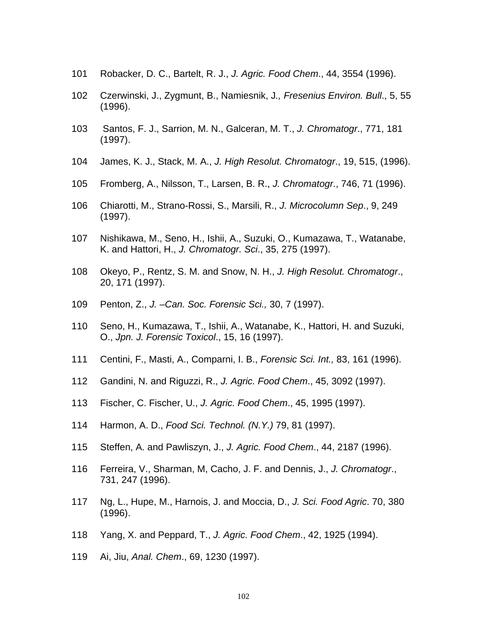- Robacker, D. C., Bartelt, R. J., *J. Agric. Food Chem*., 44, 3554 (1996).
- Czerwinski, J., Zygmunt, B., Namiesnik, J*., Fresenius Environ. Bull*., 5, 55 (1996).
- 103 Santos, F. J., Sarrion, M. N., Galceran, M. T., *J. Chromatogr*., 771, 181 (1997).
- James, K. J., Stack, M. A., *J. High Resolut. Chromatogr*., 19, 515, (1996).
- Fromberg, A., Nilsson, T., Larsen, B. R., *J. Chromatogr*., 746, 71 (1996).
- Chiarotti, M., Strano-Rossi, S., Marsili, R., *J. Microcolumn Sep*., 9, 249 (1997).
- Nishikawa, M., Seno, H., Ishii, A., Suzuki, O., Kumazawa, T., Watanabe, K. and Hattori, H., *J. Chromatogr. Sci*., 35, 275 (1997).
- Okeyo, P., Rentz, S. M. and Snow, N. H., *J. High Resolut. Chromatogr*., 20, 171 (1997).
- Penton, Z., *J. –Can. Soc. Forensic Sci.,* 30, 7 (1997).
- Seno, H., Kumazawa, T., Ishii, A., Watanabe, K., Hattori, H. and Suzuki, O., *Jpn. J. Forensic Toxicol*., 15, 16 (1997).
- Centini, F., Masti, A., Comparni, I. B., *Forensic Sci. Int.,* 83, 161 (1996).
- Gandini, N. and Riguzzi, R., *J. Agric. Food Chem*., 45, 3092 (1997).
- Fischer, C. Fischer, U., *J. Agric. Food Chem*., 45, 1995 (1997).
- Harmon, A. D., *Food Sci. Technol. (N.Y.)* 79, 81 (1997).
- Steffen, A. and Pawliszyn, J., *J. Agric. Food Chem*., 44, 2187 (1996).
- Ferreira, V., Sharman, M, Cacho, J. F. and Dennis, J., *J. Chromatogr*., 731, 247 (1996).
- Ng, L., Hupe, M., Harnois, J. and Moccia, D., *J. Sci. Food Agric*. 70, 380 (1996).
- Yang, X. and Peppard, T., *J. Agric. Food Chem*., 42, 1925 (1994).
- Ai, Jiu, *Anal. Chem*., 69, 1230 (1997).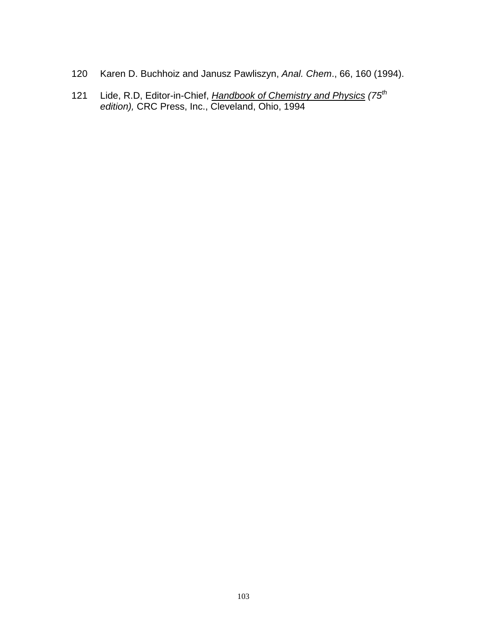- Karen D. Buchhoiz and Janusz Pawliszyn, *Anal. Chem*., 66, 160 (1994).
- Lide, R.D, Editor-in-Chief, *Handbook of Chemistry and Physics (75th edition),* CRC Press, Inc., Cleveland, Ohio, 1994